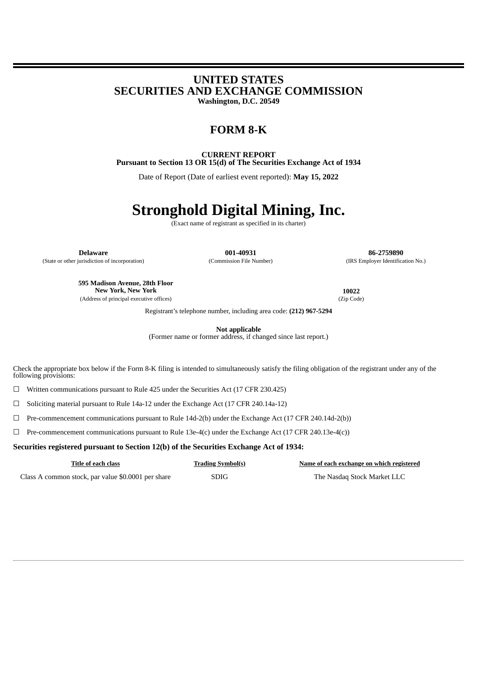# **UNITED STATES SECURITIES AND EXCHANGE COMMISSION**

**Washington, D.C. 20549**

# **FORM 8-K**

**CURRENT REPORT Pursuant to Section 13 OR 15(d) of The Securities Exchange Act of 1934**

Date of Report (Date of earliest event reported): **May 15, 2022**

# **Stronghold Digital Mining, Inc.**

(Exact name of registrant as specified in its charter)

**Delaware 001-40931 86-2759890** (State or other jurisdiction of incorporation) (Commission File Number) (IRS Employer Identification No.)

**595 Madison Avenue, 28th Floor New York, New York 10022** (Address of principal executive offices) (Zip Code)

Registrant's telephone number, including area code: **(212) 967-5294**

**Not applicable**

(Former name or former address, if changed since last report.)

Check the appropriate box below if the Form 8-K filing is intended to simultaneously satisfy the filing obligation of the registrant under any of the following provisions:

☐ Written communications pursuant to Rule 425 under the Securities Act (17 CFR 230.425)

☐ Soliciting material pursuant to Rule 14a-12 under the Exchange Act (17 CFR 240.14a-12)

☐ Pre-commencement communications pursuant to Rule 14d-2(b) under the Exchange Act (17 CFR 240.14d-2(b))

 $\Box$  Pre-commencement communications pursuant to Rule 13e-4(c) under the Exchange Act (17 CFR 240.13e-4(c))

**Securities registered pursuant to Section 12(b) of the Securities Exchange Act of 1934:**

| Title of each class                                | <b>Trading Symbol(s)</b> | Name of each exchange on which registered |
|----------------------------------------------------|--------------------------|-------------------------------------------|
| Class A common stock, par value \$0.0001 per share | SDIG-                    | The Nasdag Stock Market LLC               |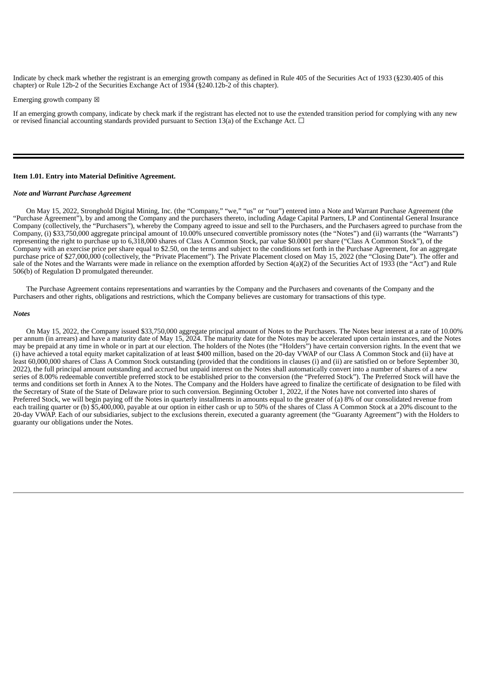Indicate by check mark whether the registrant is an emerging growth company as defined in Rule 405 of the Securities Act of 1933 (§230.405 of this chapter) or Rule 12b-2 of the Securities Exchange Act of 1934 (§240.12b-2 of this chapter).

Emerging growth company  $\boxtimes$ 

If an emerging growth company, indicate by check mark if the registrant has elected not to use the extended transition period for complying with any new or revised financial accounting standards provided pursuant to Section 13(a) of the Exchange Act.  $\Box$ 

#### **Item 1.01. Entry into Material Definitive Agreement.**

#### *Note and Warrant Purchase Agreement*

On May 15, 2022, Stronghold Digital Mining, Inc. (the "Company," "we," "us" or "our") entered into a Note and Warrant Purchase Agreement (the "Purchase Agreement"), by and among the Company and the purchasers thereto, including Adage Capital Partners, LP and Continental General Insurance Company (collectively, the "Purchasers"), whereby the Company agreed to issue and sell to the Purchasers, and the Purchasers agreed to purchase from the Company, (i) \$33,750,000 aggregate principal amount of 10.00% unsecured convertible promissory notes (the "Notes") and (ii) warrants (the "Warrants") representing the right to purchase up to 6,318,000 shares of Class A Common Stock, par value \$0.0001 per share ("Class A Common Stock"), of the Company with an exercise price per share equal to \$2.50, on the terms and subject to the conditions set forth in the Purchase Agreement, for an aggregate purchase price of \$27,000,000 (collectively, the "Private Placement"). The Private Placement closed on May 15, 2022 (the "Closing Date"). The offer and sale of the Notes and the Warrants were made in reliance on the exemption afforded by Section 4(a)(2) of the Securities Act of 1933 (the "Act") and Rule 506(b) of Regulation D promulgated thereunder.

The Purchase Agreement contains representations and warranties by the Company and the Purchasers and covenants of the Company and the Purchasers and other rights, obligations and restrictions, which the Company believes are customary for transactions of this type.

#### *Notes*

On May 15, 2022, the Company issued \$33,750,000 aggregate principal amount of Notes to the Purchasers. The Notes bear interest at a rate of 10.00% per annum (in arrears) and have a maturity date of May 15, 2024. The maturity date for the Notes may be accelerated upon certain instances, and the Notes may be prepaid at any time in whole or in part at our election. The holders of the Notes (the "Holders") have certain conversion rights. In the event that we (i) have achieved a total equity market capitalization of at least \$400 million, based on the 20-day VWAP of our Class A Common Stock and (ii) have at least 60,000,000 shares of Class A Common Stock outstanding (provided that the conditions in clauses (i) and (ii) are satisfied on or before September 30, 2022), the full principal amount outstanding and accrued but unpaid interest on the Notes shall automatically convert into a number of shares of a new series of 8.00% redeemable convertible preferred stock to be established prior to the conversion (the "Preferred Stock"). The Preferred Stock will have the terms and conditions set forth in Annex A to the Notes. The Company and the Holders have agreed to finalize the certificate of designation to be filed with the Secretary of State of the State of Delaware prior to such conversion. Beginning October 1, 2022, if the Notes have not converted into shares of Preferred Stock, we will begin paying off the Notes in quarterly installments in amounts equal to the greater of (a) 8% of our consolidated revenue from each trailing quarter or (b) \$5,400,000, payable at our option in either cash or up to 50% of the shares of Class  $\hat{A}$  Common Stock at a 20% discount to the 20-day VWAP. Each of our subsidiaries, subject to the exclusions therein, executed a guaranty agreement (the "Guaranty Agreement") with the Holders to guaranty our obligations under the Notes.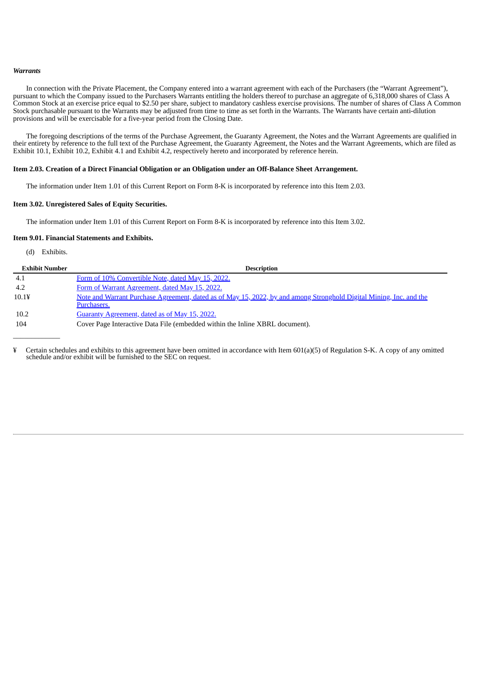#### *Warrants*

In connection with the Private Placement, the Company entered into a warrant agreement with each of the Purchasers (the "Warrant Agreement"), pursuant to which the Company issued to the Purchasers Warrants entitling the holders thereof to purchase an aggregate of 6,318,000 shares of Class A Common Stock at an exercise price equal to \$2.50 per share, subject to mandatory cashless exercise provisions. The number of shares of Class A Common Stock purchasable pursuant to the Warrants may be adjusted from time to time as set forth in the Warrants. The Warrants have certain anti-dilution provisions and will be exercisable for a five-year period from the Closing Date.

The foregoing descriptions of the terms of the Purchase Agreement, the Guaranty Agreement, the Notes and the Warrant Agreements are qualified in their entirety by reference to the full text of the Purchase Agreement, the Guaranty Agreement, the Notes and the Warrant Agreements, which are filed as Exhibit 10.1, Exhibit 10.2, Exhibit 4.1 and Exhibit 4.2, respectively hereto and incorporated by reference herein.

#### **Item 2.03. Creation of a Direct Financial Obligation or an Obligation under an Off-Balance Sheet Arrangement.**

The information under Item 1.01 of this Current Report on Form 8-K is incorporated by reference into this Item 2.03.

#### **Item 3.02. Unregistered Sales of Equity Securities.**

The information under Item 1.01 of this Current Report on Form 8-K is incorporated by reference into this Item 3.02.

#### **Item 9.01. Financial Statements and Exhibits.**

(d) Exhibits.

 $\overline{\phantom{a}}$  , where  $\overline{\phantom{a}}$ 

| <b>Exhibit Number</b> | <b>Description</b>                                                                                                                 |
|-----------------------|------------------------------------------------------------------------------------------------------------------------------------|
| 4.1                   | Form of 10% Convertible Note, dated May 15, 2022.                                                                                  |
| 4.2                   | Form of Warrant Agreement, dated May 15, 2022.                                                                                     |
| $10.1$ ¥              | Note and Warrant Purchase Agreement, dated as of May 15, 2022, by and among Stronghold Digital Mining, Inc. and the<br>Purchasers. |
| 10.2                  | Guaranty Agreement, dated as of May 15, 2022.                                                                                      |
| 104                   | Cover Page Interactive Data File (embedded within the Inline XBRL document).                                                       |

¥ Certain schedules and exhibits to this agreement have been omitted in accordance with Item 601(a)(5) of Regulation S-K. A copy of any omitted schedule and/or exhibit will be furnished to the SEC on request.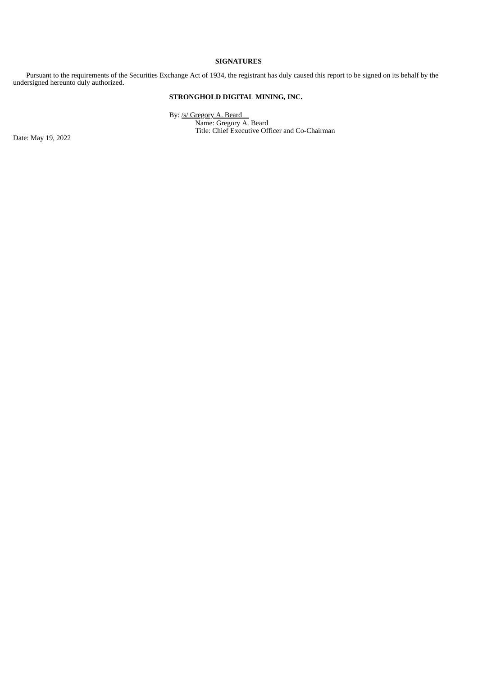# **SIGNATURES**

Pursuant to the requirements of the Securities Exchange Act of 1934, the registrant has duly caused this report to be signed on its behalf by the undersigned hereunto duly authorized.

### **STRONGHOLD DIGITAL MINING, INC.**

By: /s/ Gregory A. Beard Name: Gregory A. Beard Title: Chief Executive Officer and Co-Chairman

Date: May 19, 2022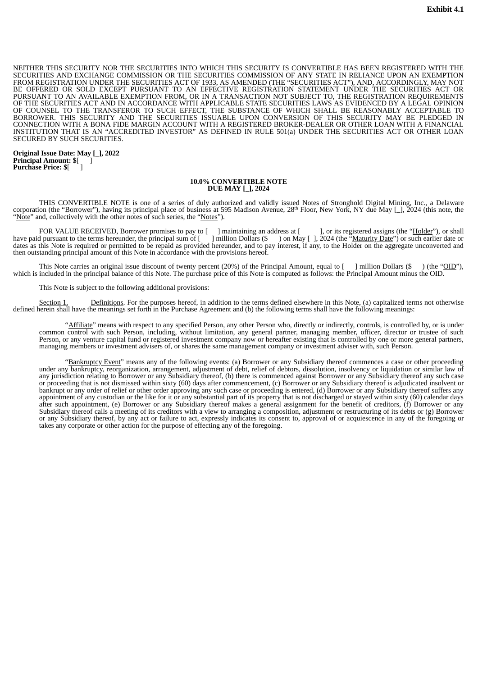<span id="page-4-0"></span>NEITHER THIS SECURITY NOR THE SECURITIES INTO WHICH THIS SECURITY IS CONVERTIBLE HAS BEEN REGISTERED WITH THE SECURITIES AND EXCHANGE COMMISSION OR THE SECURITIES COMMISSION OF ANY STATE IN RELIANCE UPON AN EXEMPTION FROM REGISTRATION UNDER THE SECURITIES ACT OF 1933, AS AMENDED (THE "SECURITIES ACT"), AND, ACCORDINGLY, MAY NOT BE OFFERED OR SOLD EXCEPT PURSUANT TO AN EFFECTIVE REGISTRATION STATEMENT UNDER THE SECURITIES ACT OR PURSUANT TO AN AVAILABLE EXEMPTION FROM, OR IN A TRANSACTION NOT SUBJECT TO, THE REGISTRATION REQUIREMENTS OF THE SECURITIES ACT AND IN ACCORDANCE WITH APPLICABLE STATE SECURITIES LAWS AS EVIDENCED BY A LEGAL OPINION OF COUNSEL TO THE TRANSFEROR TO SUCH EFFECT, THE SUBSTANCE OF WHICH SHALL BE REASONABLY ACCEPTABLE TO BORROWER. THIS SECURITY AND THE SECURITIES ISSUABLE UPON CONVERSION OF THIS SECURITY MAY BE PLEDGED IN CONNECTION WITH A BONA FIDE MARGIN ACCOUNT WITH A REGISTERED BROKER-DEALER OR OTHER LOAN WITH A FINANCIAL INSTITUTION THAT IS AN "ACCREDITED INVESTOR" AS DEFINED IN RULE 501(a) UNDER THE SECURITIES ACT OR OTHER LOAN SECURED BY SUCH SECURITIES.

#### **Original Issue Date: May [\_], 2022 Principal Amount: \$**[ ] **Purchase Price: \$**[ ]

#### **10.0% CONVERTIBLE NOTE DUE MAY [\_], 2024**

THIS CONVERTIBLE NOTE is one of a series of duly authorized and validly issued Notes of Stronghold Digital Mining, Inc., a Delaware corporation (the "Borrower"), having its principal place of business at 595 Madison Avenue,  $28<sup>th</sup>$  Floor, New York, NY due May  $\Box$ ,  $\overline{2}024$  (this note, the "Note" and, collectively with the other notes of such series, the "Notes").

FOR VALUE RECEIVED, Borrower promises to pay to [ ] maintaining an address at [ ], or its registered assigns (the "Holder"), or shall have paid pursuant to the terms hereunder, the principal sum of [ ] million Dollars (\$ ) on May [ ], 2024 (the "Maturity Date") or such earlier date or dates as this Note is required or permitted to be repaid as provided hereunder, and to pay interest, if any, to the Holder on the aggregate unconverted and then outstanding principal amount of this Note in accordance with the provisions hereof.

This Note carries an original issue discount of twenty percent (20%) of the Principal Amount, equal to [ ] million Dollars (\$ ) (the "OID"), which is included in the principal balance of this Note. The purchase price of this Note is computed as follows: the Principal Amount minus the OID.

This Note is subject to the following additional provisions:

Section 1. Definitions. For the purposes hereof, in addition to the terms defined elsewhere in this Note, (a) capitalized terms not otherwise defined herein shall have the meanings set forth in the Purchase Agreement and (b) the following terms shall have the following meanings:

"Affiliate" means with respect to any specified Person, any other Person who, directly or indirectly, controls, is controlled by, or is under common control with such Person, including, without limitation, any general partner, managing member, officer, director or trustee of such Person, or any venture capital fund or registered investment company now or hereafter existing that is controlled by one or more general partners, managing members or investment advisers of, or shares the same management company or investment adviser with, such Person.

"Bankruptcy Event" means any of the following events: (a) Borrower or any Subsidiary thereof commences a case or other proceeding under any bankruptcy, reorganization, arrangement, adjustment of debt, relief of debtors, dissolution, insolvency or liquidation or similar law of any jurisdiction relating to Borrower or any Subsidiary thereof, (b) there is commenced against Borrower or any Subsidiary thereof any such case or proceeding that is not dismissed within sixty (60) days after commencement, (c) Borrower or any Subsidiary thereof is adjudicated insolvent or bankrupt or any order of relief or other order approving any such case or proceeding is entered, (d) Borrower or any Subsidiary thereof suffers any appointment of any custodian or the like for it or any substantial part of its property that is not discharged or stayed within sixty (60) calendar days after such appointment, (e) Borrower or any Subsidiary thereof makes a general assignment for the benefit of creditors, (f) Borrower or any Subsidiary thereof calls a meeting of its creditors with a view to arranging a composition, adjustment or restructuring of its debts or (g) Borrower or any Subsidiary thereof, by any act or failure to act, expressly indicates its consent to, approval of or acquiescence in any of the foregoing or takes any corporate or other action for the purpose of effecting any of the foregoing.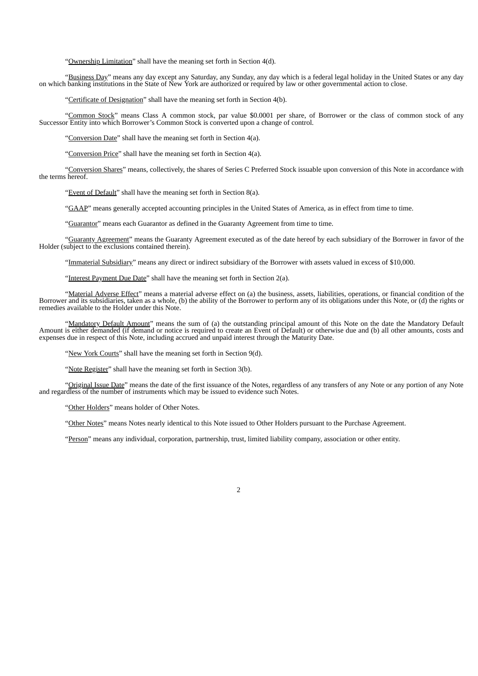"Ownership Limitation" shall have the meaning set forth in Section 4(d).

"Business Day" means any day except any Saturday, any Sunday, any day which is a federal legal holiday in the United States or any day on which banking institutions in the State of New York are authorized or required by law or other governmental action to close.

"Certificate of Designation" shall have the meaning set forth in Section 4(b).

"Common Stock" means Class A common stock, par value \$0.0001 per share, of Borrower or the class of common stock of any Successor Entity into which Borrower's Common Stock is converted upon a change of control.

"Conversion Date" shall have the meaning set forth in Section 4(a).

"Conversion Price" shall have the meaning set forth in Section 4(a).

"Conversion Shares" means, collectively, the shares of Series C Preferred Stock issuable upon conversion of this Note in accordance with the terms hereof.

"Event of Default" shall have the meaning set forth in Section 8(a).

"GAAP" means generally accepted accounting principles in the United States of America, as in effect from time to time.

"Guarantor" means each Guarantor as defined in the Guaranty Agreement from time to time.

'Guaranty Agreement" means the Guaranty Agreement executed as of the date hereof by each subsidiary of the Borrower in favor of the Holder (subject to the exclusions contained therein).

"Immaterial Subsidiary" means any direct or indirect subsidiary of the Borrower with assets valued in excess of \$10,000.

"Interest Payment Due Date" shall have the meaning set forth in Section 2(a).

"Material Adverse Effect" means a material adverse effect on (a) the business, assets, liabilities, operations, or financial condition of the Borrower and its subsidiaries, taken as a whole, (b) the ability of the Borrower to perform any of its obligations under this Note, or (d) the rights or remedies available to the Holder under this Note.

'Mandatory Default Amount" means the sum of (a) the outstanding principal amount of this Note on the date the Mandatory Default Amount is either demanded (if demand or notice is required to create an Event of Default) or otherwise due and (b) all other amounts, costs and expenses due in respect of this Note, including accrued and unpaid interest through the Maturity Date.

"New York Courts" shall have the meaning set forth in Section 9(d).

"Note Register" shall have the meaning set forth in Section 3(b).

"Original Issue Date" means the date of the first issuance of the Notes, regardless of any transfers of any Note or any portion of any Note and regardless of the number of instruments which may be issued to evidence such Notes.

"Other Holders" means holder of Other Notes.

"Other Notes" means Notes nearly identical to this Note issued to Other Holders pursuant to the Purchase Agreement.

"Person" means any individual, corporation, partnership, trust, limited liability company, association or other entity.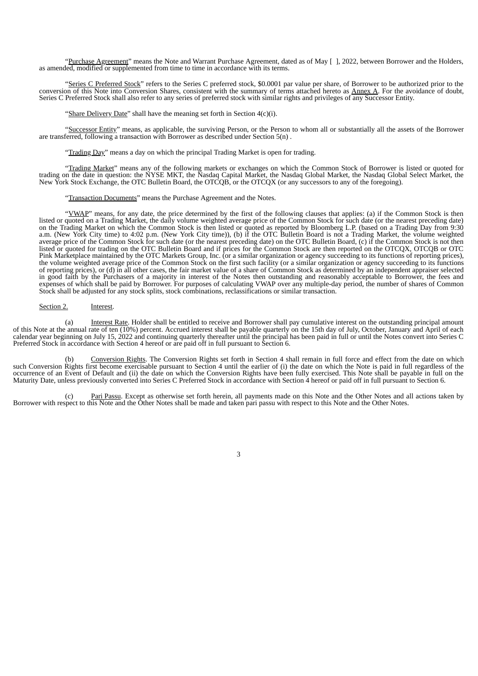"Purchase Agreement" means the Note and Warrant Purchase Agreement, dated as of May [], 2022, between Borrower and the Holders, as amended, modified or supplemented from time to time in accordance with its terms.

"Series C Preferred Stock" refers to the Series C preferred stock, \$0.0001 par value per share, of Borrower to be authorized prior to the conversion of this Note into Conversion Shares, consistent with the summary of terms attached hereto as Annex A. For the avoidance of doubt, Series C Preferred Stock shall also refer to any series of preferred stock with similar rights and privileges of any Successor Entity.

"Share Delivery Date" shall have the meaning set forth in Section  $4(c)(i)$ .

"Successor Entity" means, as applicable, the surviving Person, or the Person to whom all or substantially all the assets of the Borrower are transferred, following a transaction with Borrower as described under Section 5(n) .

"Trading Day" means a day on which the principal Trading Market is open for trading.

"Trading Market" means any of the following markets or exchanges on which the Common Stock of Borrower is listed or quoted for trading on the date in question: the NYSE MKT, the Nasdaq Capital Market, the Nasdaq Global Market, the Nasdaq Global Select Market, the New York Stock Exchange, the OTC Bulletin Board, the OTCQB, or the OTCQX (or any successors to any of the foregoing).

"Transaction Documents" means the Purchase Agreement and the Notes.

"YWAP" means, for any date, the price determined by the first of the following clauses that applies: (a) if the Common Stock is then listed or quoted on a Trading Market, the daily volume weighted average price of the Common Stock for such date (or the nearest preceding date) on the Trading Market on which the Common Stock is then listed or quoted as reported by Bloomberg L.P. (based on a Trading Day from 9:30 a.m. (New York City time) to 4:02 p.m. (New York City time)), (b) if the OTC Bulletin Board is not a Trading Market, the volume weighted average price of the Common Stock for such date (or the nearest preceding date) on the OTC Bulletin Board, (c) if the Common Stock is not then listed or quoted for trading on the OTC Bulletin Board and if prices for the Common Stock are then reported on the OTCQX, OTCQB or OTC Pink Marketplace maintained by the OTC Markets Group, Inc. (or a similar organization or agency succeeding to its functions of reporting prices), the volume weighted average price of the Common Stock on the first such facility (or a similar organization or agency succeeding to its functions of reporting prices), or (d) in all other cases, the fair market value of a share of Common Stock as determined by an independent appraiser selected in good faith by the Purchasers of a majority in interest of the Notes then outstanding and reasonably acceptable to Borrower, the fees and expenses of which shall be paid by Borrower. For purposes of calculating VWAP over any multiple-day period, the number of shares of Common Stock shall be adjusted for any stock splits, stock combinations, reclassifications or similar transaction.

#### Section 2. **Interest.**

(a) Interest Rate. Holder shall be entitled to receive and Borrower shall pay cumulative interest on the outstanding principal amount of this Note at the annual rate of ten (10%) percent. Accrued interest shall be payable quarterly on the 15th day of July, October, January and April of each calendar year beginning on July 15, 2022 and continuing quarterly thereafter until the principal has been paid in full or until the Notes convert into Series C Preferred Stock in accordance with Section 4 hereof or are paid off in full pursuant to Section 6.

Conversion Rights. The Conversion Rights set forth in Section 4 shall remain in full force and effect from the date on which such Conversion Rights first become exercisable pursuant to Section 4 until the earlier of (i) the date on which the Note is paid in full regardless of the occurrence of an Event of Default and (ii) the date on which the Conversion Rights have been fully exercised. This Note shall be payable in full on the Maturity Date, unless previously converted into Series C Preferred Sto

(c) Pari Passu. Except as otherwise set forth herein, all payments made on this Note and the Other Notes and all actions taken by Borrower with respect to this Note and the Other Notes shall be made and taken pari passu with respect to this Note and the Other Notes.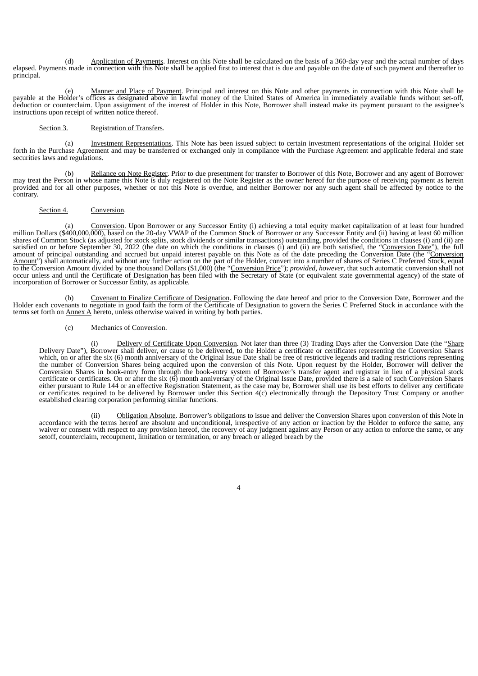(d) Application of Payments. Interest on this Note shall be calculated on the basis of a 360-day year and the actual number of days elapsed. Payments made in connection with this Note shall be applied first to interest that is due and payable on the date of such payment and thereafter to principal.

Manner and Place of Payment. Principal and interest on this Note and other payments in connection with this Note shall be payable at the Holder's offices as designated above in lawful money of the United States of America in immediately available funds without set-off, deduction or counterclaim. Upon assignment of the interest of Holder in this Note, Borrower shall instead make its payment pursuant to the assignee's instructions upon receipt of written notice thereof.

#### Section 3. Registration of Transfers.

(a) Investment Representations. This Note has been issued subject to certain investment representations of the original Holder set forth in the Purchase Agreement and may be transferred or exchanged only in compliance with the Purchase Agreement and applicable federal and state securities laws and regulations.

(b) Reliance on Note Register. Prior to due presentment for transfer to Borrower of this Note, Borrower and any agent of Borrower may treat the Person in whose name this Note is duly registered on the Note Register as the owner hereof for the purpose of receiving payment as herein provided and for all other purposes, whether or not this Note is overdue, and neither Borrower nor any such agent shall be affected by notice to the contrary.

#### Section 4. Conversion.

(a) Conversion. Upon Borrower or any Successor Entity (i) achieving a total equity market capitalization of at least four hundred million Dollars (\$400,000,000), based on the 20-day VWAP of the Common Stock of Borrower or any Successor Entity and (ii) having at least 60 million shares of Common Stock (as adjusted for stock splits, stock dividends or similar transactions) outstanding, provided the conditions in clauses (i) and (ii) are satisfied on or before September 30, 2022 (the date on which the conditions in clauses (i) and (ii) are both satisfied, the "Conversion Date"), the full amount of principal outstanding and accrued but unpaid interest payable on this Note as of the date preceding the Conversion Date (the "Conversion" Amount") shall automatically, and without any further action on the part of the Holder, convert into a number of shares of Series C Preferred Stock, equal to the Conversion Amount divided by one thousand Dollars (\$1,000) (the "Conversion Price"); *provided, however*, that such automatic conversion shall not occur unless and until the Certificate of Designation has been filed with the Secretary of State (or equivalent state governmental agency) of the state of incorporation of Borrower or Successor Entity, as applicable.

(b) Covenant to Finalize Certificate of Designation. Following the date hereof and prior to the Conversion Date, Borrower and the Holder each covenants to negotiate in good faith the form of the Certificate of Designation to govern the Series C Preferred Stock in accordance with the terms set forth on  $\frac{\text{Annex A}}{\text{hereto}}$ , unless otherwise waived in writing by both parties.

#### (c) Mechanics of Conversion.

(i) Delivery of Certificate Upon Conversion. Not later than three (3) Trading Days after the Conversion Date (the "Share Delivery Date"), Borrower shall deliver, or cause to be delivered, to the Holder a certificate or certificates representing the Conversion Shares which, on or after the six (6) month anniversary of the Original Issue Date shall be free of restrictive legends and trading restrictions representing the number of Conversion Shares being acquired upon the conversion of this Note. Upon request by the Holder, Borrower will deliver the Conversion Shares in book-entry form through the book-entry system of Borrower's transfer agent and registrar in lieu of a physical stock certificate or certificates. On or after the six (6) month anniversary of the Original Issue Date, provided there is a sale of such Conversion Shares either pursuant to Rule 144 or an effective Registration Statement, as the case may be, Borrower shall use its best efforts to deliver any certificate or certificates required to be delivered by Borrower under this Section 4(c) electronically through the Depository Trust Company or another established clearing corporation performing similar functions.

Obligation Absolute. Borrower's obligations to issue and deliver the Conversion Shares upon conversion of this Note in accordance with the terms hereof are absolute and unconditional, irrespective of any action or inaction by the Holder to enforce the same, any waiver or consent with respect to any provision hereof, the recovery of any judgment against any Person or any action to enforce the same, or any setoff, counterclaim, recoupment, limitation or termination, or any breach or alleged breach by the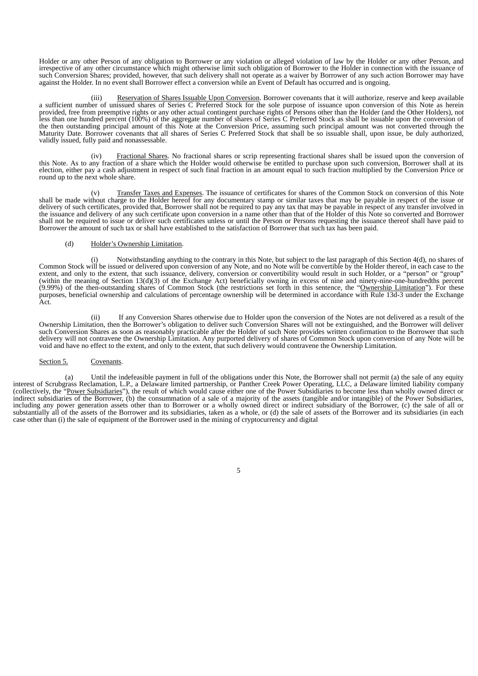Holder or any other Person of any obligation to Borrower or any violation or alleged violation of law by the Holder or any other Person, and irrespective of any other circumstance which might otherwise limit such obligation of Borrower to the Holder in connection with the issuance of such Conversion Shares; provided, however, that such delivery shall not operate as a waiver by Borrower of any such action Borrower may have against the Holder. In no event shall Borrower effect a conversion while an Event of Default has occurred and is ongoing.

(iii) Reservation of Shares Issuable Upon Conversion. Borrower covenants that it will authorize, reserve and keep available a sufficient number of unissued shares of Series C Preferred Stock for the sole purpose of issuance upon conversion of this Note as herein provided, free from preemptive rights or any other actual contingent purchase rights of Persons other than the Holder (and the Other Holders), not less than one hundred percent (100%) of the aggregate number of shares of Series C Preferred Stock as shall be issuable upon the conversion of the then outstanding principal amount of this Note at the Conversion Price, assuming such principal amount was not converted through the Maturity Date. Borrower covenants that all shares of Series C Preferred Stock that sh validly issued, fully paid and nonassessable.

(iv) Fractional Shares. No fractional shares or scrip representing fractional shares shall be issued upon the conversion of this Note. As to any fraction of a share which the Holder would otherwise be entitled to purchase upon such conversion, Borrower shall at its election, either pay a cash adjustment in respect of such final fraction in an amount equal to such fraction multiplied by the Conversion Price or round up to the next whole share.

Transfer Taxes and Expenses. The issuance of certificates for shares of the Common Stock on conversion of this Note shall be made without charge to the Holder hereof for any documentary stamp or similar taxes that may be payable in respect of the issue or delivery of such certificates, provided that, Borrower shall not be required to pay any tax that may be payable in respect of any transfer involved in the issuance and delivery of any such certificate upon conversion in a name other than that of the Holder of this Note so converted and Borrower shall not be required to issue or deliver such certificates unless or until the Person or Persons requesting the issuance thereof shall have paid to Borrower the amount of such tax or shall have established to the satisfaction of Borrower that such tax has been paid.

#### (d) Holder's Ownership Limitation.

(i) Notwithstanding anything to the contrary in this Note, but subject to the last paragraph of this Section 4(d), no shares of Common Stock will be issued or delivered upon conversion of any Note, and no Note will be convertible by the Holder thereof, in each case to the extent, and only to the extent, that such issuance, delivery, conversion or convertibility would result in such Holder, or a "person" or "group" (within the meaning of Section 13(d)(3) of the Exchange Act) beneficially owning in excess of nine and ninety-nine-one-hundredths percent (9.99%) of the then-outstanding shares of Common Stock (the restrictions set forth in this sentence, the "Ownership Limitation"). For these purposes, beneficial ownership and calculations of percentage ownership will be determined in accordance with Rule 13d-3 under the Exchange Act.

(ii) If any Conversion Shares otherwise due to Holder upon the conversion of the Notes are not delivered as a result of the Ownership Limitation, then the Borrower's obligation to deliver such Conversion Shares will not be extinguished, and the Borrower will deliver such Conversion Shares as soon as reasonably practicable after the Holder of such Note provides written confirmation to the Borrower that such such Conversion Shares as soon as reasonably practicable after the Holder of su delivery will not contravene the Ownership Limitation. Any purported delivery of shares of Common Stock upon conversion of any Note will be void and have no effect to the extent, and only to the extent, that such delivery would contravene the Ownership Limitation.

#### Section 5. Covenants.

(a) Until the indefeasible payment in full of the obligations under this Note, the Borrower shall not permit (a) the sale of any equity interest of Scrubgrass Reclamation, L.P., a Delaware limited partnership, or Panther Creek Power Operating, LLC, a Delaware limited liability company (collectively, the "Power Subsidiaries"), the result of which would cause either one of the Power Subsidiaries to become less than wholly owned direct or indirect subsidiaries of the Borrower, (b) the consummation of a sale of a majority of the assets (tangible and/or intangible) of the Power Subsidiaries, including any power generation assets other than to Borrower or a wholly owned direct or indirect subsidiary of the Borrower, (c) the sale of all or substantially all of the assets of the Borrower and its subsidiaries, taken as a whole, or (d) the sale of assets of the Borrower and its subsidiaries (in each case other than (i) the sale of equipment of the Borrower used in the mining of cryptocurrency and digital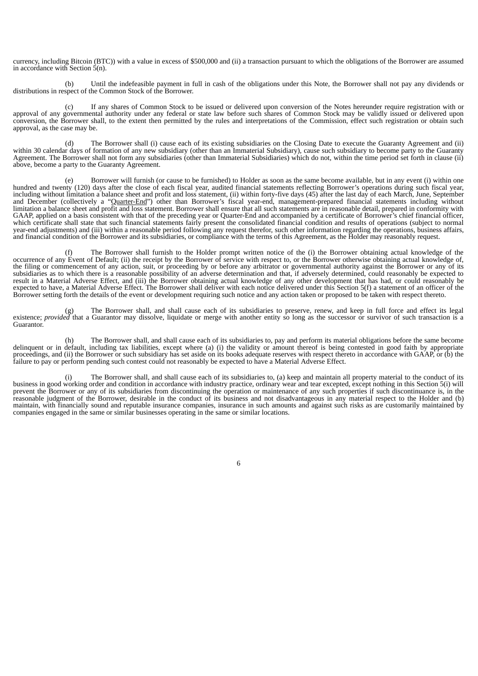currency, including Bitcoin (BTC)) with a value in excess of \$500,000 and (ii) a transaction pursuant to which the obligations of the Borrower are assumed in accordance with Section 5(n).

(b) Until the indefeasible payment in full in cash of the obligations under this Note, the Borrower shall not pay any dividends or distributions in respect of the Common Stock of the Borrower.

(c) If any shares of Common Stock to be issued or delivered upon conversion of the Notes hereunder require registration with or approval of any governmental authority under any federal or state law before such shares of Common Stock may be validly issued or delivered upon conversion, the Borrower shall, to the extent then permitted by the rules and interpretations of the Commission, effect such registration or obtain such approval, as the case may be.

The Borrower shall (i) cause each of its existing subsidiaries on the Closing Date to execute the Guaranty Agreement and (ii) within 30 calendar days of formation of any new subsidiary (other than an Immaterial Subsidiary), cause such subsidiary to become party to the Guaranty Agreement. The Borrower shall not form any subsidiaries (other than Immaterial Subsidiaries) which do not, within the time period set forth in clause (ii) above, become a party to the Guaranty Agreement.

(e) Borrower will furnish (or cause to be furnished) to Holder as soon as the same become available, but in any event (i) within one hundred and twenty (120) days after the close of each fiscal year, audited financial statements reflecting Borrower's operations during such fiscal year, including without limitation a balance sheet and profit and loss statement, (ii) within forty-five days (45) after the last day of each March, June, September and December (collectively a "Quarter-End") other than Borrower's fiscal year-end, management-prepared financial statements including without limitation a balance sheet and profit and loss statement. Borrower shall ensure that all such statements are in reasonable detail, prepared in conformity with GAAP, applied on a basis consistent with that of the preceding year or Quarter-End and accompanied by a certificate of Borrower's chief financial officer, which certificate shall state that such financial statements fairly present the consolidated financial condition and results of operations (subject to normal year-end adjustments) and (iii) within a reasonable period following any request therefor, such other information regarding the operations, business affairs, and financial condition of the Borrower and its subsidiaries, or compliance with the terms of this Agreement, as the Holder may reasonably request.

The Borrower shall furnish to the Holder prompt written notice of the (i) the Borrower obtaining actual knowledge of the occurrence of any Event of Default; (ii) the receipt by the Borrower of service with respect to, or the Borrower otherwise obtaining actual knowledge of, the filing or commencement of any action, suit, or proceeding by or before any arbitrator or governmental authority against the Borrower or any of its subsidiaries as to which there is a reasonable possibility of an adverse determination and that, if adversely determined, could reasonably be expected to result in a Material Adverse Effect, and (iii) the Borrower obtaining actual knowledge of any other development that has had, or could reasonably be expected to have, a Material Adverse Effect. The Borrower shall deliver with each notice delivered under this Section 5(f) a statement of an officer of the Borrower setting forth the details of the event or development requiring such notice and any action taken or proposed to be taken with respect thereto.

(g) The Borrower shall, and shall cause each of its subsidiaries to preserve, renew, and keep in full force and effect its legal existence; *provided* that a Guarantor may dissolve, liquidate or merge with another entity so long as the successor or survivor of such transaction is a Guarantor.

The Borrower shall, and shall cause each of its subsidiaries to, pay and perform its material obligations before the same become delinquent or in default, including tax liabilities, except where (a) (i) the validity or amount thereof is being contested in good faith by appropriate proceedings, and (ii) the Borrower or such subsidiary has set aside on its books adequate reserves with respect thereto in accordance with GAAP, or (b) the failure to pay or perform pending such contest could not reasonably be expected to have a Material Adverse Effect.

(i) The Borrower shall, and shall cause each of its subsidiaries to, (a) keep and maintain all property material to the conduct of its business in good working order and condition in accordance with industry practice, ordinary wear and tear excepted, except nothing in this Section 5(i) will prevent the Borrower or any of its subsidiaries from discontinuing the operation or maintenance of any such properties if such discontinuance is, in the reasonable judgment of the Borrower, desirable in the conduct of its business and not disadvantageous in any material respect to the Holder and (b) maintain, with financially sound and reputable insurance companies, insurance in such amounts and against such risks as are customarily maintained by companies engaged in the same or similar businesses operating in the same or similar locations.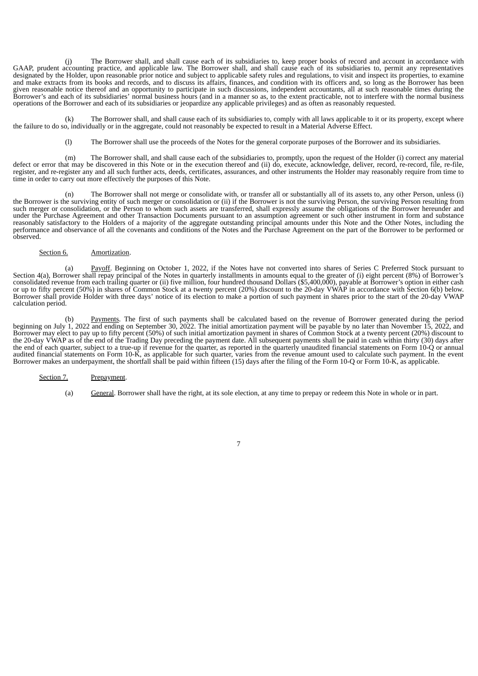(j) The Borrower shall, and shall cause each of its subsidiaries to, keep proper books of record and account in accordance with GAAP, prudent accounting practice, and applicable law. The Borrower shall, and shall cause each of its subsidiaries to, permit any representatives designated by the Holder, upon reasonable prior notice and subject to applicable safety rules and regulations, to visit and inspect its properties, to examine and make extracts from its books and records, and to discuss its affairs, finances, and condition with its officers and, so long as the Borrower has been given reasonable notice thereof and an opportunity to participate in such discussions, independent accountants, all at such reasonable times during the Borrower's and each of its subsidiaries' normal business hours (and in a manner so as, to the extent practicable, not to interfere with the normal business operations of the Borrower and each of its subsidiaries or jeopardize any applicable privileges) and as often as reasonably requested.

(k) The Borrower shall, and shall cause each of its subsidiaries to, comply with all laws applicable to it or its property, except where the failure to do so, individually or in the aggregate, could not reasonably be expected to result in a Material Adverse Effect.

(l) The Borrower shall use the proceeds of the Notes for the general corporate purposes of the Borrower and its subsidiaries.

(m) The Borrower shall, and shall cause each of the subsidiaries to, promptly, upon the request of the Holder (i) correct any material defect or error that may be discovered in this Note or in the execution thereof and (ii) do, execute, acknowledge, deliver, record, re-record, file, re-file, register, and re-register any and all such further acts, deeds, certificates, assurances, and other instruments the Holder may reasonably require from time to time in order to carry out more effectively the purposes of this Note.

(n) The Borrower shall not merge or consolidate with, or transfer all or substantially all of its assets to, any other Person, unless (i) the Borrower is the surviving entity of such merger or consolidation or (ii) if the Borrower is not the surviving Person, the surviving Person resulting from such merger or consolidation, or the Person to whom such assets are transferred, shall expressly assume the obligations of the Borrower hereunder and under the Purchase Agreement and other Transaction Documents pursuant to an assumption agreement or such other instrument in form and substance reasonably satisfactory to the Holders of a majority of the aggregate outstanding principal amounts under this Note and the Other Notes, including the performance and observance of all the covenants and conditions of the Notes and the Purchase Agreement on the part of the Borrower to be performed or observed.

#### Section 6. **Amortization.**

(a) Payoff. Beginning on October 1, 2022, if the Notes have not converted into shares of Series C Preferred Stock pursuant to Section 4(a), Borrower shall repay principal of the Notes in quarterly installments in amounts equal to the greater of (i) eight percent (8%) of Borrower's consolidated revenue from each trailing quarter or (ii) five million, four hundred thousand Dollars (\$5,400,000), payable at Borrower's option in either cash or up to fifty percent (50%) in shares of Common Stock at a twenty percent (20%) discount to the 20-day VWAP in accordance with Section 6(b) below. Borrower shall provide Holder with three days' notice of its election to make a portion of such payment in shares prior to the start of the 20-day VWAP calculation period.

Payments. The first of such payments shall be calculated based on the revenue of Borrower generated during the period beginning on July 1, 2022 and ending on September 30, 2022. The initial amortization payment will be payable by no later than November 15, 2022, and Borrower may elect to pay up to fifty percent (50%) of such initial amortization payment in shares of Common Stock at a twenty percent (20%) discount to the 20-day VWAP as of the end of the Trading Day preceding the payment date. All subsequent payments shall be paid in cash within thirty (30) days after the end of each quarter, subject to a true-up if revenue for the quarter, as reported in the quarterly unaudited financial statements on Form 10-Q or annual audited financial statements on Form 10-K, as applicable for such quarter, varies from the revenue amount used to calculate such payment. In the event Borrower makes an underpayment, the shortfall shall be paid within fifteen (15) days after the filing of the Form 10-Q or Form 10-K, as applicable.

#### Section 7. Prepayment.

<sup>(</sup>a) General. Borrower shall have the right, at its sole election, at any time to prepay or redeem this Note in whole or in part.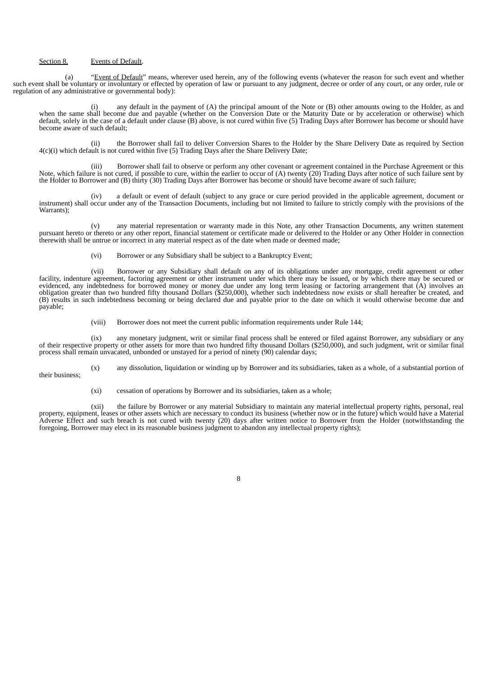#### Section 8. Events of Default.

(a) "Event of Default" means, wherever used herein, any of the following events (whatever the reason for such event and whether such event shall be voluntary or involuntary or effected by operation of law or pursuant to any judgment, decree or order of any court, or any order, rule or regulation of any administrative or governmental body):

any default in the payment of (A) the principal amount of the Note or (B) other amounts owing to the Holder, as and when the same shall become due and payable (whether on the Conversion Date or the Maturity Date or by acceleration or otherwise) which default, solely in the case of a default under clause (B) above, is not cured within five (5) Trading Days after Borrower has become or should have become aware of such default;

(ii) the Borrower shall fail to deliver Conversion Shares to the Holder by the Share Delivery Date as required by Section 4(c)(i) which default is not cured within five (5) Trading Days after the Share Delivery Date;

(iii) Borrower shall fail to observe or perform any other covenant or agreement contained in the Purchase Agreement or this Note, which failure is not cured, if possible to cure, within the earlier to occur of (A) twenty (20) Trading Days after notice of such failure sent by the Holder to Borrower and (B) thirty (30) Trading Days after Borrower has become or should have become aware of such failure;

(iv) a default or event of default (subject to any grace or cure period provided in the applicable agreement, document or instrument) shall occur under any of the Transaction Documents, including but not limited to failure to strictly comply with the provisions of the Warrants);

(v) any material representation or warranty made in this Note, any other Transaction Documents, any written statement pursuant hereto or thereto or any other report, financial statement or certificate made or delivered to the Holder or any Other Holder in connection therewith shall be untrue or incorrect in any material respect as of the date when made or deemed made;

(vi) Borrower or any Subsidiary shall be subject to a Bankruptcy Event;

(vii) Borrower or any Subsidiary shall default on any of its obligations under any mortgage, credit agreement or other facility, indenture agreement, factoring agreement or other instrument under which there may be issued, or by which there may be secured or evidenced, any indebtedness for borrowed money or money due under any long term leasing or factoring arrangement that (A) involves an obligation greater than two hundred fifty thousand Dollars (\$250,000), whether such indebtedness now exists or shall hereafter be created, and (B) results in such indebtedness becoming or being declared due and payable prior to the date on which it would otherwise become due and payable;

(viii) Borrower does not meet the current public information requirements under Rule 144;

(ix) any monetary judgment, writ or similar final process shall be entered or filed against Borrower, any subsidiary or any of their respective property or other assets for more than two hundred fifty thousand Dollars (\$250,000), and such judgment, writ or similar final process shall remain unvacated, unbonded or unstayed for a period of ninety (90) calendar days;

their business;

(x) any dissolution, liquidation or winding up by Borrower and its subsidiaries, taken as a whole, of a substantial portion of

(xi) cessation of operations by Borrower and its subsidiaries, taken as a whole;

(xii) the failure by Borrower or any material Subsidiary to maintain any material intellectual property rights, personal, real property, equipment, leases or other assets which are necessary to conduct its business (whether now or in the future) which would have a Material Adverse Effect and such breach is not cured with twenty (20) days after written notice to Borrower from the Holder (notwithstanding the foregoing, Borrower may elect in its reasonable business judgment to abandon any intellectual property rights);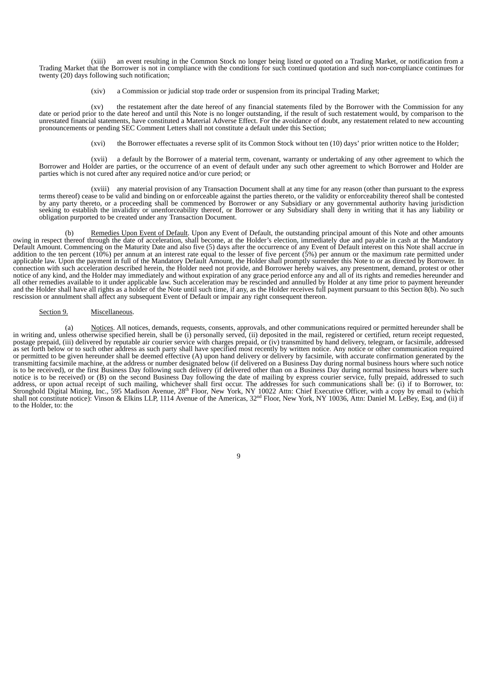(xiii) an event resulting in the Common Stock no longer being listed or quoted on a Trading Market, or notification from a Trading Market that the Borrower is not in compliance with the conditions for such continued quotation and such non-compliance continues for twenty (20) days following such notification;

(xiv) a Commission or judicial stop trade order or suspension from its principal Trading Market;

(xv) the restatement after the date hereof of any financial statements filed by the Borrower with the Commission for any date or period prior to the date hereof and until this Note is no longer outstanding, if the result of such restatement would, by comparison to the unrestated financial statements, have constituted a Material Adverse Effect. For the avoidance of doubt, any restatement related to new accounting pronouncements or pending SEC Comment Letters shall not constitute a default under this Section;

(xvi) the Borrower effectuates a reverse split of its Common Stock without ten (10) days' prior written notice to the Holder;

(xvii) a default by the Borrower of a material term, covenant, warranty or undertaking of any other agreement to which the Borrower and Holder are parties, or the occurrence of an event of default under any such other agreement to which Borrower and Holder are parties which is not cured after any required notice and/or cure period; or

(xviii) any material provision of any Transaction Document shall at any time for any reason (other than pursuant to the express terms thereof) cease to be valid and binding on or enforceable against the parties thereto, or the validity or enforceability thereof shall be contested by any party thereto, or a proceeding shall be commenced by Borrower or any Subsidiary or any governmental authority having jurisdiction seeking to establish the invalidity or unenforceability thereof, or Borrower or any Subsidiary shall deny in writing that it has any liability or obligation purported to be created under any Transaction Document.

Remedies Upon Event of Default. Upon any Event of Default, the outstanding principal amount of this Note and other amounts owing in respect thereof through the date of acceleration, shall become, at the Holder's election, immediately due and payable in cash at the Mandatory Default Amount. Commencing on the Maturity Date and also five (5) days after the occurrence of any Event of Default interest on this Note shall accrue in addition to the ten percent (10%) per annum at an interest rate equal to the lesser of five percent (5%) per annum or the maximum rate permitted under applicable law. Upon the payment in full of the Mandatory Default Amount, the Holder shall promptly surrender this Note to or as directed by Borrower. In connection with such acceleration described herein, the Holder need not provide, and Borrower hereby waives, any presentment, demand, protest or other notice of any kind, and the Holder may immediately and without expiration of any grace period enforce any and all of its rights and remedies hereunder and all other remedies available to it under applicable law. Such acceleration may be rescinded and annulled by Holder at any time prior to payment hereunder and the Holder shall have all rights as a holder of the Note until such time, if any, as the Holder receives full payment pursuant to this Section 8(b). No such rescission or annulment shall affect any subsequent Event of Default or impair any right consequent thereon.

#### Section 9. Miscellaneous.

(a) Notices. All notices, demands, requests, consents, approvals, and other communications required or permitted hereunder shall be in writing and, unless otherwise specified herein, shall be (i) personally served, (ii) deposited in the mail, registered or certified, return receipt requested, postage prepaid, (iii) delivered by reputable air courier service with charges prepaid, or (iv) transmitted by hand delivery, telegram, or facsimile, addressed as set forth below or to such other address as such party shall have specified most recently by written notice. Any notice or other communication required or permitted to be given hereunder shall be deemed effective (A) upon hand delivery or delivery by facsimile, with accurate confirmation generated by the transmitting facsimile machine, at the address or number designated below (if delivered on a Business Day during normal business hours where such notice is to be received), or the first Business Day following such delivery (if delivered other than on a Business Day during normal business hours where such notice is to be received) or (B) on the second Business Day following the date of mailing by express courier service, fully prepaid, addressed to such address, or upon actual receipt of such mailing, whichever shall first occur. The addresses for such communications shall be: (i) if to Borrower, to: Stronghold Digital Mining, Inc., 595 Madison Avenue,  $28<sup>th</sup>$  Floor, New York, NY 10022 Attn: Chief Executive Officer, with a copy by email to (which shall not constitute notice): Vinson & Elkins LLP, 1114 Avenue of the Americas, 32<sup>nd</sup> Floor, New York, NY 10036, Attn: Daniel M. LeBey, Esq, and (ii) if to the Holder, to: the th nd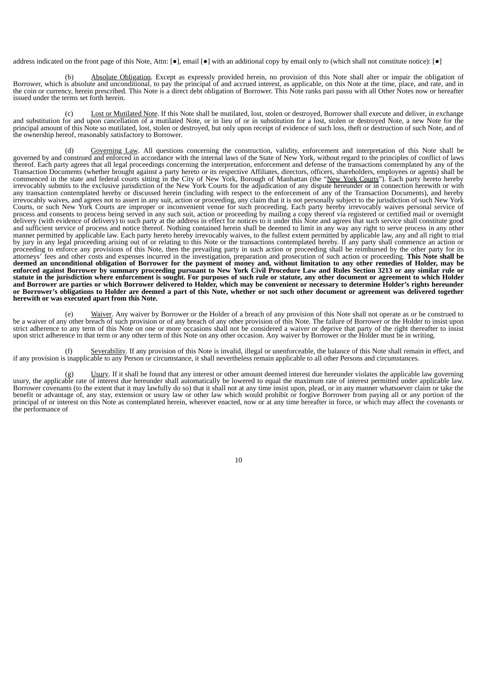address indicated on the front page of this Note, Attn: [●], email [●] with an additional copy by email only to (which shall not constitute notice): [●]

(b) Absolute Obligation. Except as expressly provided herein, no provision of this Note shall alter or impair the obligation of Borrower, which is absolute and unconditional, to pay the principal of and accrued interest, as applicable, on this Note at the time, place, and rate, and in the coin or currency, herein prescribed. This Note is a direct debt obligation of Borrower. This Note ranks pari passu with all Other Notes now or hereafter issued under the terms set forth herein.

(c) Lost or Mutilated Note. If this Note shall be mutilated, lost, stolen or destroyed, Borrower shall execute and deliver, in exchange and substitution for and upon cancellation of a mutilated Note, or in lieu of or in substitution for a lost, stolen or destroyed Note, a new Note for the principal amount of this Note so mutilated, lost, stolen or destroyed, but only upon receipt of evidence of such loss, theft or destruction of such Note, and of the ownership hereof, reasonably satisfactory to Borrower.

(d) Governing Law. All questions concerning the construction, validity, enforcement and interpretation of this Note shall be governed by and construed and enforced in accordance with the internal laws of the State of New York, without regard to the principles of conflict of laws thereof. Each party agrees that all legal proceedings concerning the interpretation, enforcement and defense of the transactions contemplated by any of the Transaction Documents (whether brought against a party hereto or its respective Affiliates, directors, officers, shareholders, employees or agents) shall be commenced in the state and federal courts sitting in the City of New York, Borough of Manhattan (the "New York Courts"). Each party hereto hereby irrevocably submits to the exclusive jurisdiction of the New York Courts for the adjudication of any dispute hereunder or in connection herewith or with any transaction contemplated hereby or discussed herein (including with respect to the enforcement of any of the Transaction Documents), and hereby irrevocably waives, and agrees not to assert in any suit, action or proceeding, any claim that it is not personally subject to the jurisdiction of such New York Courts, or such New York Courts are improper or inconvenient venue for such proceeding. Each party hereby irrevocably waives personal service of process and consents to process being served in any such suit, action or proceeding by mailing a copy thereof via registered or certified mail or overnight delivery (with evidence of delivery) to such party at the address in effect for notices to it under this Note and agrees that such service shall constitute good and sufficient service of process and notice thereof. Nothing contained herein shall be deemed to limit in any way any right to serve process in any other manner permitted by applicable law. Each party hereto hereby irrevocably waives, to the fullest extent permitted by applicable law, any and all right to trial by jury in any legal proceeding arising out of or relating to this Note or the transactions contemplated hereby. If any party shall commence an action or proceeding to enforce any provisions of this Note, then the prevailing party in such action or proceeding shall be reimbursed by the other party for its attorneys' fees and other costs and expenses incurred in the investigation, preparation and prosecution of such action or proceeding. **This Note shall be** deemed an unconditional obligation of Borrower for the payment of money and, without limitation to any other remedies of Holder, may be enforced against Borrower by summary proceeding pursuant to New York Civil Procedure Law and Rules Section 3213 or any similar rule or statute in the jurisdiction where enforcement is sought. For purposes of such rule or statute, any other document or agreement to which Holder and Borrower are parties or which Borrower delivered to Holder, which may be convenient or necessary to determine Holder's rights hereunder or Borrower's obligations to Holder are deemed a part of this Note, whether or not such other document or agreement was delivered together **herewith or was executed apart from this Note.**

(e) Waiver. Any waiver by Borrower or the Holder of a breach of any provision of this Note shall not operate as or be construed to be a waiver of any other breach of such provision or of any breach of any other provision of this Note. The failure of Borrower or the Holder to insist upon strict adherence to any term of this Note on one or more occasions shall not be considered a waiver or deprive that party of the right thereafter to insist upon strict adherence to that term or any other term of this Note on any other occasion. Any waiver by Borrower or the Holder must be in writing.

(f) Severability. If any provision of this Note is invalid, illegal or unenforceable, the balance of this Note shall remain in effect, and if any provision is inapplicable to any Person or circumstance, it shall nevertheless remain applicable to all other Persons and circumstances.

Usury. If it shall be found that any interest or other amount deemed interest due hereunder violates the applicable law governing usury, the applicable rate of interest due hereunder shall automatically be lowered to equal the maximum rate of interest permitted under applicable law. Borrower covenants (to the extent that it may lawfully do so) that it shall not at any time insist upon, plead, or in any manner whatsoever claim or take the benefit or advantage of, any stay, extension or usury law or other law which would prohibit or forgive Borrower from paying all or any portion of the principal of or interest on this Note as contemplated herein, wherever enacted, now or at any time hereafter in force, or which may affect the covenants or the performance of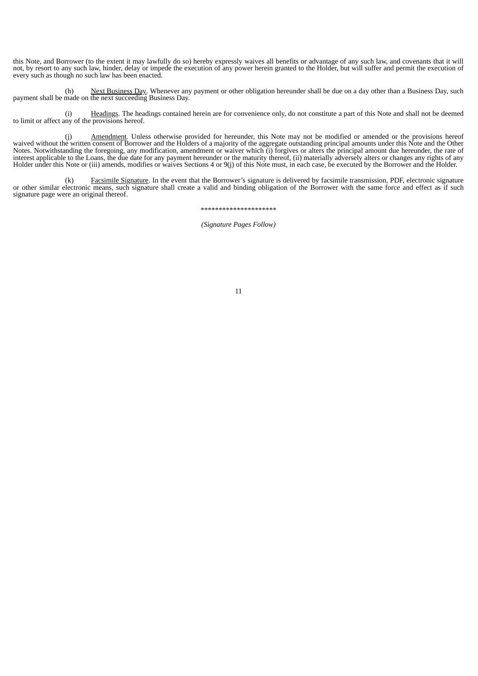this Note, and Borrower (to the extent it may lawfully do so) hereby expressly waives all benefits or advantage of any such law, and covenants that it will not, by resort to any such law, hinder, delay or impede the execution of any power herein granted to the Holder, but will suffer and permit the execution of every such as though no such law has been enacted.

(h) Next Business Day. Whenever any payment or other obligation hereunder shall be due on a day other than a Business Day, such payment shall be made on the next succeeding Business Day.

(i) Headings. The headings contained herein are for convenience only, do not constitute a part of this Note and shall not be deemed to limit or affect any of the provisions hereof.

(j) Amendment. Unless otherwise provided for hereunder, this Note may not be modified or amended or the provisions hereof waived without the written consent of Borrower and the Holders of a majority of the aggregate outstanding principal amounts under this Note and the Other Notes. Notwithstanding the foregoing, any modification, amendment or waiver which (i) forgives or alters the principal amount due hereunder, the rate of interest applicable to the Loans, the due date for any payment hereunder or the maturity thereof, (ii) materially adversely alters or changes any rights of any Holder under this Note or (iii) amends, modifies or waives Sections 4 or 9(j) of this Note must, in each case, be executed by the Borrower and the Holder.

(k) Facsimile Signature. In the event that the Borrower's signature is delivered by facsimile transmission, PDF, electronic signature or other similar electronic means, such signature shall create a valid and binding obligation of the Borrower with the same force and effect as if such signature page were an original thereof.

#### \*\*\*\*\*\*\*\*\*\*\*\*\*\*\*\*\*\*\*\*\*

*(Signature Pages Follow)*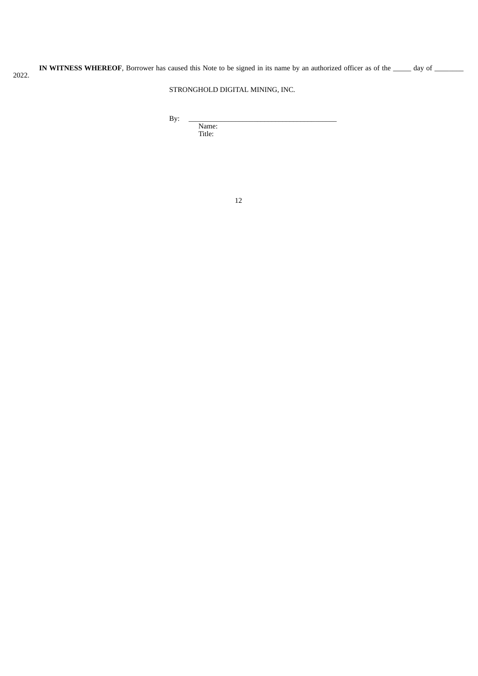**IN WITNESS WHEREOF**, Borrower has caused this Note to be signed in its name by an authorized officer as of the \_\_\_\_\_ day of \_\_\_\_\_\_\_ 2022.

STRONGHOLD DIGITAL MINING, INC.

By: \_\_\_\_\_\_\_\_\_\_\_\_\_\_\_\_\_\_\_\_\_\_\_\_\_\_\_\_\_\_\_\_\_\_\_\_\_\_\_\_\_

Name: Title: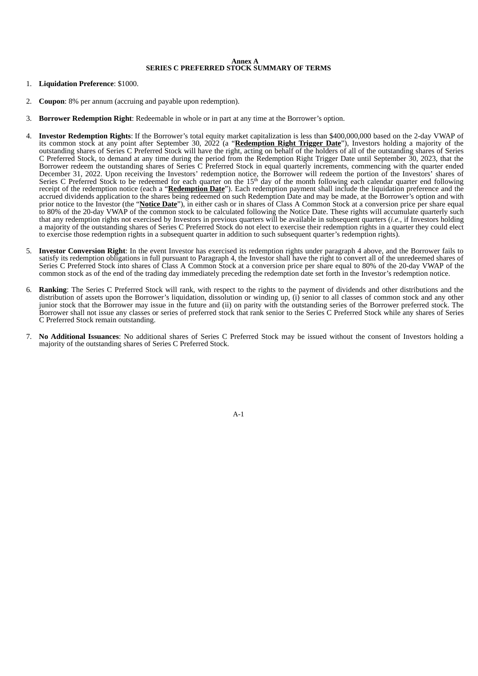#### **Annex A SERIES C PREFERRED STOCK SUMMARY OF TERMS**

- 1. **Liquidation Preference**: \$1000.
- 2. **Coupon**: 8% per annum (accruing and payable upon redemption).
- 3. **Borrower Redemption Right**: Redeemable in whole or in part at any time at the Borrower's option.
- 4. **Investor Redemption Rights**: If the Borrower's total equity market capitalization is less than \$400,000,000 based on the 2-day VWAP of its common stock at any point after September 30, 2022 (a "**Redemption Right Trigger Date**"), Investors holding a majority of the outstanding shares of Series C Preferred Stock will have the right, acting on behalf of the holders of all of the outstanding shares of Series C Preferred Stock, to demand at any time during the period from the Redemption Right Trigger Date until September 30, 2023, that the Borrower redeem the outstanding shares of Series C Preferred Stock in equal quarterly increments, commencing with the quarter ended December 31, 2022. Upon receiving the Investors' redemption notice, the Borrower will redeem the portion of the Investors' shares of Series C Preferred Stock to be redeemed for each quarter on the  $15<sup>th</sup>$  day of the month following each calendar quarter end following receipt of the redemption notice (each a "**Redemption Date**"). Each redemption payment shall include the liquidation preference and the accrued dividends application to the shares being redeemed on such Redemption Date and may be made, at the Borrower's option and with prior notice to the Investor (the "**Notice Date**"), in either cash or in shares of Class A Common Stock at a conversion price per share equal to 80% of the 20-day VWAP of the common stock to be calculated following the Notice Date. These rights will accumulate quarterly such that any redemption rights not exercised by Investors in previous quarters will be available in subsequent quarters (*i.e.,* if Investors holding a majority of the outstanding shares of Series C Preferred Stock do not elect to exercise their redemption rights in a quarter they could elect to exercise those redemption rights in a subsequent quarter in addition to such subsequent quarter's redemption rights).
- 5. **Investor Conversion Right**: In the event Investor has exercised its redemption rights under paragraph 4 above, and the Borrower fails to satisfy its redemption obligations in full pursuant to Paragraph 4, the Investor shall have the right to convert all of the unredeemed shares of Series C Preferred Stock into shares of Class A Common Stock at a conversion price per share equal to 80% of the 20-day VWAP of the common stock as of the end of the trading day immediately preceding the redemption date set forth in the Investor's redemption notice.
- 6. **Ranking**: The Series C Preferred Stock will rank, with respect to the rights to the payment of dividends and other distributions and the distribution of assets upon the Borrower's liquidation, dissolution or winding up, (i) senior to all classes of common stock and any other junior stock that the Borrower may issue in the future and (ii) on parity with the outstanding series of the Borrower preferred stock. The Borrower shall not issue any classes or series of preferred stock that rank senior to the Series C Preferred Stock while any shares of Series C Preferred Stock remain outstanding.
- 7. **No Additional Issuances**: No additional shares of Series C Preferred Stock may be issued without the consent of Investors holding a majority of the outstanding shares of Series C Preferred Stock.

A-1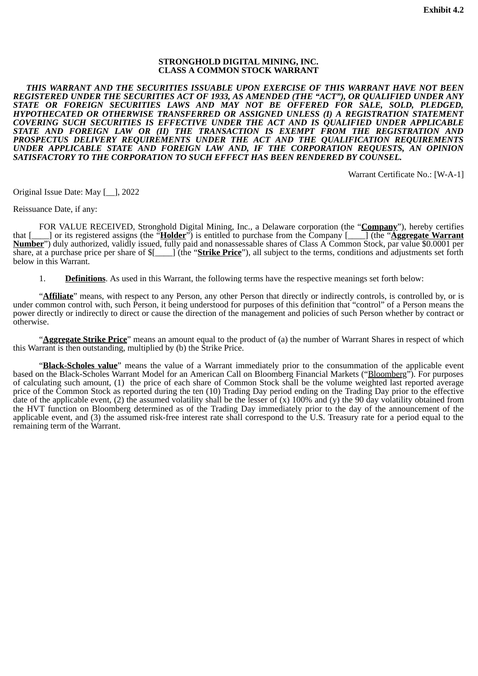### **STRONGHOLD DIGITAL MINING, INC. CLASS A COMMON STOCK WARRANT**

<span id="page-17-0"></span>*THIS WARRANT AND THE SECURITIES ISSUABLE UPON EXERCISE OF THIS WARRANT HAVE NOT BEEN REGISTERED UNDER THE SECURITIES ACT OF 1933, AS AMENDED (THE "ACT"), OR QUALIFIED UNDER ANY STATE OR FOREIGN SECURITIES LAWS AND MAY NOT BE OFFERED FOR SALE, SOLD, PLEDGED, HYPOTHECATED OR OTHERWISE TRANSFERRED OR ASSIGNED UNLESS (I) A REGISTRATION STATEMENT COVERING SUCH SECURITIES IS EFFECTIVE UNDER THE ACT AND IS QUALIFIED UNDER APPLICABLE STATE AND FOREIGN LAW OR (II) THE TRANSACTION IS EXEMPT FROM THE REGISTRATION AND PROSPECTUS DELIVERY REQUIREMENTS UNDER THE ACT AND THE QUALIFICATION REQUIREMENTS UNDER APPLICABLE STATE AND FOREIGN LAW AND, IF THE CORPORATION REQUESTS, AN OPINION SATISFACTORY TO THE CORPORATION TO SUCH EFFECT HAS BEEN RENDERED BY COUNSEL.*

Warrant Certificate No.: [W-A-1]

Original Issue Date: May [\_\_], 2022

Reissuance Date, if any:

FOR VALUE RECEIVED, Stronghold Digital Mining, Inc., a Delaware corporation (the "**Company**"), hereby certifies that [\_\_\_\_] or its registered assigns (the "**Holder**") is entitled to purchase from the Company [\_\_\_\_] (the "**Aggregate Warrant Number**") duly authorized, validly issued, fully paid and nonassessable shares of Class A Common Stock, par value \$0.0001 per share, at a purchase price per share of \$[\_\_\_\_] (the "**Strike Price**"), all subject to the terms, conditions and adjustments set forth below in this Warrant.

1. **Definitions**. As used in this Warrant, the following terms have the respective meanings set forth below:

"**Affiliate**" means, with respect to any Person, any other Person that directly or indirectly controls, is controlled by, or is under common control with, such Person, it being understood for purposes of this definition that "control" of a Person means the power directly or indirectly to direct or cause the direction of the management and policies of such Person whether by contract or otherwise.

"**Aggregate Strike Price**" means an amount equal to the product of (a) the number of Warrant Shares in respect of which this Warrant is then outstanding, multiplied by (b) the Strike Price.

"**Black-Scholes value**" means the value of a Warrant immediately prior to the consummation of the applicable event based on the Black-Scholes Warrant Model for an American Call on Bloomberg Financial Markets ("Bloomberg"). For purposes of calculating such amount, (1) the price of each share of Common Stock shall be the volume weighted last reported average price of the Common Stock as reported during the ten (10) Trading Day period ending on the Trading Day prior to the effective date of the applicable event, (2) the assumed volatility shall be the lesser of (x) 100% and (y) the 90 day volatility obtained from the HVT function on Bloomberg determined as of the Trading Day immediately prior to the day of the announcement of the applicable event, and (3) the assumed risk-free interest rate shall correspond to the U.S. Treasury rate for a period equal to the remaining term of the Warrant.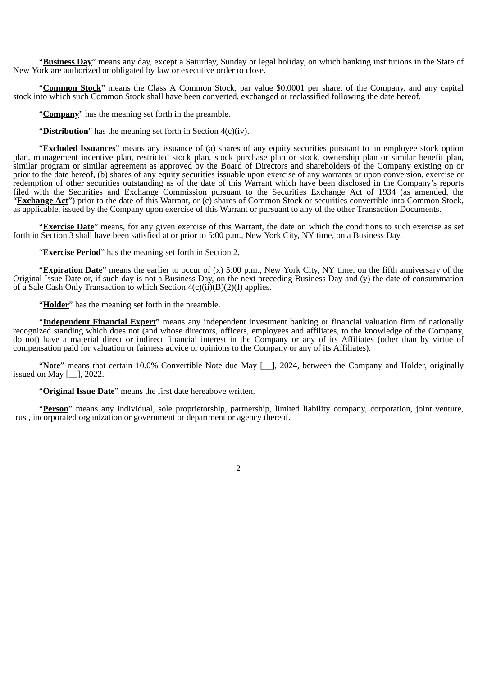"**Business Day**" means any day, except a Saturday, Sunday or legal holiday, on which banking institutions in the State of New York are authorized or obligated by law or executive order to close.

"**Common Stock**" means the Class A Common Stock, par value \$0.0001 per share, of the Company, and any capital stock into which such Common Stock shall have been converted, exchanged or reclassified following the date hereof.

"**Company**" has the meaning set forth in the preamble.

"**Distribution**" has the meaning set forth in Section 4(c)(iv).

"**Excluded Issuances**" means any issuance of (a) shares of any equity securities pursuant to an employee stock option plan, management incentive plan, restricted stock plan, stock purchase plan or stock, ownership plan or similar benefit plan, similar program or similar agreement as approved by the Board of Directors and shareholders of the Company existing on or prior to the date hereof, (b) shares of any equity securities issuable upon exercise of any warrants or upon conversion, exercise or redemption of other securities outstanding as of the date of this Warrant which have been disclosed in the Company's reports filed with the Securities and Exchange Commission pursuant to the Securities Exchange Act of 1934 (as amended, the "**Exchange Act**") prior to the date of this Warrant, or (c) shares of Common Stock or securities convertible into Common Stock, as applicable, issued by the Company upon exercise of this Warrant or pursuant to any of the other Transaction Documents.

"**Exercise Date**" means, for any given exercise of this Warrant, the date on which the conditions to such exercise as set forth in Section 3 shall have been satisfied at or prior to 5:00 p.m., New York City, NY time, on a Business Day.

"**Exercise Period**" has the meaning set forth in Section 2.

"**Expiration Date**" means the earlier to occur of (x) 5:00 p.m., New York City, NY time, on the fifth anniversary of the Original Issue Date or, if such day is not a Business Day, on the next preceding Business Day and (y) the date of consummation of a Sale Cash Only Transaction to which Section  $4(c)(ii)(B)(2)(I)$  applies.

"**Holder**" has the meaning set forth in the preamble.

"**Independent Financial Expert**" means any independent investment banking or financial valuation firm of nationally recognized standing which does not (and whose directors, officers, employees and affiliates, to the knowledge of the Company, do not) have a material direct or indirect financial interest in the Company or any of its Affiliates (other than by virtue of compensation paid for valuation or fairness advice or opinions to the Company or any of its Affiliates).

"**Note**" means that certain 10.0% Convertible Note due May [\_\_], 2024, between the Company and Holder, originally issued on May [\_\_], 2022.

"**Original Issue Date**" means the first date hereabove written.

"**Person**" means any individual, sole proprietorship, partnership, limited liability company, corporation, joint venture, trust, incorporated organization or government or department or agency thereof.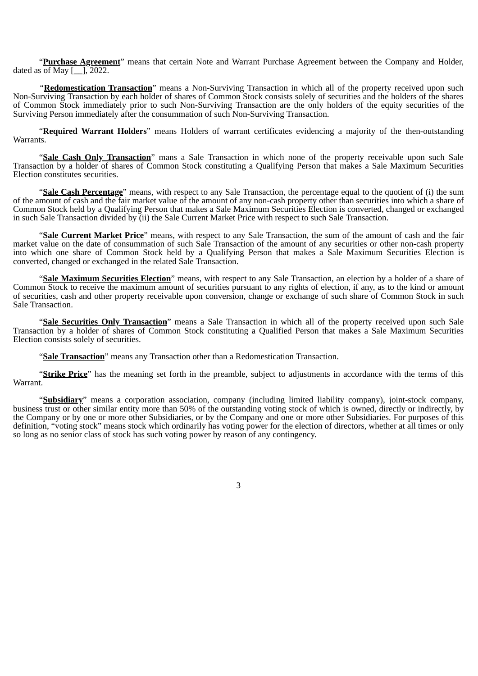"**Purchase Agreement**" means that certain Note and Warrant Purchase Agreement between the Company and Holder, dated as of May  $[\_]$ , 2022.

*"***Redomestication Transaction**" means a Non-Surviving Transaction in which all of the property received upon such Non-Surviving Transaction by each holder of shares of Common Stock consists solely of securities and the holders of the shares of Common Stock immediately prior to such Non-Surviving Transaction are the only holders of the equity securities of the Surviving Person immediately after the consummation of such Non-Surviving Transaction.

"**Required Warrant Holders**" means Holders of warrant certificates evidencing a majority of the then-outstanding Warrants.

"**Sale Cash Only Transaction**" mans a Sale Transaction in which none of the property receivable upon such Sale Transaction by a holder of shares of Common Stock constituting a Qualifying Person that makes a Sale Maximum Securities Election constitutes securities.

"**Sale Cash Percentage**" means, with respect to any Sale Transaction, the percentage equal to the quotient of (i) the sum of the amount of cash and the fair market value of the amount of any non-cash property other than securities into which a share of Common Stock held by a Qualifying Person that makes a Sale Maximum Securities Election is converted, changed or exchanged in such Sale Transaction divided by (ii) the Sale Current Market Price with respect to such Sale Transaction.

"**Sale Current Market Price**" means, with respect to any Sale Transaction, the sum of the amount of cash and the fair market value on the date of consummation of such Sale Transaction of the amount of any securities or other non-cash property into which one share of Common Stock held by a Qualifying Person that makes a Sale Maximum Securities Election is converted, changed or exchanged in the related Sale Transaction.

"**Sale Maximum Securities Election**" means, with respect to any Sale Transaction, an election by a holder of a share of Common Stock to receive the maximum amount of securities pursuant to any rights of election, if any, as to the kind or amount of securities, cash and other property receivable upon conversion, change or exchange of such share of Common Stock in such Sale Transaction.

"**Sale Securities Only Transaction**" means a Sale Transaction in which all of the property received upon such Sale Transaction by a holder of shares of Common Stock constituting a Qualified Person that makes a Sale Maximum Securities Election consists solely of securities.

"**Sale Transaction**" means any Transaction other than a Redomestication Transaction.

"**Strike Price**" has the meaning set forth in the preamble, subject to adjustments in accordance with the terms of this Warrant.

"**Subsidiary**" means a corporation association, company (including limited liability company), joint-stock company, business trust or other similar entity more than 50% of the outstanding voting stock of which is owned, directly or indirectly, by the Company or by one or more other Subsidiaries, or by the Company and one or more other Subsidiaries. For purposes of this definition, "voting stock" means stock which ordinarily has voting power for the election of directors, whether at all times or only so long as no senior class of stock has such voting power by reason of any contingency.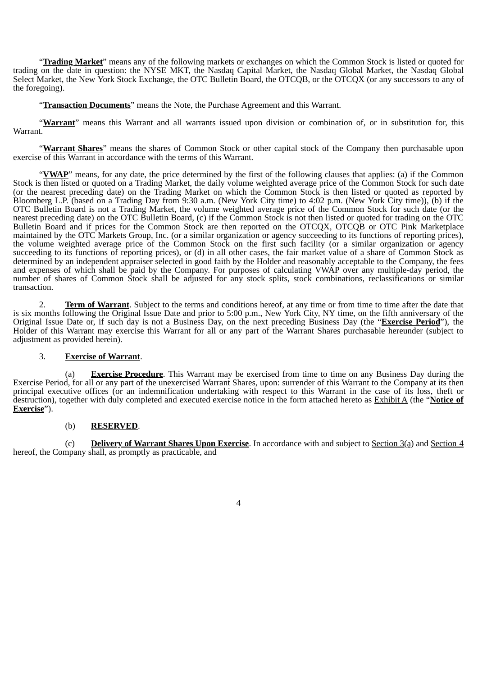"**Trading Market**" means any of the following markets or exchanges on which the Common Stock is listed or quoted for trading on the date in question: the NYSE MKT, the Nasdaq Capital Market, the Nasdaq Global Market, the Nasdaq Global Select Market, the New York Stock Exchange, the OTC Bulletin Board, the OTCQB, or the OTCQX (or any successors to any of the foregoing).

"**Transaction Documents**" means the Note, the Purchase Agreement and this Warrant.

"**Warrant**" means this Warrant and all warrants issued upon division or combination of, or in substitution for, this Warrant.

"**Warrant Shares**" means the shares of Common Stock or other capital stock of the Company then purchasable upon exercise of this Warrant in accordance with the terms of this Warrant.

"**VWAP**" means, for any date, the price determined by the first of the following clauses that applies: (a) if the Common Stock is then listed or quoted on a Trading Market, the daily volume weighted average price of the Common Stock for such date (or the nearest preceding date) on the Trading Market on which the Common Stock is then listed or quoted as reported by Bloomberg L.P. (based on a Trading Day from 9:30 a.m. (New York City time) to 4:02 p.m. (New York City time)), (b) if the OTC Bulletin Board is not a Trading Market, the volume weighted average price of the Common Stock for such date (or the nearest preceding date) on the OTC Bulletin Board, (c) if the Common Stock is not then listed or quoted for trading on the OTC Bulletin Board and if prices for the Common Stock are then reported on the OTCQX, OTCQB or OTC Pink Marketplace maintained by the OTC Markets Group, Inc. (or a similar organization or agency succeeding to its functions of reporting prices), the volume weighted average price of the Common Stock on the first such facility (or a similar organization or agency succeeding to its functions of reporting prices), or (d) in all other cases, the fair market value of a share of Common Stock as determined by an independent appraiser selected in good faith by the Holder and reasonably acceptable to the Company, the fees and expenses of which shall be paid by the Company. For purposes of calculating VWAP over any multiple-day period, the number of shares of Common Stock shall be adjusted for any stock splits, stock combinations, reclassifications or similar transaction.

2. **Term of Warrant**. Subject to the terms and conditions hereof, at any time or from time to time after the date that is six months following the Original Issue Date and prior to 5:00 p.m., New York City, NY time, on the fifth anniversary of the Original Issue Date or, if such day is not a Business Day, on the next preceding Business Day (the "**Exercise Period**"), the Holder of this Warrant may exercise this Warrant for all or any part of the Warrant Shares purchasable hereunder (subject to adjustment as provided herein).

# 3. **Exercise of Warrant**.

(a) **Exercise Procedure**. This Warrant may be exercised from time to time on any Business Day during the Exercise Period, for all or any part of the unexercised Warrant Shares, upon: surrender of this Warrant to the Company at its then principal executive offices (or an indemnification undertaking with respect to this Warrant in the case of its loss, theft or destruction), together with duly completed and executed exercise notice in the form attached hereto as Exhibit A (the "**Notice of Exercise**").

# (b) **RESERVED**.

(c) **Delivery of Warrant Shares Upon Exercise**. In accordance with and subject to Section 3(a) and Section 4 hereof, the Company shall, as promptly as practicable, and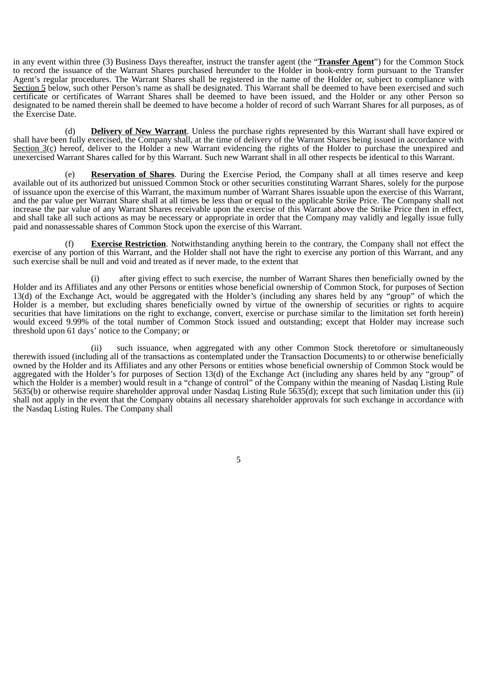in any event within three (3) Business Days thereafter, instruct the transfer agent (the "**Transfer Agent**") for the Common Stock to record the issuance of the Warrant Shares purchased hereunder to the Holder in book-entry form pursuant to the Transfer Agent's regular procedures. The Warrant Shares shall be registered in the name of the Holder or, subject to compliance with Section 5 below, such other Person's name as shall be designated. This Warrant shall be deemed to have been exercised and such certificate or certificates of Warrant Shares shall be deemed to have been issued, and the Holder or any other Person so designated to be named therein shall be deemed to have become a holder of record of such Warrant Shares for all purposes, as of the Exercise Date.

(d) **Delivery of New Warrant**. Unless the purchase rights represented by this Warrant shall have expired or shall have been fully exercised, the Company shall, at the time of delivery of the Warrant Shares being issued in accordance with Section 3(c) hereof, deliver to the Holder a new Warrant evidencing the rights of the Holder to purchase the unexpired and unexercised Warrant Shares called for by this Warrant. Such new Warrant shall in all other respects be identical to this Warrant.

**Reservation of Shares**. During the Exercise Period, the Company shall at all times reserve and keep available out of its authorized but unissued Common Stock or other securities constituting Warrant Shares, solely for the purpose of issuance upon the exercise of this Warrant, the maximum number of Warrant Shares issuable upon the exercise of this Warrant, and the par value per Warrant Share shall at all times be less than or equal to the applicable Strike Price. The Company shall not increase the par value of any Warrant Shares receivable upon the exercise of this Warrant above the Strike Price then in effect, and shall take all such actions as may be necessary or appropriate in order that the Company may validly and legally issue fully paid and nonassessable shares of Common Stock upon the exercise of this Warrant.

(f) **Exercise Restriction**. Notwithstanding anything herein to the contrary, the Company shall not effect the exercise of any portion of this Warrant, and the Holder shall not have the right to exercise any portion of this Warrant, and any such exercise shall be null and void and treated as if never made, to the extent that

(i) after giving effect to such exercise, the number of Warrant Shares then beneficially owned by the Holder and its Affiliates and any other Persons or entities whose beneficial ownership of Common Stock, for purposes of Section 13(d) of the Exchange Act, would be aggregated with the Holder's (including any shares held by any "group" of which the Holder is a member, but excluding shares beneficially owned by virtue of the ownership of securities or rights to acquire securities that have limitations on the right to exchange, convert, exercise or purchase similar to the limitation set forth herein) would exceed 9.99% of the total number of Common Stock issued and outstanding; except that Holder may increase such threshold upon 61 days' notice to the Company; or

(ii) such issuance, when aggregated with any other Common Stock theretofore or simultaneously therewith issued (including all of the transactions as contemplated under the Transaction Documents) to or otherwise beneficially owned by the Holder and its Affiliates and any other Persons or entities whose beneficial ownership of Common Stock would be aggregated with the Holder's for purposes of Section 13(d) of the Exchange Act (including any shares held by any "group" of which the Holder is a member) would result in a "change of control" of the Company within the meaning of Nasdaq Listing Rule 5635(b) or otherwise require shareholder approval under Nasdaq Listing Rule 5635(d); except that such limitation under this (ii) shall not apply in the event that the Company obtains all necessary shareholder approvals for such exchange in accordance with the Nasdaq Listing Rules. The Company shall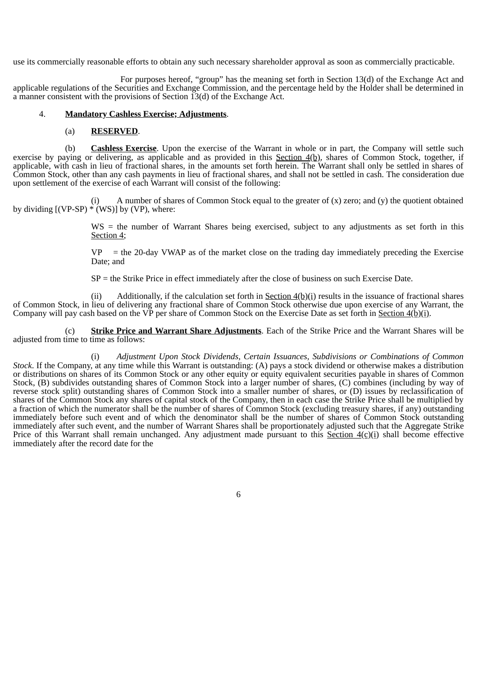use its commercially reasonable efforts to obtain any such necessary shareholder approval as soon as commercially practicable.

For purposes hereof, "group" has the meaning set forth in Section 13(d) of the Exchange Act and applicable regulations of the Securities and Exchange Commission, and the percentage held by the Holder shall be determined in a manner consistent with the provisions of Section 13(d) of the Exchange Act.

# 4. **Mandatory Cashless Exercise; Adjustments**.

### (a) **RESERVED**.

(b) **Cashless Exercise**. Upon the exercise of the Warrant in whole or in part, the Company will settle such exercise by paying or delivering, as applicable and as provided in this Section  $4(b)$ , shares of Common Stock, together, if applicable, with cash in lieu of fractional shares, in the amounts set forth herein. The Warrant shall only be settled in shares of Common Stock, other than any cash payments in lieu of fractional shares, and shall not be settled in cash. The consideration due upon settlement of the exercise of each Warrant will consist of the following:

A number of shares of Common Stock equal to the greater of  $(x)$  zero; and  $(y)$  the quotient obtained (i) A number of share by dividing  $[(VP-SP)*(WS)]$  by  $(VP)$ , where:

> WS = the number of Warrant Shares being exercised, subject to any adjustments as set forth in this Section 4;

> $VP$  = the 20-day VWAP as of the market close on the trading day immediately preceding the Exercise Date; and

 $SP =$  the Strike Price in effect immediately after the close of business on such Exercise Date.

(ii) Additionally, if the calculation set forth in Section 4(b)(i) results in the issuance of fractional shares of Common Stock, in lieu of delivering any fractional share of Common Stock otherwise due upon exercise of any Warrant, the Company will pay cash based on the VP per share of Common Stock on the Exercise Date as set forth in Section  $4(b)(i)$ .

(c) **Strike Price and Warrant Share Adjustments**. Each of the Strike Price and the Warrant Shares will be adjusted from time to time as follows:

(i) *Adjustment Upon Stock Dividends, Certain Issuances, Subdivisions or Combinations of Common Stock*. If the Company, at any time while this Warrant is outstanding: (A) pays a stock dividend or otherwise makes a distribution or distributions on shares of its Common Stock or any other equity or equity equivalent securities payable in shares of Common Stock, (B) subdivides outstanding shares of Common Stock into a larger number of shares, (C) combines (including by way of reverse stock split) outstanding shares of Common Stock into a smaller number of shares, or (D) issues by reclassification of shares of the Common Stock any shares of capital stock of the Company, then in each case the Strike Price shall be multiplied by a fraction of which the numerator shall be the number of shares of Common Stock (excluding treasury shares, if any) outstanding immediately before such event and of which the denominator shall be the number of shares of Common Stock outstanding immediately after such event, and the number of Warrant Shares shall be proportionately adjusted such that the Aggregate Strike Price of this Warrant shall remain unchanged. Any adjustment made pursuant to this Section  $4(c)(i)$  shall become effective immediately after the record date for the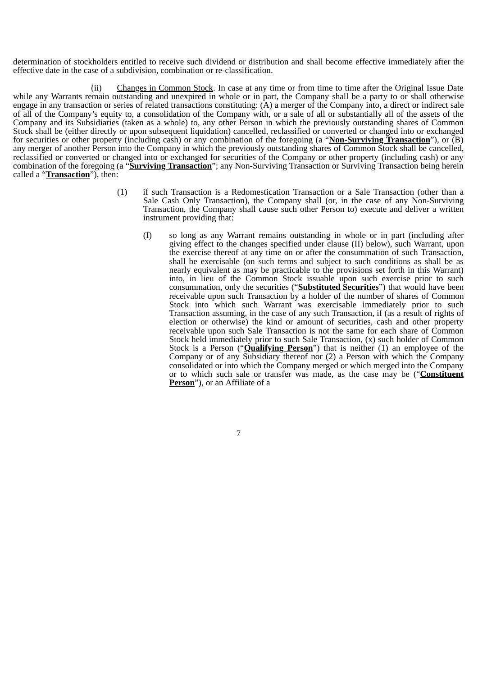determination of stockholders entitled to receive such dividend or distribution and shall become effective immediately after the effective date in the case of a subdivision, combination or re‑classification.

(ii) Changes in Common Stock. In case at any time or from time to time after the Original Issue Date while any Warrants remain outstanding and unexpired in whole or in part, the Company shall be a party to or shall otherwise engage in any transaction or series of related transactions constituting: (A) a merger of the Company into, a direct or indirect sale of all of the Company's equity to, a consolidation of the Company with, or a sale of all or substantially all of the assets of the Company and its Subsidiaries (taken as a whole) to, any other Person in which the previously outstanding shares of Common Stock shall be (either directly or upon subsequent liquidation) cancelled, reclassified or converted or changed into or exchanged for securities or other property (including cash) or any combination of the foregoing (a "**Non-Surviving Transaction**"), or (B) any merger of another Person into the Company in which the previously outstanding shares of Common Stock shall be cancelled, reclassified or converted or changed into or exchanged for securities of the Company or other property (including cash) or any combination of the foregoing (a "**Surviving Transaction**"; any Non-Surviving Transaction or Surviving Transaction being herein called a "**Transaction**"), then:

- (1) if such Transaction is a Redomestication Transaction or a Sale Transaction (other than a Sale Cash Only Transaction), the Company shall (or, in the case of any Non-Surviving Transaction, the Company shall cause such other Person to) execute and deliver a written instrument providing that:
	- (I) so long as any Warrant remains outstanding in whole or in part (including after giving effect to the changes specified under clause (II) below), such Warrant, upon the exercise thereof at any time on or after the consummation of such Transaction, shall be exercisable (on such terms and subject to such conditions as shall be as nearly equivalent as may be practicable to the provisions set forth in this Warrant) into, in lieu of the Common Stock issuable upon such exercise prior to such consummation, only the securities ("**Substituted Securities**") that would have been receivable upon such Transaction by a holder of the number of shares of Common Stock into which such Warrant was exercisable immediately prior to such Transaction assuming, in the case of any such Transaction, if (as a result of rights of election or otherwise) the kind or amount of securities, cash and other property receivable upon such Sale Transaction is not the same for each share of Common Stock held immediately prior to such Sale Transaction, (x) such holder of Common Stock is a Person ("**Qualifying Person**") that is neither (1) an employee of the Company or of any Subsidiary thereof nor (2) a Person with which the Company consolidated or into which the Company merged or which merged into the Company or to which such sale or transfer was made, as the case may be ("**Constituent Person**"), or an Affiliate of a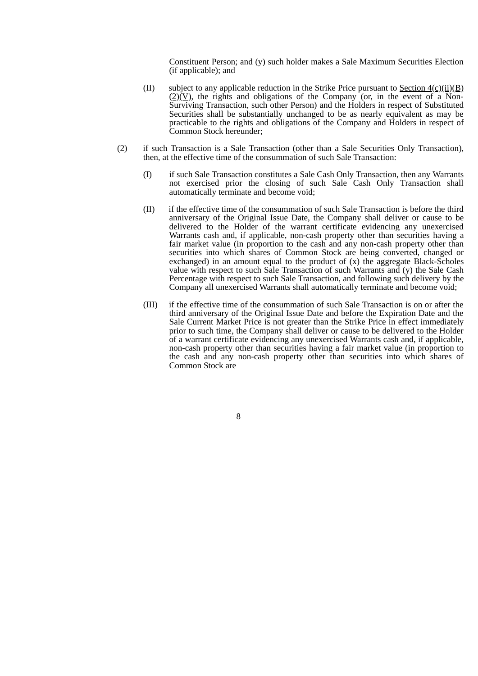Constituent Person; and (y) such holder makes a Sale Maximum Securities Election (if applicable); and

- (II) subject to any applicable reduction in the Strike Price pursuant to <u>Section  $4(c)(ii)(B)$ </u>  $(2)(V)$ , the rights and obligations of the Company (or, in the event of a Non-Surviving Transaction, such other Person) and the Holders in respect of Substituted Securities shall be substantially unchanged to be as nearly equivalent as may be practicable to the rights and obligations of the Company and Holders in respect of Common Stock hereunder;
- (2) if such Transaction is a Sale Transaction (other than a Sale Securities Only Transaction), then, at the effective time of the consummation of such Sale Transaction:
	- (I) if such Sale Transaction constitutes a Sale Cash Only Transaction, then any Warrants not exercised prior the closing of such Sale Cash Only Transaction shall automatically terminate and become void;
	- (II) if the effective time of the consummation of such Sale Transaction is before the third anniversary of the Original Issue Date, the Company shall deliver or cause to be delivered to the Holder of the warrant certificate evidencing any unexercised Warrants cash and, if applicable, non-cash property other than securities having a fair market value (in proportion to the cash and any non-cash property other than securities into which shares of Common Stock are being converted, changed or exchanged) in an amount equal to the product of  $(x)$  the aggregate Black-Scholes value with respect to such Sale Transaction of such Warrants and (y) the Sale Cash Percentage with respect to such Sale Transaction, and following such delivery by the Company all unexercised Warrants shall automatically terminate and become void;
	- (III) if the effective time of the consummation of such Sale Transaction is on or after the third anniversary of the Original Issue Date and before the Expiration Date and the Sale Current Market Price is not greater than the Strike Price in effect immediately prior to such time, the Company shall deliver or cause to be delivered to the Holder of a warrant certificate evidencing any unexercised Warrants cash and, if applicable, non-cash property other than securities having a fair market value (in proportion to the cash and any non-cash property other than securities into which shares of Common Stock are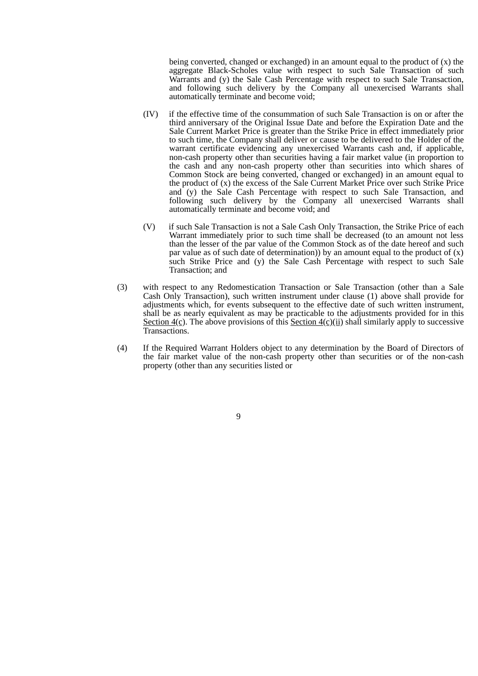being converted, changed or exchanged) in an amount equal to the product of (x) the aggregate Black-Scholes value with respect to such Sale Transaction of such Warrants and (y) the Sale Cash Percentage with respect to such Sale Transaction, and following such delivery by the Company all unexercised Warrants shall automatically terminate and become void;

- (IV) if the effective time of the consummation of such Sale Transaction is on or after the third anniversary of the Original Issue Date and before the Expiration Date and the Sale Current Market Price is greater than the Strike Price in effect immediately prior to such time, the Company shall deliver or cause to be delivered to the Holder of the warrant certificate evidencing any unexercised Warrants cash and, if applicable, non-cash property other than securities having a fair market value (in proportion to the cash and any non-cash property other than securities into which shares of Common Stock are being converted, changed or exchanged) in an amount equal to the product of (x) the excess of the Sale Current Market Price over such Strike Price and (y) the Sale Cash Percentage with respect to such Sale Transaction, and following such delivery by the Company all unexercised Warrants shall automatically terminate and become void; and
- (V) if such Sale Transaction is not a Sale Cash Only Transaction, the Strike Price of each Warrant immediately prior to such time shall be decreased (to an amount not less than the lesser of the par value of the Common Stock as of the date hereof and such par value as of such date of determination)) by an amount equal to the product of  $(x)$ such Strike Price and (y) the Sale Cash Percentage with respect to such Sale Transaction; and
- (3) with respect to any Redomestication Transaction or Sale Transaction (other than a Sale Cash Only Transaction), such written instrument under clause (1) above shall provide for adjustments which, for events subsequent to the effective date of such written instrument, shall be as nearly equivalent as may be practicable to the adjustments provided for in this Section  $4(\varsigma)$ . The above provisions of this Section  $4(\varsigma)$ (ii) shall similarly apply to successive Transactions.
- (4) If the Required Warrant Holders object to any determination by the Board of Directors of the fair market value of the non-cash property other than securities or of the non-cash property (other than any securities listed or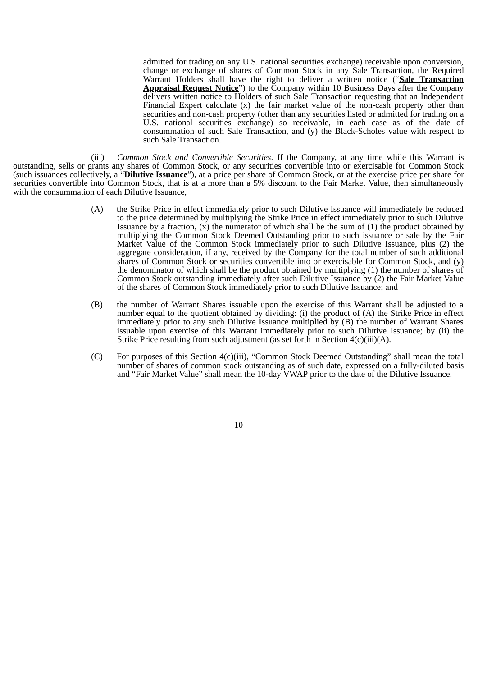admitted for trading on any U.S. national securities exchange) receivable upon conversion, change or exchange of shares of Common Stock in any Sale Transaction, the Required Warrant Holders shall have the right to deliver a written notice ("**Sale Transaction Appraisal Request Notice**") to the Company within 10 Business Days after the Company delivers written notice to Holders of such Sale Transaction requesting that an Independent Financial Expert calculate (x) the fair market value of the non-cash property other than securities and non-cash property (other than any securities listed or admitted for trading on a U.S. national securities exchange) so receivable, in each case as of the date of consummation of such Sale Transaction, and (y) the Black-Scholes value with respect to such Sale Transaction.

(iii) *Common Stock and Convertible Securities*. If the Company, at any time while this Warrant is outstanding, sells or grants any shares of Common Stock, or any securities convertible into or exercisable for Common Stock (such issuances collectively, a "**Dilutive Issuance**"), at a price per share of Common Stock, or at the exercise price per share for securities convertible into Common Stock, that is at a more than a 5% discount to the Fair Market Value, then simultaneously with the consummation of each Dilutive Issuance,

- (A) the Strike Price in effect immediately prior to such Dilutive Issuance will immediately be reduced to the price determined by multiplying the Strike Price in effect immediately prior to such Dilutive Issuance by a fraction,  $(x)$  the numerator of which shall be the sum of  $(1)$  the product obtained by multiplying the Common Stock Deemed Outstanding prior to such issuance or sale by the Fair Market Value of the Common Stock immediately prior to such Dilutive Issuance, plus (2) the aggregate consideration, if any, received by the Company for the total number of such additional shares of Common Stock or securities convertible into or exercisable for Common Stock, and (y) the denominator of which shall be the product obtained by multiplying (1) the number of shares of Common Stock outstanding immediately after such Dilutive Issuance by (2) the Fair Market Value of the shares of Common Stock immediately prior to such Dilutive Issuance; and
- (B) the number of Warrant Shares issuable upon the exercise of this Warrant shall be adjusted to a number equal to the quotient obtained by dividing: (i) the product of (A) the Strike Price in effect immediately prior to any such Dilutive Issuance multiplied by (B) the number of Warrant Shares issuable upon exercise of this Warrant immediately prior to such Dilutive Issuance; by (ii) the Strike Price resulting from such adjustment (as set forth in Section 4(c)(iii)(A).
- (C) For purposes of this Section 4(c)(iii), "Common Stock Deemed Outstanding" shall mean the total number of shares of common stock outstanding as of such date, expressed on a fully-diluted basis and "Fair Market Value" shall mean the 10-day VWAP prior to the date of the Dilutive Issuance.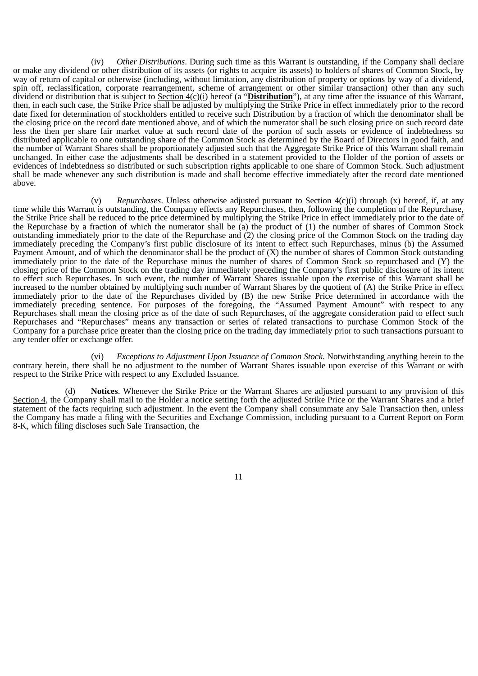(iv) *Other Distributions*. During such time as this Warrant is outstanding, if the Company shall declare or make any dividend or other distribution of its assets (or rights to acquire its assets) to holders of shares of Common Stock, by way of return of capital or otherwise (including, without limitation, any distribution of property or options by way of a dividend, spin off, reclassification, corporate rearrangement, scheme of arrangement or other similar transaction) other than any such dividend or distribution that is subject to Section 4(c)(i) hereof (a "**Distribution**"), at any time after the issuance of this Warrant, then, in each such case, the Strike Price shall be adjusted by multiplying the Strike Price in effect immediately prior to the record date fixed for determination of stockholders entitled to receive such Distribution by a fraction of which the denominator shall be the closing price on the record date mentioned above, and of which the numerator shall be such closing price on such record date less the then per share fair market value at such record date of the portion of such assets or evidence of indebtedness so distributed applicable to one outstanding share of the Common Stock as determined by the Board of Directors in good faith, and the number of Warrant Shares shall be proportionately adjusted such that the Aggregate Strike Price of this Warrant shall remain unchanged. In either case the adjustments shall be described in a statement provided to the Holder of the portion of assets or evidences of indebtedness so distributed or such subscription rights applicable to one share of Common Stock. Such adjustment shall be made whenever any such distribution is made and shall become effective immediately after the record date mentioned above.

(v) *Repurchases*. Unless otherwise adjusted pursuant to Section 4(c)(i) through (x) hereof, if, at any time while this Warrant is outstanding, the Company effects any Repurchases, then, following the completion of the Repurchase, the Strike Price shall be reduced to the price determined by multiplying the Strike Price in effect immediately prior to the date of the Repurchase by a fraction of which the numerator shall be (a) the product of (1) the number of shares of Common Stock outstanding immediately prior to the date of the Repurchase and (2) the closing price of the Common Stock on the trading day immediately preceding the Company's first public disclosure of its intent to effect such Repurchases, minus (b) the Assumed Payment Amount, and of which the denominator shall be the product of (X) the number of shares of Common Stock outstanding immediately prior to the date of the Repurchase minus the number of shares of Common Stock so repurchased and (Y) the closing price of the Common Stock on the trading day immediately preceding the Company's first public disclosure of its intent to effect such Repurchases. In such event, the number of Warrant Shares issuable upon the exercise of this Warrant shall be increased to the number obtained by multiplying such number of Warrant Shares by the quotient of (A) the Strike Price in effect immediately prior to the date of the Repurchases divided by (B) the new Strike Price determined in accordance with the immediately preceding sentence. For purposes of the foregoing, the "Assumed Payment Amount" with respect to any Repurchases shall mean the closing price as of the date of such Repurchases, of the aggregate consideration paid to effect such Repurchases and "Repurchases" means any transaction or series of related transactions to purchase Common Stock of the Company for a purchase price greater than the closing price on the trading day immediately prior to such transactions pursuant to any tender offer or exchange offer.

(vi) *Exceptions to Adjustment Upon Issuance of Common Stock*. Notwithstanding anything herein to the contrary herein, there shall be no adjustment to the number of Warrant Shares issuable upon exercise of this Warrant or with respect to the Strike Price with respect to any Excluded Issuance.

**Notices.** Whenever the Strike Price or the Warrant Shares are adjusted pursuant to any provision of this Section 4, the Company shall mail to the Holder a notice setting forth the adjusted Strike Price or the Warrant Shares and a brief statement of the facts requiring such adjustment. In the event the Company shall consummate any Sale Transaction then, unless the Company has made a filing with the Securities and Exchange Commission, including pursuant to a Current Report on Form 8-K, which filing discloses such Sale Transaction, the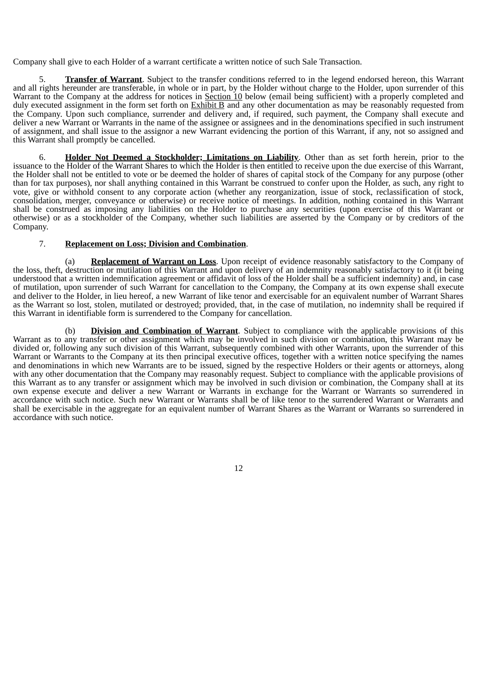Company shall give to each Holder of a warrant certificate a written notice of such Sale Transaction.

5. **Transfer of Warrant**. Subject to the transfer conditions referred to in the legend endorsed hereon, this Warrant and all rights hereunder are transferable, in whole or in part, by the Holder without charge to the Holder, upon surrender of this Warrant to the Company at the address for notices in Section 10 below (email being sufficient) with a properly completed and duly executed assignment in the form set forth on  $\overline{\text{Exhibit B}}$  and any other documentation as may be reasonably requested from the Company. Upon such compliance, surrender and delivery and, if required, such payment, the Company shall execute and deliver a new Warrant or Warrants in the name of the assignee or assignees and in the denominations specified in such instrument of assignment, and shall issue to the assignor a new Warrant evidencing the portion of this Warrant, if any, not so assigned and this Warrant shall promptly be cancelled.

6. **Holder Not Deemed a Stockholder; Limitations on Liability**. Other than as set forth herein, prior to the issuance to the Holder of the Warrant Shares to which the Holder is then entitled to receive upon the due exercise of this Warrant, the Holder shall not be entitled to vote or be deemed the holder of shares of capital stock of the Company for any purpose (other than for tax purposes), nor shall anything contained in this Warrant be construed to confer upon the Holder, as such, any right to vote, give or withhold consent to any corporate action (whether any reorganization, issue of stock, reclassification of stock, consolidation, merger, conveyance or otherwise) or receive notice of meetings. In addition, nothing contained in this Warrant shall be construed as imposing any liabilities on the Holder to purchase any securities (upon exercise of this Warrant or otherwise) or as a stockholder of the Company, whether such liabilities are asserted by the Company or by creditors of the Company.

# 7. **Replacement on Loss; Division and Combination**.

(a) **Replacement of Warrant on Loss**. Upon receipt of evidence reasonably satisfactory to the Company of the loss, theft, destruction or mutilation of this Warrant and upon delivery of an indemnity reasonably satisfactory to it (it being understood that a written indemnification agreement or affidavit of loss of the Holder shall be a sufficient indemnity) and, in case of mutilation, upon surrender of such Warrant for cancellation to the Company, the Company at its own expense shall execute and deliver to the Holder, in lieu hereof, a new Warrant of like tenor and exercisable for an equivalent number of Warrant Shares as the Warrant so lost, stolen, mutilated or destroyed; provided, that, in the case of mutilation, no indemnity shall be required if this Warrant in identifiable form is surrendered to the Company for cancellation.

(b) **Division and Combination of Warrant**. Subject to compliance with the applicable provisions of this Warrant as to any transfer or other assignment which may be involved in such division or combination, this Warrant may be divided or, following any such division of this Warrant, subsequently combined with other Warrants, upon the surrender of this Warrant or Warrants to the Company at its then principal executive offices, together with a written notice specifying the names and denominations in which new Warrants are to be issued, signed by the respective Holders or their agents or attorneys, along with any other documentation that the Company may reasonably request. Subject to compliance with the applicable provisions of this Warrant as to any transfer or assignment which may be involved in such division or combination, the Company shall at its own expense execute and deliver a new Warrant or Warrants in exchange for the Warrant or Warrants so surrendered in accordance with such notice. Such new Warrant or Warrants shall be of like tenor to the surrendered Warrant or Warrants and shall be exercisable in the aggregate for an equivalent number of Warrant Shares as the Warrant or Warrants so surrendered in accordance with such notice.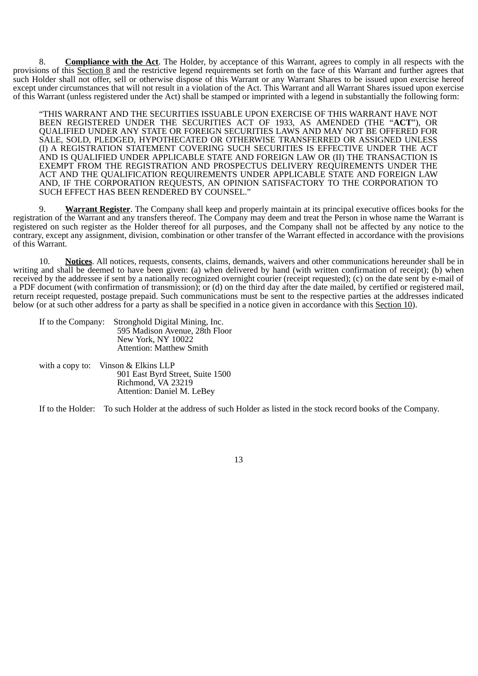8. **Compliance with the Act**. The Holder, by acceptance of this Warrant, agrees to comply in all respects with the provisions of this Section 8 and the restrictive legend requirements set forth on the face of this Warrant and further agrees that such Holder shall not offer, sell or otherwise dispose of this Warrant or any Warrant Shares to be issued upon exercise hereof except under circumstances that will not result in a violation of the Act. This Warrant and all Warrant Shares issued upon exercise of this Warrant (unless registered under the Act) shall be stamped or imprinted with a legend in substantially the following form:

"THIS WARRANT AND THE SECURITIES ISSUABLE UPON EXERCISE OF THIS WARRANT HAVE NOT BEEN REGISTERED UNDER THE SECURITIES ACT OF 1933, AS AMENDED (THE "**ACT**"), OR QUALIFIED UNDER ANY STATE OR FOREIGN SECURITIES LAWS AND MAY NOT BE OFFERED FOR SALE, SOLD, PLEDGED, HYPOTHECATED OR OTHERWISE TRANSFERRED OR ASSIGNED UNLESS (I) A REGISTRATION STATEMENT COVERING SUCH SECURITIES IS EFFECTIVE UNDER THE ACT AND IS QUALIFIED UNDER APPLICABLE STATE AND FOREIGN LAW OR (II) THE TRANSACTION IS EXEMPT FROM THE REGISTRATION AND PROSPECTUS DELIVERY REQUIREMENTS UNDER THE ACT AND THE QUALIFICATION REQUIREMENTS UNDER APPLICABLE STATE AND FOREIGN LAW AND, IF THE CORPORATION REQUESTS, AN OPINION SATISFACTORY TO THE CORPORATION TO SUCH EFFECT HAS BEEN RENDERED BY COUNSEL."

9. **Warrant Register**. The Company shall keep and properly maintain at its principal executive offices books for the registration of the Warrant and any transfers thereof. The Company may deem and treat the Person in whose name the Warrant is registered on such register as the Holder thereof for all purposes, and the Company shall not be affected by any notice to the contrary, except any assignment, division, combination or other transfer of the Warrant effected in accordance with the provisions of this Warrant.

10. **Notices**. All notices, requests, consents, claims, demands, waivers and other communications hereunder shall be in writing and shall be deemed to have been given: (a) when delivered by hand (with written confirmation of receipt); (b) when received by the addressee if sent by a nationally recognized overnight courier (receipt requested); (c) on the date sent by e-mail of a PDF document (with confirmation of transmission); or (d) on the third day after the date mailed, by certified or registered mail, return receipt requested, postage prepaid. Such communications must be sent to the respective parties at the addresses indicated below (or at such other address for a party as shall be specified in a notice given in accordance with this Section 10).

| If to the Company: | Stronghold Digital Mining, Inc. |
|--------------------|---------------------------------|
|                    | 595 Madison Avenue, 28th Floor  |
|                    | New York, NY 10022              |
|                    | <b>Attention: Matthew Smith</b> |

with a copy to: Vinson & Elkins LLP 901 East Byrd Street, Suite 1500 Richmond, VA 23219 Attention: Daniel M. LeBey

If to the Holder: To such Holder at the address of such Holder as listed in the stock record books of the Company.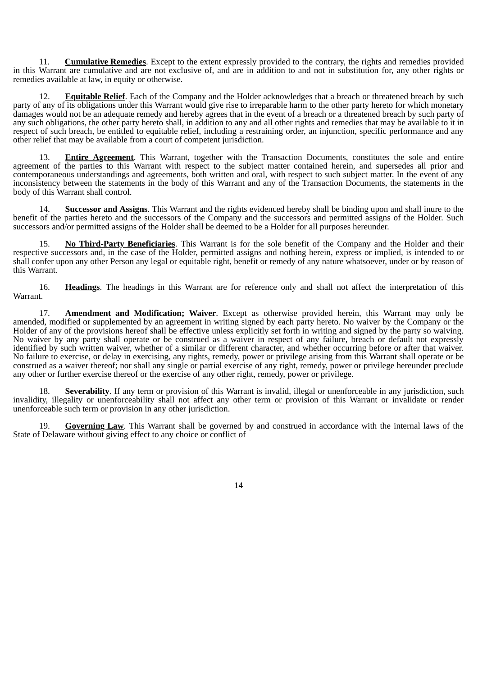11. **Cumulative Remedies**. Except to the extent expressly provided to the contrary, the rights and remedies provided in this Warrant are cumulative and are not exclusive of, and are in addition to and not in substitution for, any other rights or remedies available at law, in equity or otherwise.

12. **Equitable Relief**. Each of the Company and the Holder acknowledges that a breach or threatened breach by such party of any of its obligations under this Warrant would give rise to irreparable harm to the other party hereto for which monetary damages would not be an adequate remedy and hereby agrees that in the event of a breach or a threatened breach by such party of any such obligations, the other party hereto shall, in addition to any and all other rights and remedies that may be available to it in respect of such breach, be entitled to equitable relief, including a restraining order, an injunction, specific performance and any other relief that may be available from a court of competent jurisdiction.

13. **Entire Agreement**. This Warrant, together with the Transaction Documents, constitutes the sole and entire agreement of the parties to this Warrant with respect to the subject matter contained herein, and supersedes all prior and contemporaneous understandings and agreements, both written and oral, with respect to such subject matter. In the event of any inconsistency between the statements in the body of this Warrant and any of the Transaction Documents, the statements in the body of this Warrant shall control.

14. **Successor and Assigns**. This Warrant and the rights evidenced hereby shall be binding upon and shall inure to the benefit of the parties hereto and the successors of the Company and the successors and permitted assigns of the Holder. Such successors and/or permitted assigns of the Holder shall be deemed to be a Holder for all purposes hereunder.

15. **No Third-Party Beneficiaries**. This Warrant is for the sole benefit of the Company and the Holder and their respective successors and, in the case of the Holder, permitted assigns and nothing herein, express or implied, is intended to or shall confer upon any other Person any legal or equitable right, benefit or remedy of any nature whatsoever, under or by reason of this Warrant.

16. **Headings**. The headings in this Warrant are for reference only and shall not affect the interpretation of this Warrant.

17. **Amendment and Modification; Waiver**. Except as otherwise provided herein, this Warrant may only be amended, modified or supplemented by an agreement in writing signed by each party hereto. No waiver by the Company or the Holder of any of the provisions hereof shall be effective unless explicitly set forth in writing and signed by the party so waiving. No waiver by any party shall operate or be construed as a waiver in respect of any failure, breach or default not expressly identified by such written waiver, whether of a similar or different character, and whether occurring before or after that waiver. No failure to exercise, or delay in exercising, any rights, remedy, power or privilege arising from this Warrant shall operate or be construed as a waiver thereof; nor shall any single or partial exercise of any right, remedy, power or privilege hereunder preclude any other or further exercise thereof or the exercise of any other right, remedy, power or privilege.

**Severability**. If any term or provision of this Warrant is invalid, illegal or unenforceable in any jurisdiction, such invalidity, illegality or unenforceability shall not affect any other term or provision of this Warrant or invalidate or render unenforceable such term or provision in any other jurisdiction.

19. **Governing Law**. This Warrant shall be governed by and construed in accordance with the internal laws of the State of Delaware without giving effect to any choice or conflict of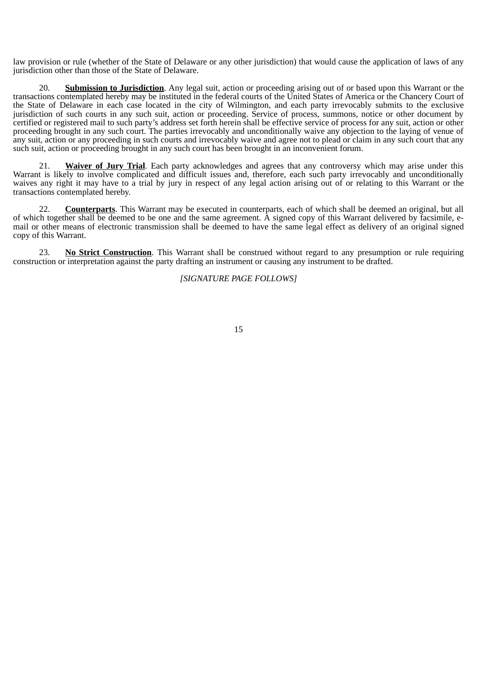law provision or rule (whether of the State of Delaware or any other jurisdiction) that would cause the application of laws of any jurisdiction other than those of the State of Delaware.

**Submission to Jurisdiction**. Any legal suit, action or proceeding arising out of or based upon this Warrant or the transactions contemplated hereby may be instituted in the federal courts of the United States of America or the Chancery Court of the State of Delaware in each case located in the city of Wilmington, and each party irrevocably submits to the exclusive jurisdiction of such courts in any such suit, action or proceeding. Service of process, summons, notice or other document by certified or registered mail to such party's address set forth herein shall be effective service of process for any suit, action or other proceeding brought in any such court. The parties irrevocably and unconditionally waive any objection to the laying of venue of any suit, action or any proceeding in such courts and irrevocably waive and agree not to plead or claim in any such court that any such suit, action or proceeding brought in any such court has been brought in an inconvenient forum.

21. **Waiver of Jury Trial**. Each party acknowledges and agrees that any controversy which may arise under this Warrant is likely to involve complicated and difficult issues and, therefore, each such party irrevocably and unconditionally waives any right it may have to a trial by jury in respect of any legal action arising out of or relating to this Warrant or the transactions contemplated hereby.

22. **Counterparts**. This Warrant may be executed in counterparts, each of which shall be deemed an original, but all of which together shall be deemed to be one and the same agreement. A signed copy of this Warrant delivered by facsimile, email or other means of electronic transmission shall be deemed to have the same legal effect as delivery of an original signed copy of this Warrant.

23. **No Strict Construction**. This Warrant shall be construed without regard to any presumption or rule requiring construction or interpretation against the party drafting an instrument or causing any instrument to be drafted.

*[SIGNATURE PAGE FOLLOWS]*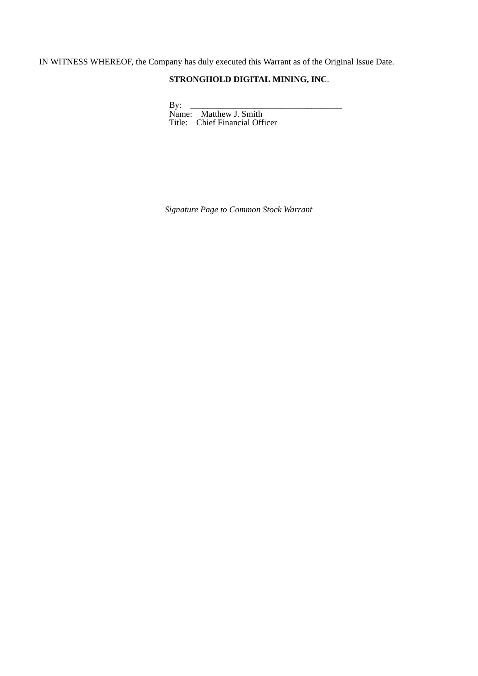IN WITNESS WHEREOF, the Company has duly executed this Warrant as of the Original Issue Date.

# **STRONGHOLD DIGITAL MINING, INC**.

By: \_\_\_\_\_\_\_\_\_\_\_\_\_\_\_\_\_\_\_\_\_\_\_\_\_\_\_\_\_\_\_\_\_\_\_ Name: Matthew J. Smith Title: Chief Financial Officer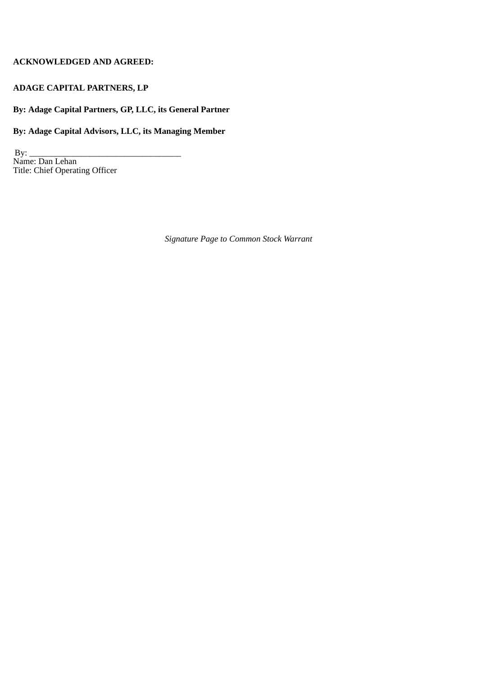# **ACKNOWLEDGED AND AGREED:**

# **ADAGE CAPITAL PARTNERS, LP**

**By: Adage Capital Partners, GP, LLC, its General Partner**

**By: Adage Capital Advisors, LLC, its Managing Member**

By: \_\_\_\_\_\_\_\_\_\_\_\_\_\_\_\_\_\_\_\_\_\_\_\_\_\_\_\_\_\_\_\_\_\_\_ Name: Dan Lehan Title: Chief Operating Officer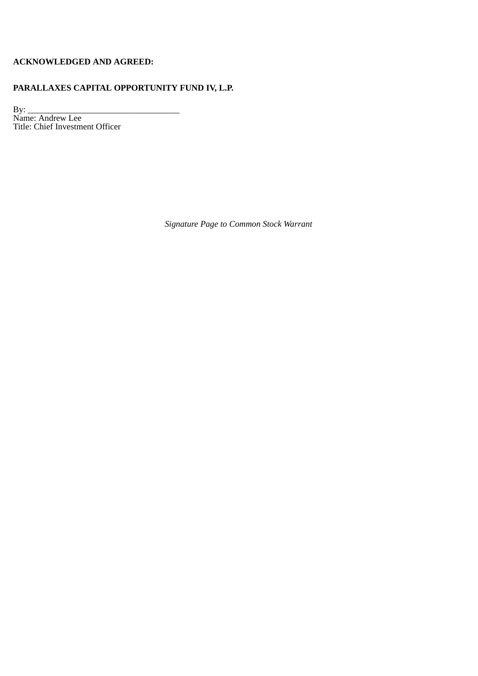# **ACKNOWLEDGED AND AGREED:**

# **PARALLAXES CAPITAL OPPORTUNITY FUND IV, L.P.**

By: \_\_\_\_\_\_\_\_\_\_\_\_\_\_\_\_\_\_\_\_\_\_\_\_\_\_\_\_\_\_\_\_\_\_\_ Name: Andrew Lee Title: Chief Investment Officer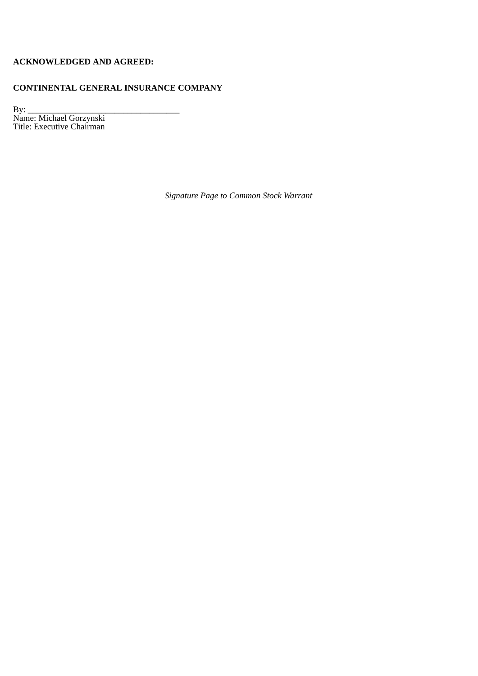# **ACKNOWLEDGED AND AGREED:**

# **CONTINENTAL GENERAL INSURANCE COMPANY**

By: \_\_\_\_\_\_\_\_\_\_\_\_\_\_\_\_\_\_\_\_\_\_\_\_\_\_\_\_\_\_\_\_\_\_\_ Name: Michael Gorzynski Title: Executive Chairman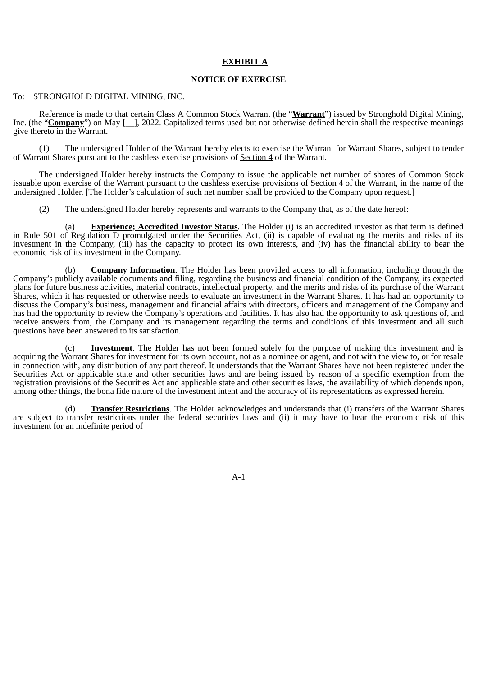## **EXHIBIT A**

## **NOTICE OF EXERCISE**

### To: STRONGHOLD DIGITAL MINING, INC.

Reference is made to that certain Class A Common Stock Warrant (the "**Warrant**") issued by Stronghold Digital Mining, Inc. (the "**Company**") on May [\_\_], 2022. Capitalized terms used but not otherwise defined herein shall the respective meanings give thereto in the Warrant.

(1) The undersigned Holder of the Warrant hereby elects to exercise the Warrant for Warrant Shares, subject to tender of Warrant Shares pursuant to the cashless exercise provisions of Section 4 of the Warrant.

The undersigned Holder hereby instructs the Company to issue the applicable net number of shares of Common Stock issuable upon exercise of the Warrant pursuant to the cashless exercise provisions of Section 4 of the Warrant, in the name of the undersigned Holder. [The Holder's calculation of such net number shall be provided to the Company upon request.]

(2) The undersigned Holder hereby represents and warrants to the Company that, as of the date hereof:

(a) **Experience; Accredited Investor Status**. The Holder (i) is an accredited investor as that term is defined in Rule 501 of Regulation D promulgated under the Securities Act, (ii) is capable of evaluating the merits and risks of its investment in the Company, (iii) has the capacity to protect its own interests, and (iv) has the financial ability to bear the economic risk of its investment in the Company.

**Company Information**. The Holder has been provided access to all information, including through the Company's publicly available documents and filing, regarding the business and financial condition of the Company, its expected plans for future business activities, material contracts, intellectual property, and the merits and risks of its purchase of the Warrant Shares, which it has requested or otherwise needs to evaluate an investment in the Warrant Shares. It has had an opportunity to discuss the Company's business, management and financial affairs with directors, officers and management of the Company and has had the opportunity to review the Company's operations and facilities. It has also had the opportunity to ask questions of, and receive answers from, the Company and its management regarding the terms and conditions of this investment and all such questions have been answered to its satisfaction.

(c) **Investment**. The Holder has not been formed solely for the purpose of making this investment and is acquiring the Warrant Shares for investment for its own account, not as a nominee or agent, and not with the view to, or for resale in connection with, any distribution of any part thereof. It understands that the Warrant Shares have not been registered under the Securities Act or applicable state and other securities laws and are being issued by reason of a specific exemption from the registration provisions of the Securities Act and applicable state and other securities laws, the availability of which depends upon, among other things, the bona fide nature of the investment intent and the accuracy of its representations as expressed herein.

**Transfer Restrictions**. The Holder acknowledges and understands that (i) transfers of the Warrant Shares are subject to transfer restrictions under the federal securities laws and (ii) it may have to bear the economic risk of this investment for an indefinite period of

A-1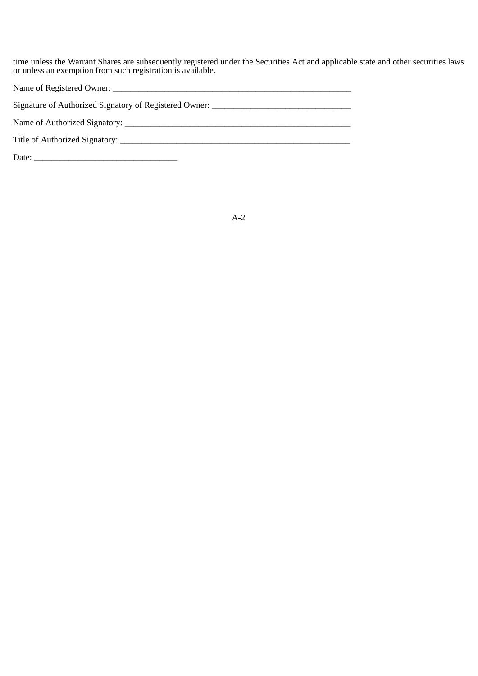time unless the Warrant Shares are subsequently registered under the Securities Act and applicable state and other securities laws or unless an exemption from such registration is available.

Name of Registered Owner: \_\_\_\_\_\_\_\_\_\_\_\_\_\_\_\_\_\_\_\_\_\_\_\_\_\_\_\_\_\_\_\_\_\_\_\_\_\_\_\_\_\_\_\_\_\_\_\_\_\_\_\_\_\_\_

Signature of Authorized Signatory of Registered Owner: \_\_\_\_\_\_\_\_\_\_\_\_\_\_\_\_\_\_\_\_\_\_\_\_\_

Name of Authorized Signatory: \_\_\_\_\_\_\_\_\_\_\_\_\_\_\_\_\_\_\_\_\_\_\_\_\_\_\_\_\_\_\_\_\_\_\_\_\_\_\_\_\_\_\_\_\_\_\_\_\_\_\_\_

Title of Authorized Signatory: \_\_\_\_\_\_\_\_\_\_\_\_\_\_\_\_\_\_\_\_\_\_\_\_\_\_\_\_\_\_\_\_\_\_\_\_\_\_\_\_\_\_\_\_\_\_\_\_\_\_\_\_\_

Date: \_\_\_\_\_\_\_\_\_\_\_\_\_\_\_\_\_\_\_\_\_\_\_\_\_\_\_\_\_\_\_\_\_

A-2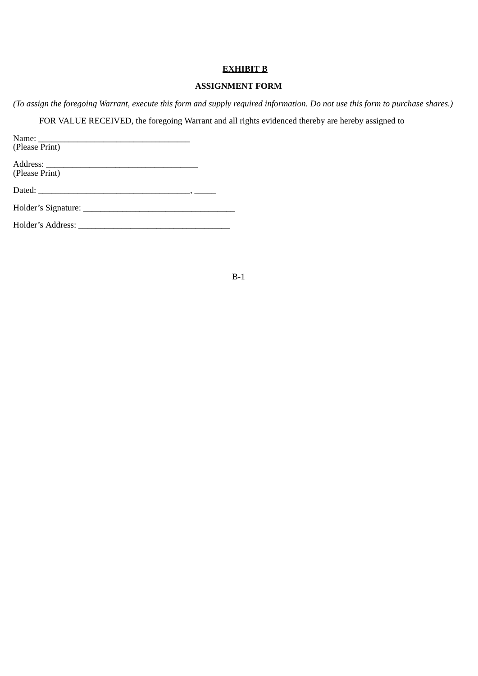# **EXHIBIT B**

# **ASSIGNMENT FORM**

*(To assign the foregoing Warrant, execute this form and supply required information. Do not use this form to purchase shares.)* 

FOR VALUE RECEIVED, the foregoing Warrant and all rights evidenced thereby are hereby assigned to

| (Please Print)                                                                                                 |  |
|----------------------------------------------------------------------------------------------------------------|--|
|                                                                                                                |  |
|                                                                                                                |  |
| Holder's Signature: National Assembly Property Science of Assembly Property and Assembly Property and Assembly |  |
| Holder's Address:                                                                                              |  |

B-1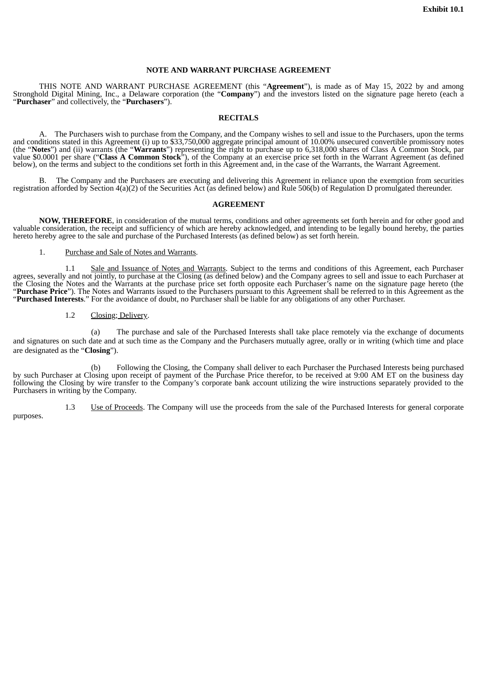### **NOTE AND WARRANT PURCHASE AGREEMENT**

THIS NOTE AND WARRANT PURCHASE AGREEMENT (this "**Agreement**"), is made as of May 15, 2022 by and among Stronghold Digital Mining, Inc., a Delaware corporation (the "**Company**") and the investors listed on the signature page hereto (each a "**Purchaser**" and collectively, the "**Purchasers**").

## **RECITALS**

A. The Purchasers wish to purchase from the Company, and the Company wishes to sell and issue to the Purchasers, upon the terms and conditions stated in this Agreement (i) up to \$33,750,000 aggregate principal amount of 10.00% unsecured convertible promissory notes (the "**Notes**") and (ii) warrants (the "**Warrants**") representing the right to purchase up to 6,318,000 shares of Class A Common Stock, par value \$0.0001 per share ("**Class A Common Stock**"), of the Company at an exercise price set forth in the Warrant Agreement (as defined below), on the terms and subject to the conditions set forth in this Agreement and, in the case of the Warrants, the Warrant Agreement.

B. The Company and the Purchasers are executing and delivering this Agreement in reliance upon the exemption from securities registration afforded by Section 4(a)(2) of the Securities Act (as defined below) and Rule 506(b) of Regulation D promulgated thereunder.

#### **AGREEMENT**

**NOW, THEREFORE**, in consideration of the mutual terms, conditions and other agreements set forth herein and for other good and valuable consideration, the receipt and sufficiency of which are hereby acknowledged, and intending to be legally bound hereby, the parties hereto hereby agree to the sale and purchase of the Purchased Interests (as defined below) as set forth herein.

#### 1. Purchase and Sale of Notes and Warrants.

1.1 Sale and Issuance of Notes and Warrants. Subject to the terms and conditions of this Agreement, each Purchaser agrees, severally and not jointly, to purchase at the Closing (as defined below) and the Company agrees to sell and issue to each Purchaser at the Closing the Notes and the Warrants at the purchase price set forth opposite each Purchaser's name on the signature page hereto (the "**Purchase Price**"). The Notes and Warrants issued to the Purchasers pursuant to this Agreement shall be referred to in this Agreement as the "**Purchased Interests**." For the avoidance of doubt, no Purchaser shall be liable for any obligations of any other Purchaser.

#### 1.2 Closing; Delivery.

(a) The purchase and sale of the Purchased Interests shall take place remotely via the exchange of documents and signatures on such date and at such time as the Company and the Purchasers mutually agree, orally or in writing (which time and place are designated as the "**Closing**").

(b) Following the Closing, the Company shall deliver to each Purchaser the Purchased Interests being purchased by such Purchaser at Closing upon receipt of payment of the Purchase Price therefor, to be received at 9:00 AM ET on the business day following the Closing by wire transfer to the Company's corporate bank account utilizing the wire instructions separately provided to the Purchasers in writing by the Company.

1.3 Use of Proceeds. The Company will use the proceeds from the sale of the Purchased Interests for general corporate purposes.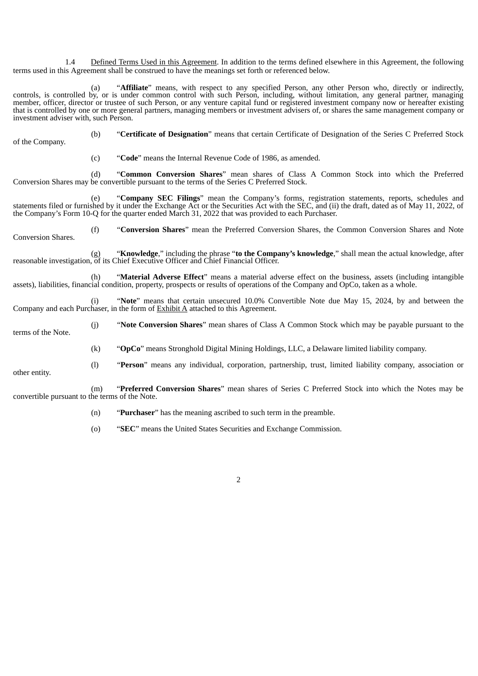1.4 Defined Terms Used in this Agreement. In addition to the terms defined elsewhere in this Agreement, the following terms used in this Agreement shall be construed to have the meanings set forth or referenced below.

(a) "**Affiliate**" means, with respect to any specified Person, any other Person who, directly or indirectly, controls, is controlled by, or is under common control with such Person, including, without limitation, any general partner, managing member, officer, director or trustee of such Person, or any venture capital fund or registered investment company now or hereafter existing that is controlled by one or more general partners, managing members or investment advisers of, or shares the same management company or investment adviser with, such Person.

(b) "**Certificate of Designation**" means that certain Certificate of Designation of the Series C Preferred Stock

of the Company.

(c) "**Code**" means the Internal Revenue Code of 1986, as amended.

(d) "**Common Conversion Shares**" mean shares of Class A Common Stock into which the Preferred Conversion Shares may be convertible pursuant to the terms of the Series C Preferred Stock.

(e) "**Company SEC Filings**" mean the Company's forms, registration statements, reports, schedules and statements filed or furnished by it under the Exchange Act or the Securities Act with the SEC, and (ii) the draft, dated as of May 11, 2022, of the Company's Form 10-Q for the quarter ended March 31, 2022 that was provided to each Purchaser.

(f) "**Conversion Shares**" mean the Preferred Conversion Shares, the Common Conversion Shares and Note Conversion Shares.

(g) "**Knowledge**," including the phrase "**to the Company's knowledge**," shall mean the actual knowledge, after reasonable investigation, of its Chief Executive Officer and Chief Financial Officer.

(h) "**Material Adverse Effect**" means a material adverse effect on the business, assets (including intangible assets), liabilities, financial condition, property, prospects or results of operations of the Company and OpCo, taken as a whole.

"Note" means that certain unsecured 10.0% Convertible Note due May 15, 2024, by and between the (i) **"Note"** means that certain unsecured 10.0% Company and each Purchaser, in the form of **Exhibit A** attached to this Agreement.

(j) "**Note Conversion Shares**" mean shares of Class A Common Stock which may be payable pursuant to the terms of the Note.

(k) "**OpCo**" means Stronghold Digital Mining Holdings, LLC, a Delaware limited liability company.

(l) "**Person**" means any individual, corporation, partnership, trust, limited liability company, association or

other entity.

(m) "**Preferred Conversion Shares**" mean shares of Series C Preferred Stock into which the Notes may be convertible pursuant to the terms of the Note.

- (n) "**Purchaser**" has the meaning ascribed to such term in the preamble.
- (o) "**SEC**" means the United States Securities and Exchange Commission.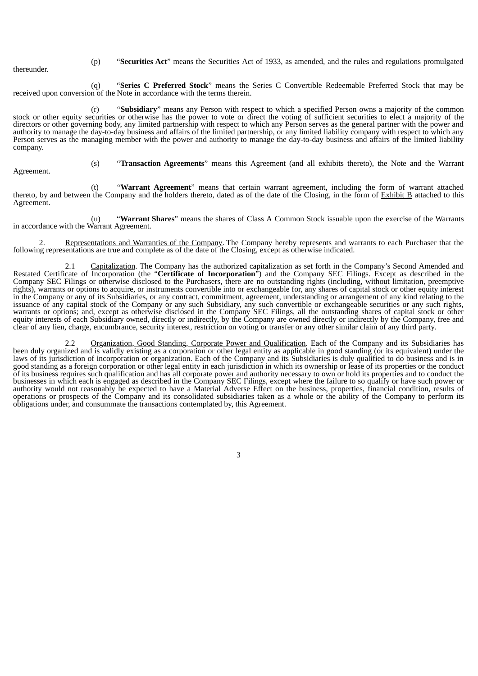thereunder.

(p) "**Securities Act**" means the Securities Act of 1933, as amended, and the rules and regulations promulgated

(q) "**Series C Preferred Stock**" means the Series C Convertible Redeemable Preferred Stock that may be received upon conversion of the Note in accordance with the terms therein.

(r) "**Subsidiary**" means any Person with respect to which a specified Person owns a majority of the common stock or other equity securities or otherwise has the power to vote or direct the voting of sufficient securities to elect a majority of the directors or other governing body, any limited partnership with respect to which any Person serves as the general partner with the power and authority to manage the day-to-day business and affairs of the limited partnership, or any limited liability company with respect to which any Person serves as the managing member with the power and authority to manage the day-to-day business and affairs of the limited liability company.

Agreement.

(s) "**Transaction Agreements**" means this Agreement (and all exhibits thereto), the Note and the Warrant

(t) "**Warrant Agreement**" means that certain warrant agreement, including the form of warrant attached thereto, by and between the Company and the holders thereto, dated as of the date of the Closing, in the form of Exhibit B attached to this Agreement.

(u) "**Warrant Shares**" means the shares of Class A Common Stock issuable upon the exercise of the Warrants in accordance with the Warrant Agreement.

2. Representations and Warranties of the Company. The Company hereby represents and warrants to each Purchaser that the following representations are true and complete as of the date of the Closing, except as otherwise indicated.

2.1 Capitalization. The Company has the authorized capitalization as set forth in the Company's Second Amended and Restated Certificate of Incorporation (the "**Certificate of Incorporation**") and the Company SEC Filings. Except as described in the Company SEC Filings or otherwise disclosed to the Purchasers, there are no outstanding rights (including, without limitation, preemptive rights), warrants or options to acquire, or instruments convertible into or exchangeable for, any shares of capital stock or other equity interest in the Company or any of its Subsidiaries, or any contract, commitment, agreement, understanding or arrangement of any kind relating to the issuance of any capital stock of the Company or any such Subsidiary, any such convertible or exchangeable securities or any such rights, warrants or options; and, except as otherwise disclosed in the Company SEC Filings, all the outstanding shares of capital stock or other equity interests of each Subsidiary owned, directly or indirectly, by the Company are owned directly or indirectly by the Company, free and clear of any lien, charge, encumbrance, security interest, restriction on voting or transfer or any other similar claim of any third party.

2.2 Organization, Good Standing, Corporate Power and Qualification. Each of the Company and its Subsidiaries has been duly organized and is validly existing as a corporation or other legal entity as applicable in good standing (or its equivalent) under the laws of its jurisdiction of incorporation or organization. Each of the Company and its Subsidiaries is duly qualified to do business and is in good standing as a foreign corporation or other legal entity in each jurisdiction in which its ownership or lease of its properties or the conduct of its business requires such qualification and has all corporate power and authority necessary to own or hold its properties and to conduct the businesses in which each is engaged as described in the Company SEC Filings, except where the failure to so qualify or have such power or authority would not reasonably be expected to have a Material Adverse Effect on the business, properties, financial condition, results of operations or prospects of the Company and its consolidated subsidiaries taken as a whole or the ability of the Company to perform its obligations under, and consummate the transactions contemplated by, this Agreement.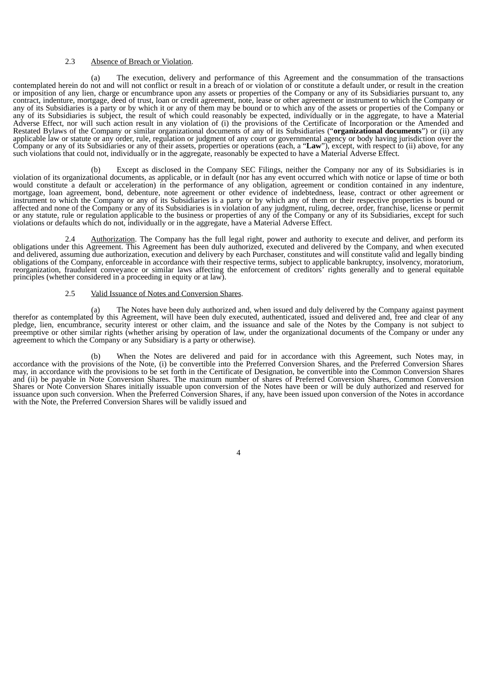### 2.3 Absence of Breach or Violation.

(a) The execution, delivery and performance of this Agreement and the consummation of the transactions contemplated herein do not and will not conflict or result in a breach of or violation of or constitute a default under, or result in the creation or imposition of any lien, charge or encumbrance upon any assets or properties of the Company or any of its Subsidiaries pursuant to, any contract, indenture, mortgage, deed of trust, loan or credit agreement, note, lease or other agreement or instrument to which the Company or any of its Subsidiaries is a party or by which it or any of them may be bound or to which any of the assets or properties of the Company or any of its Subsidiaries is subject, the result of which could reasonably be expected, individually or in the aggregate, to have a Material Adverse Effect, nor will such action result in any violation of (i) the provisions of the Certificate of Incorporation or the Amended and Restated Bylaws of the Company or similar organizational documents of any of its Subsidiaries ("**organizational documents**") or (ii) any applicable law or statute or any order, rule, regulation or judgment of any court or governmental agency or body having jurisdiction over the Company or any of its Subsidiaries or any of their assets, properties or operations (each, a "**Law**"), except, with respect to (ii) above, for any such violations that could not, individually or in the aggregate, reasonably be expected to have a Material Adverse Effect.

(b) Except as disclosed in the Company SEC Filings, neither the Company nor any of its Subsidiaries is in violation of its organizational documents, as applicable, or in default (nor has any event occurred which with notice or lapse of time or both would constitute a default or acceleration) in the performance of any obligation, agreement or condition contained in any indenture, mortgage, loan agreement, bond, debenture, note agreement or other evidence of indebtedness, lease, contract or other agreement or instrument to which the Company or any of its Subsidiaries is a party or by which any of them or their respective properties is bound or affected and none of the Company or any of its Subsidiaries is in violation of any judgment, ruling, decree, order, franchise, license or permit or any statute, rule or regulation applicable to the business or properties of any of the Company or any of its Subsidiaries, except for such violations or defaults which do not, individually or in the aggregate, have a Material Adverse Effect.

2.4 Authorization. The Company has the full legal right, power and authority to execute and deliver, and perform its obligations under this Agreement. This Agreement has been duly authorized, executed and delivered by the Company, and when executed and delivered, assuming due authorization, execution and delivery by each Purchaser, constitutes and will constitute valid and legally binding obligations of the Company, enforceable in accordance with their respective terms, subject to applicable bankruptcy, insolvency, moratorium, reorganization, fraudulent conveyance or similar laws affecting the enforcement of creditors' rights generally and to general equitable principles (whether considered in a proceeding in equity or at law).

#### 2.5 Valid Issuance of Notes and Conversion Shares.

(a) The Notes have been duly authorized and, when issued and duly delivered by the Company against payment therefor as contemplated by this Agreement, will have been duly executed, authenticated, issued and delivered and, free and clear of any pledge, lien, encumbrance, security interest or other claim, and the issuance and sale of the Notes by the Company is not subject to preemptive or other similar rights (whether arising by operation of law, under the organizational documents of the Company or under any agreement to which the Company or any Subsidiary is a party or otherwise).

(b) When the Notes are delivered and paid for in accordance with this Agreement, such Notes may, in accordance with the provisions of the Note, (i) be convertible into the Preferred Conversion Shares, and the Preferred Conversion Shares may, in accordance with the provisions to be set forth in the Certificate of Designation, be convertible into the Common Conversion Shares and (ii) be payable in Note Conversion Shares. The maximum number of shares of Preferred Conversion Shares, Common Conversion Shares or Note Conversion Shares initially issuable upon conversion of the Notes have been or will be duly authorized and reserved for issuance upon such conversion. When the Preferred Conversion Shares, if any, have been issued upon conversion of the Notes in accordance with the Note, the Preferred Conversion Shares will be validly issued and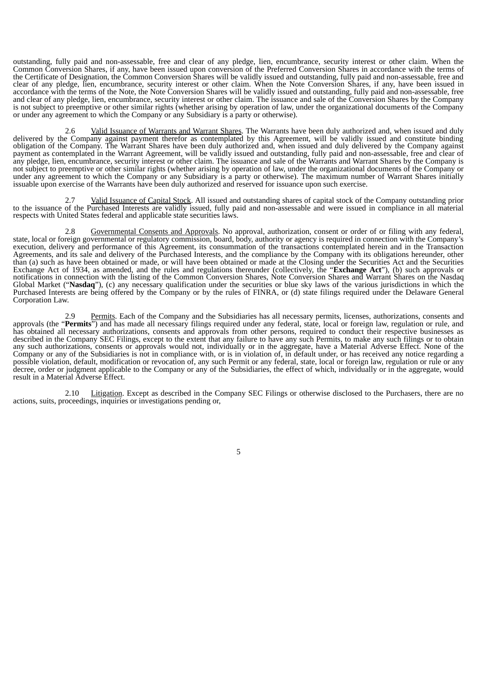outstanding, fully paid and non-assessable, free and clear of any pledge, lien, encumbrance, security interest or other claim. When the Common Conversion Shares, if any, have been issued upon conversion of the Preferred Conversion Shares in accordance with the terms of the Certificate of Designation, the Common Conversion Shares will be validly issued and outstanding, fully paid and non-assessable, free and clear of any pledge, lien, encumbrance, security interest or other claim. When the Note Conversion Shares, if any, have been issued in accordance with the terms of the Note, the Note Conversion Shares will be validly issued and outstanding, fully paid and non-assessable, free and clear of any pledge, lien, encumbrance, security interest or other claim. The issuance and sale of the Conversion Shares by the Company is not subject to preemptive or other similar rights (whether arising by operation of law, under the organizational documents of the Company or under any agreement to which the Company or any Subsidiary is a party or otherwise).

2.6 Valid Issuance of Warrants and Warrant Shares. The Warrants have been duly authorized and, when issued and duly delivered by the Company against payment therefor as contemplated by this Agreement, will be validly issued and constitute binding obligation of the Company. The Warrant Shares have been duly authorized and, when issued and duly delivered by the Company against payment as contemplated in the Warrant Agreement, will be validly issued and outstanding, fully paid and non-assessable, free and clear of any pledge, lien, encumbrance, security interest or other claim. The issuance and sale of the Warrants and Warrant Shares by the Company is not subject to preemptive or other similar rights (whether arising by operation of law, under the organizational documents of the Company or under any agreement to which the Company or any Subsidiary is a party or otherwise). The maximum number of Warrant Shares initially issuable upon exercise of the Warrants have been duly authorized and reserved for issuance upon such exercise.

2.7 Valid Issuance of Capital Stock. All issued and outstanding shares of capital stock of the Company outstanding prior to the issuance of the Purchased Interests are validly issued, fully paid and non-assessable and were issued in compliance in all material respects with United States federal and applicable state securities laws.

Governmental Consents and Approvals. No approval, authorization, consent or order of or filing with any federal, state, local or foreign governmental or regulatory commission, board, body, authority or agency is required in connection with the Company's execution, delivery and performance of this Agreement, its consummation of the transactions contemplated herein and in the Transaction Agreements, and its sale and delivery of the Purchased Interests, and the compliance by the Company with its obligations hereunder, other than (a) such as have been obtained or made, or will have been obtained or made at the Closing under the Securities Act and the Securities Exchange Act of 1934, as amended, and the rules and regulations thereunder (collectively, the "**Exchange Act**"), (b) such approvals or notifications in connection with the listing of the Common Conversion Shares, Note Conversion Shares and Warrant Shares on the Nasdaq Global Market ("**Nasdaq**"), (c) any necessary qualification under the securities or blue sky laws of the various jurisdictions in which the Purchased Interests are being offered by the Company or by the rules of FINRA, or (d) state filings required under the Delaware General Corporation Law.

2.9 Permits. Each of the Company and the Subsidiaries has all necessary permits, licenses, authorizations, consents and approvals (the "**Permits**") and has made all necessary filings required under any federal, state, local or foreign law, regulation or rule, and has obtained all necessary authorizations, consents and approvals from other persons, required to conduct their respective businesses as described in the Company SEC Filings, except to the extent that any failure to have any such Permits, to make any such filings or to obtain any such authorizations, consents or approvals would not, individually or in the aggregate, have a Material Adverse Effect. None of the Company or any of the Subsidiaries is not in compliance with, or is in violation of, in default under, or has received any notice regarding a possible violation, default, modification or revocation of, any such Permit or any federal, state, local or foreign law, regulation or rule or any decree, order or judgment applicable to the Company or any of the Subsidiaries, the effect of which, individually or in the aggregate, would result in a Material Adverse Effect.

2.10 Litigation. Except as described in the Company SEC Filings or otherwise disclosed to the Purchasers, there are no actions, suits, proceedings, inquiries or investigations pending or,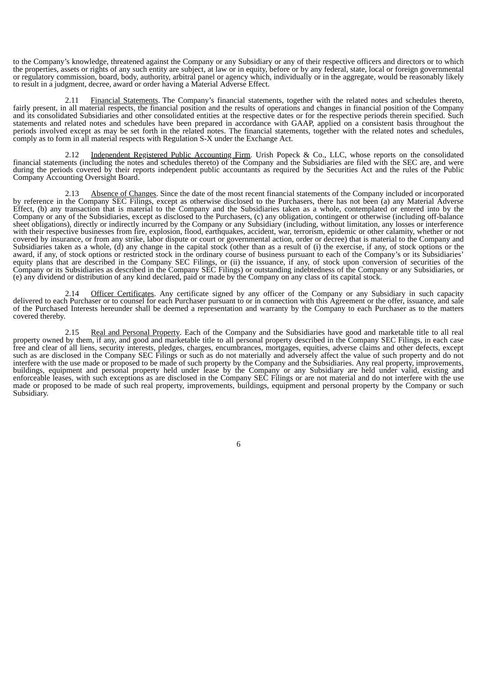to the Company's knowledge, threatened against the Company or any Subsidiary or any of their respective officers and directors or to which the properties, assets or rights of any such entity are subject, at law or in equity, before or by any federal, state, local or foreign governmental or regulatory commission, board, body, authority, arbitral panel or agency which, individually or in the aggregate, would be reasonably likely to result in a judgment, decree, award or order having a Material Adverse Effect.

2.11 Financial Statements. The Company's financial statements, together with the related notes and schedules thereto, fairly present, in all material respects, the financial position and the results of operations and changes in financial position of the Company and its consolidated Subsidiaries and other consolidated entities at the respective dates or for the respective periods therein specified. Such statements and related notes and schedules have been prepared in accordance with GAAP, applied on a consistent basis throughout the periods involved except as may be set forth in the related notes. The financial statements, together with the related notes and schedules, comply as to form in all material respects with Regulation S-X under the Exchange Act.

2.12 Independent Registered Public Accounting Firm. Urish Popeck & Co., LLC, whose reports on the consolidated financial statements (including the notes and schedules thereto) of the Company and the Subsidiaries are filed with the SEC are, and were during the periods covered by their reports independent public accountants as required by the Securities Act and the rules of the Public Company Accounting Oversight Board.

2.13 Absence of Changes. Since the date of the most recent financial statements of the Company included or incorporated by reference in the Company SEC Filings, except as otherwise disclosed to the Purchasers, there has not been (a) any Material Adverse Effect, (b) any transaction that is material to the Company and the Subsidiaries taken as a whole, contemplated or entered into by the Company or any of the Subsidiaries, except as disclosed to the Purchasers, (c) any obligation, contingent or otherwise (including off-balance sheet obligations), directly or indirectly incurred by the Company or any Subsidiary (including, without limitation, any losses or interference with their respective businesses from fire, explosion, flood, earthquakes, accident, war, terrorism, epidemic or other calamity, whether or not covered by insurance, or from any strike, labor dispute or court or governmental action, order or decree) that is material to the Company and Subsidiaries taken as a whole, (d) any change in the capital stock (other than as a result of (i) the exercise, if any, of stock options or the award, if any, of stock options or restricted stock in the ordinary course of business pursuant to each of the Company's or its Subsidiaries' equity plans that are described in the Company SEC Filings, or (ii) the issuance, if any, of stock upon conversion of securities of the Company or its Subsidiaries as described in the Company SEC Filings) or outstanding indebtedness of the Company or any Subsidiaries, or (e) any dividend or distribution of any kind declared, paid or made by the Company on any class of its capital stock.

2.14 Officer Certificates. Any certificate signed by any officer of the Company or any Subsidiary in such capacity delivered to each Purchaser or to counsel for each Purchaser pursuant to or in connection with this Agreement or the offer, issuance, and sale of the Purchased Interests hereunder shall be deemed a representation and warranty by the Company to each Purchaser as to the matters covered thereby.

2.15 Real and Personal Property. Each of the Company and the Subsidiaries have good and marketable title to all real property owned by them, if any, and good and marketable title to all personal property described in the Company SEC Filings, in each case free and clear of all liens, security interests, pledges, charges, encumbrances, mortgages, equities, adverse claims and other defects, except such as are disclosed in the Company SEC Filings or such as do not materially and adversely affect the value of such property and do not interfere with the use made or proposed to be made of such property by the Company and the Subsidiaries. Any real property, improvements, buildings, equipment and personal property held under lease by the Company or any Subsidiary are held under valid, existing and enforceable leases, with such exceptions as are disclosed in the Company SEC Filings or are not material and do not interfere with the use made or proposed to be made of such real property, improvements, buildings, equipment and personal property by the Company or such Subsidiary.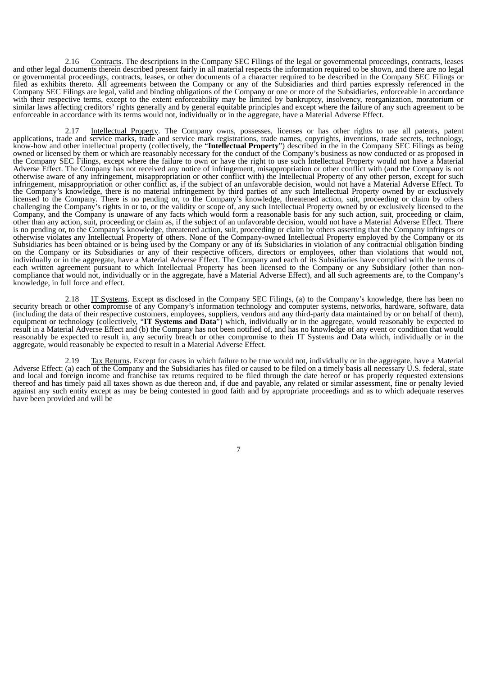2.16 Contracts. The descriptions in the Company SEC Filings of the legal or governmental proceedings, contracts, leases and other legal documents therein described present fairly in all material respects the information required to be shown, and there are no legal or governmental proceedings, contracts, leases, or other documents of a character required to be described in the Company SEC Filings or filed as exhibits thereto. All agreements between the Company or any of the Subsidiaries and third parties expressly referenced in the Company SEC Filings are legal, valid and binding obligations of the Company or one or more of the Subsidiaries, enforceable in accordance with their respective terms, except to the extent enforceability may be limited by bankruptcy, insolvency, reorganization, moratorium or similar laws affecting creditors' rights generally and by general equitable principles and except where the failure of any such agreement to be enforceable in accordance with its terms would not, individually or in the aggregate, have a Material Adverse Effect.

2.17 Intellectual Property. The Company owns, possesses, licenses or has other rights to use all patents, patent applications, trade and service marks, trade and service mark registrations, trade names, copyrights, inventions, trade secrets, technology, know-how and other intellectual property (collectively, the "**Intellectual Property**") described in the in the Company SEC Filings as being owned or licensed by them or which are reasonably necessary for the conduct of the Company's business as now conducted or as proposed in the Company SEC Filings, except where the failure to own or have the right to use such Intellectual Property would not have a Material Adverse Effect. The Company has not received any notice of infringement, misappropriation or other conflict with (and the Company is not otherwise aware of any infringement, misappropriation or other conflict with) the Intellectual Property of any other person, except for such infringement, misappropriation or other conflict as, if the subject of an unfavorable decision, would not have a Material Adverse Effect. To the Company's knowledge, there is no material infringement by third parties of any such Intellectual Property owned by or exclusively licensed to the Company. There is no pending or, to the Company's knowledge, threatened action, suit, proceeding or claim by others challenging the Company's rights in or to, or the validity or scope of, any such Intellectual Property owned by or exclusively licensed to the Company, and the Company is unaware of any facts which would form a reasonable basis for any such action, suit, proceeding or claim, other than any action, suit, proceeding or claim as, if the subject of an unfavorable decision, would not have a Material Adverse Effect. There is no pending or, to the Company's knowledge, threatened action, suit, proceeding or claim by others asserting that the Company infringes or otherwise violates any Intellectual Property of others. None of the Company-owned Intellectual Property employed by the Company or its Subsidiaries has been obtained or is being used by the Company or any of its Subsidiaries in violation of any contractual obligation binding on the Company or its Subsidiaries or any of their respective officers, directors or employees, other than violations that would not, individually or in the aggregate, have a Material Adverse Effect. The Company and each of its Subsidiaries have complied with the terms of each written agreement pursuant to which Intellectual Property has been licensed to the Company or any Subsidiary (other than noncompliance that would not, individually or in the aggregate, have a Material Adverse Effect), and all such agreements are, to the Company's knowledge, in full force and effect.

2.18 IT Systems. Except as disclosed in the Company SEC Filings, (a) to the Company's knowledge, there has been no security breach or other compromise of any Company's information technology and computer systems, networks, hardware, software, data (including the data of their respective customers, employees, suppliers, vendors and any third-party data maintained by or on behalf of them), equipment or technology (collectively, "**IT Systems and Data**") which, individually or in the aggregate, would reasonably be expected to result in a Material Adverse Effect and (b) the Company has not been notified of, and has no knowledge of any event or condition that would reasonably be expected to result in, any security breach or other compromise to their IT Systems and Data which, individually or in the aggregate, would reasonably be expected to result in a Material Adverse Effect.

2.19 Tax Returns. Except for cases in which failure to be true would not, individually or in the aggregate, have a Material Adverse Effect: (a) each of the Company and the Subsidiaries has filed or caused to be filed on a timely basis all necessary U.S. federal, state and local and foreign income and franchise tax returns required to be filed through the date hereof or has properly requested extensions thereof and has timely paid all taxes shown as due thereon and, if due and payable, any related or similar assessment, fine or penalty levied against any such entity except as may be being contested in good faith and by appropriate proceedings and as to which adequate reserves have been provided and will be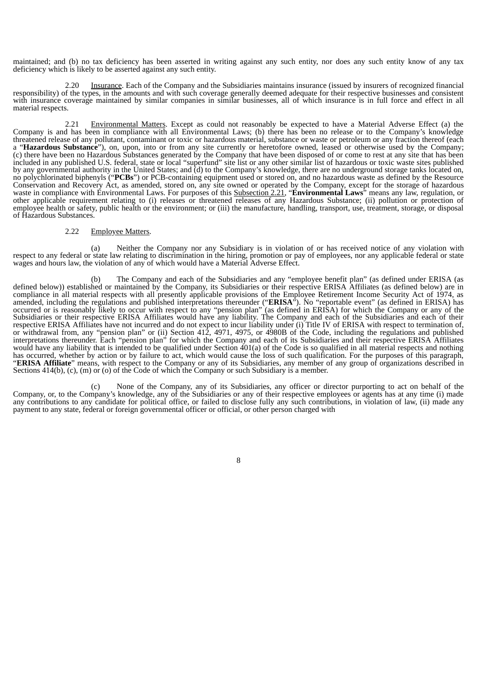maintained; and (b) no tax deficiency has been asserted in writing against any such entity, nor does any such entity know of any tax deficiency which is likely to be asserted against any such entity.

2.20 Insurance. Each of the Company and the Subsidiaries maintains insurance (issued by insurers of recognized financial responsibility) of the types, in the amounts and with such coverage generally deemed adequate for their respective businesses and consistent with insurance coverage maintained by similar companies in similar businesses, all of which insurance is in full force and effect in all material respects.

2.21 Environmental Matters. Except as could not reasonably be expected to have a Material Adverse Effect (a) the Company is and has been in compliance with all Environmental Laws; (b) there has been no release or to the Company's knowledge threatened release of any pollutant, contaminant or toxic or hazardous material, substance or waste or petroleum or any fraction thereof (each a "**Hazardous Substance**"), on, upon, into or from any site currently or heretofore owned, leased or otherwise used by the Company; (c) there have been no Hazardous Substances generated by the Company that have been disposed of or come to rest at any site that has been included in any published U.S. federal, state or local "superfund" site list or any other similar list of hazardous or toxic waste sites published by any governmental authority in the United States; and (d) to the Company's knowledge, there are no underground storage tanks located on, no polychlorinated biphenyls ("**PCBs**") or PCB-containing equipment used or stored on, and no hazardous waste as defined by the Resource Conservation and Recovery Act, as amended, stored on, any site owned or operated by the Company, except for the storage of hazardous waste in compliance with Environmental Laws. For purposes of this Subsection 2.21, "**Environmental Laws**" means any law, regulation, or other applicable requirement relating to (i) releases or threatened releases of any Hazardous Substance; (ii) pollution or protection of employee health or safety, public health or the environment; or (iii) the manufacture, handling, transport, use, treatment, storage, or disposal of Hazardous Substances.

#### 2.22 Employee Matters.

(a) Neither the Company nor any Subsidiary is in violation of or has received notice of any violation with respect to any federal or state law relating to discrimination in the hiring, promotion or pay of employees, nor any applicable federal or state wages and hours law, the violation of any of which would have a Material Adverse Effect.

(b) The Company and each of the Subsidiaries and any "employee benefit plan" (as defined under ERISA (as defined below)) established or maintained by the Company, its Subsidiaries or their respective ERISA Affiliates (as defined below) are in compliance in all material respects with all presently applicable provisions of the Employee Retirement Income Security Act of 1974, as amended, including the regulations and published interpretations thereunder ("**ERISA**"). No "reportable event" (as defined in ERISA) has occurred or is reasonably likely to occur with respect to any "pension plan" (as defined in ERISA) for which the Company or any of the Subsidiaries or their respective ERISA Affiliates would have any liability. The Company and each of the Subsidiaries and each of their respective ERISA Affiliates have not incurred and do not expect to incur liability under (i) Title IV of ERISA with respect to termination of, or withdrawal from, any "pension plan" or (ii) Section 412, 4971, 4975, or 4980B of the Code, including the regulations and published interpretations thereunder. Each "pension plan" for which the Company and each of its Subsidiaries and their respective ERISA Affiliates would have any liability that is intended to be qualified under Section 401(a) of the Code is so qualified in all material respects and nothing has occurred, whether by action or by failure to act, which would cause the loss of such qualification. For the purposes of this paragraph, "**ERISA Affiliate**" means, with respect to the Company or any of its Subsidiaries, any member of any group of organizations described in Sections 414(b), (c), (m) or (o) of the Code of which the Company or such Subsidiary is a member.

(c) None of the Company, any of its Subsidiaries, any officer or director purporting to act on behalf of the Company, or, to the Company's knowledge, any of the Subsidiaries or any of their respective employees or agents has at any time (i) made any contributions to any candidate for political office, or failed to disclose fully any such contributions, in violation of law, (ii) made any payment to any state, federal or foreign governmental officer or official, or other person charged with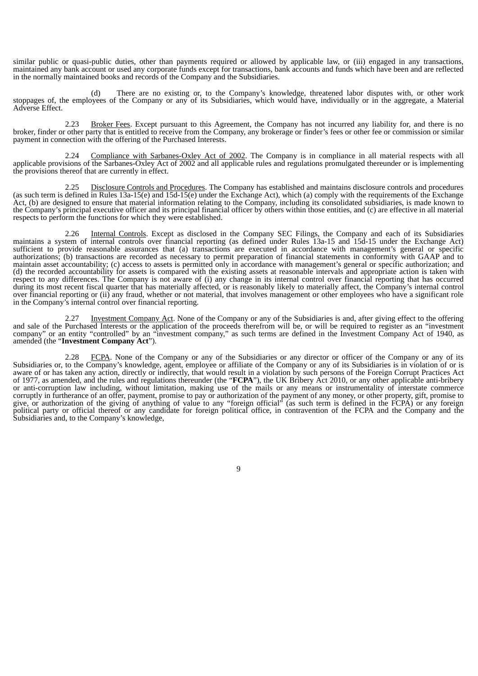similar public or quasi-public duties, other than payments required or allowed by applicable law, or (iii) engaged in any transactions, maintained any bank account or used any corporate funds except for transactions, bank accounts and funds which have been and are reflected in the normally maintained books and records of the Company and the Subsidiaries.

(d) There are no existing or, to the Company's knowledge, threatened labor disputes with, or other work stoppages of, the employees of the Company or any of its Subsidiaries, which would have, individually or in the aggregate, a Material Adverse Effect.

2.23 Broker Fees. Except pursuant to this Agreement, the Company has not incurred any liability for, and there is no broker, finder or other party that is entitled to receive from the Company, any brokerage or finder's fees or other fee or commission or similar payment in connection with the offering of the Purchased Interests.

2.24 Compliance with Sarbanes-Oxley Act of 2002. The Company is in compliance in all material respects with all applicable provisions of the Sarbanes-Oxley Act of 2002 and all applicable rules and regulations promulgated thereunder or is implementing the provisions thereof that are currently in effect.

2.25 Disclosure Controls and Procedures. The Company has established and maintains disclosure controls and procedures (as such term is defined in Rules  $13a-15(e)$  and  $15d-15(e)$  under the Exchange Act), which (a) comply with the requirements of the Exchange Act, (b) are designed to ensure that material information relating to the Company, including its consolidated subsidiaries, is made known to the Company's principal executive officer and its principal financial officer by others within those entities, and (c) are effective in all material respects to perform the functions for which they were established.

2.26 Internal Controls. Except as disclosed in the Company SEC Filings, the Company and each of its Subsidiaries maintains a system of internal controls over financial reporting (as defined under Rules 13a-15 and 15d-15 under the Exchange Act) sufficient to provide reasonable assurances that (a) transactions are executed in accordance with management's general or specific authorizations; (b) transactions are recorded as necessary to permit preparation of financial statements in conformity with GAAP and to maintain asset accountability; (c) access to assets is permitted only in accordance with management's general or specific authorization; and (d) the recorded accountability for assets is compared with the existing assets at reasonable intervals and appropriate action is taken with respect to any differences. The Company is not aware of (i) any change in its internal control over financial reporting that has occurred during its most recent fiscal quarter that has materially affected, or is reasonably likely to materially affect, the Company's internal control over financial reporting or (ii) any fraud, whether or not material, that involves management or other employees who have a significant role in the Company's internal control over financial reporting.

2.27 Investment Company Act. None of the Company or any of the Subsidiaries is and, after giving effect to the offering and sale of the Purchased Interests or the application of the proceeds therefrom will be, or will be required to register as an "investment company" or an entity "controlled" by an "investment company," as such terms are defined in the Investment Company Act of 1940, as amended (the "**Investment Company Act**").

2.28 FCPA. None of the Company or any of the Subsidiaries or any director or officer of the Company or any of its Subsidiaries or, to the Company's knowledge, agent, employee or affiliate of the Company or any of its Subsidiaries is in violation of or is aware of or has taken any action, directly or indirectly, that would result in a violation by such persons of the Foreign Corrupt Practices Act of 1977, as amended, and the rules and regulations thereunder (the "**FCPA**"), the UK Bribery Act 2010, or any other applicable anti-bribery or anti-corruption law including, without limitation, making use of the mails or any means or instrumentality of interstate commerce corruptly in furtherance of an offer, payment, promise to pay or authorization of the payment of any money, or other property, gift, promise to give, or authorization of the giving of anything of value to any "foreign official" (as such term is defined in the FCPA) or any foreign political party or official thereof or any candidate for foreign political office, in contravention of the FCPA and the Company and the Subsidiaries and, to the Company's knowledge,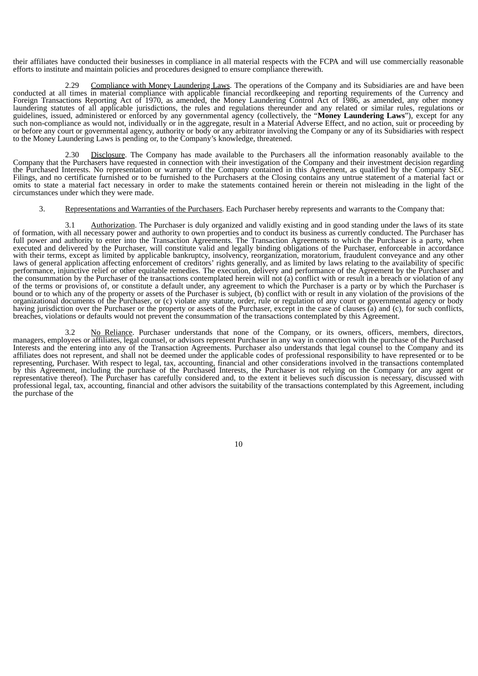their affiliates have conducted their businesses in compliance in all material respects with the FCPA and will use commercially reasonable efforts to institute and maintain policies and procedures designed to ensure compliance therewith.

2.29 Compliance with Money Laundering Laws. The operations of the Company and its Subsidiaries are and have been conducted at all times in material compliance with applicable financial recordkeeping and reporting requirements of the Currency and Foreign Transactions Reporting Act of 1970, as amended, the Money Laundering Control Act of 1986, as amended, any other money laundering statutes of all applicable jurisdictions, the rules and regulations thereunder and any related or similar rules, regulations or guidelines, issued, administered or enforced by any governmental agency (collectively, the "**Money Laundering Laws**"), except for any such non-compliance as would not, individually or in the aggregate, result in a Material Adverse Effect, and no action, suit or proceeding by or before any court or governmental agency, authority or body or any arbitrator involving the Company or any of its Subsidiaries with respect to the Money Laundering Laws is pending or, to the Company's knowledge, threatened.

2.30 Disclosure. The Company has made available to the Purchasers all the information reasonably available to the Company that the Purchasers have requested in connection with their investigation of the Company and their investment decision regarding the Purchased Interests. No representation or warranty of the Company contained in this Agreement, as qualified by the Company SEC Filings, and no certificate furnished or to be furnished to the Purchasers at the Closing contains any untrue statement of a material fact or omits to state a material fact necessary in order to make the statements contained herein or therein not misleading in the light of the circumstances under which they were made.

#### 3. Representations and Warranties of the Purchasers. Each Purchaser hereby represents and warrants to the Company that:

3.1 Authorization. The Purchaser is duly organized and validly existing and in good standing under the laws of its state of formation, with all necessary power and authority to own properties and to conduct its business as currently conducted. The Purchaser has full power and authority to enter into the Transaction Agreements. The Transaction Agreements to which the Purchaser is a party, when executed and delivered by the Purchaser, will constitute valid and legally binding obligations of the Purchaser, enforceable in accordance with their terms, except as limited by applicable bankruptcy, insolvency, reorganization, moratorium, fraudulent conveyance and any other laws of general application affecting enforcement of creditors' rights generally, and as limited by laws relating to the availability of specific performance, injunctive relief or other equitable remedies. The execution, delivery and performance of the Agreement by the Purchaser and the consummation by the Purchaser of the transactions contemplated herein will not (a) conflict with or result in a breach or violation of any of the terms or provisions of, or constitute a default under, any agreement to which the Purchaser is a party or by which the Purchaser is bound or to which any of the property or assets of the Purchaser is subject, (b) conflict with or result in any violation of the provisions of the organizational documents of the Purchaser, or (c) violate any statute, order, rule or regulation of any court or governmental agency or body having jurisdiction over the Purchaser or the property or assets of the Purchaser, except in the case of clauses (a) and (c), for such conflicts, breaches, violations or defaults would not prevent the consummation of the transactions contemplated by this Agreement.

3.2 No Reliance. Purchaser understands that none of the Company, or its owners, officers, members, directors, managers, employees or affiliates, legal counsel, or advisors represent Purchaser in any way in connection with the purchase of the Purchased Interests and the entering into any of the Transaction Agreements. Purchaser also understands that legal counsel to the Company and its affiliates does not represent, and shall not be deemed under the applicable codes of professional responsibility to have represented or to be representing, Purchaser. With respect to legal, tax, accounting, financial and other considerations involved in the transactions contemplated by this Agreement, including the purchase of the Purchased Interests, the Purchaser is not relying on the Company (or any agent or representative thereof). The Purchaser has carefully considered and, to the extent it believes such discussion is necessary, discussed with professional legal, tax, accounting, financial and other advisors the suitability of the transactions contemplated by this Agreement, including the purchase of the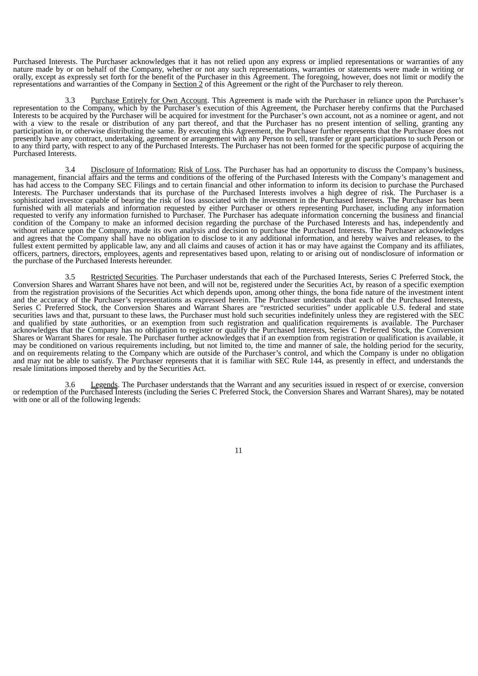Purchased Interests. The Purchaser acknowledges that it has not relied upon any express or implied representations or warranties of any nature made by or on behalf of the Company, whether or not any such representations, warranties or statements were made in writing or orally, except as expressly set forth for the benefit of the Purchaser in this Agreement. The foregoing, however, does not limit or modify the representations and warranties of the Company in Section 2 of this Agreement or the right of the Purchaser to rely thereon.

3.3 Purchase Entirely for Own Account. This Agreement is made with the Purchaser in reliance upon the Purchaser's representation to the Company, which by the Purchaser's execution of this Agreement, the Purchaser hereby confirms that the Purchased Interests to be acquired by the Purchaser will be acquired for investment for the Purchaser's own account, not as a nominee or agent, and not with a view to the resale or distribution of any part thereof, and that the Purchaser has no present intention of selling, granting any participation in, or otherwise distributing the same. By executing this Agreement, the Purchaser further represents that the Purchaser does not presently have any contract, undertaking, agreement or arrangement with any Person to sell, transfer or grant participations to such Person or to any third party, with respect to any of the Purchased Interests. The Purchaser has not been formed for the specific purpose of acquiring the Purchased Interests.

3.4 Disclosure of Information; Risk of Loss. The Purchaser has had an opportunity to discuss the Company's business, management, financial affairs and the terms and conditions of the offering of the Purchased Interests with the Company's management and has had access to the Company SEC Filings and to certain financial and other information to inform its decision to purchase the Purchased Interests. The Purchaser understands that its purchase of the Purchased Interests involves a high degree of risk. The Purchaser is a sophisticated investor capable of bearing the risk of loss associated with the investment in the Purchased Interests. The Purchaser has been furnished with all materials and information requested by either Purchaser or others representing Purchaser, including any information requested to verify any information furnished to Purchaser. The Purchaser has adequate information concerning the business and financial condition of the Company to make an informed decision regarding the purchase of the Purchased Interests and has, independently and without reliance upon the Company, made its own analysis and decision to purchase the Purchased Interests. The Purchaser acknowledges and agrees that the Company shall have no obligation to disclose to it any additional information, and hereby waives and releases, to the fullest extent permitted by applicable law, any and all claims and causes of action it has or may have against the Company and its affiliates, officers, partners, directors, employees, agents and representatives based upon, relating to or arising out of nondisclosure of information or the purchase of the Purchased Interests hereunder.

3.5 Restricted Securities. The Purchaser understands that each of the Purchased Interests, Series C Preferred Stock, the Conversion Shares and Warrant Shares have not been, and will not be, registered under the Securities Act, by reason of a specific exemption from the registration provisions of the Securities Act which depends upon, among other things, the bona fide nature of the investment intent and the accuracy of the Purchaser's representations as expressed herein. The Purchaser understands that each of the Purchased Interests, Series C Preferred Stock, the Conversion Shares and Warrant Shares are "restricted securities" under applicable U.S. federal and state securities laws and that, pursuant to these laws, the Purchaser must hold such securities indefinitely unless they are registered with the SEC and qualified by state authorities, or an exemption from such registration and qualification requirements is available. The Purchaser acknowledges that the Company has no obligation to register or qualify the Purchased Interests, Series C Preferred Stock, the Conversion Shares or Warrant Shares for resale. The Purchaser further acknowledges that if an exemption from registration or qualification is available, it may be conditioned on various requirements including, but not limited to, the time and manner of sale, the holding period for the security, and on requirements relating to the Company which are outside of the Purchaser's control, and which the Company is under no obligation and may not be able to satisfy. The Purchaser represents that it is familiar with SEC Rule 144, as presently in effect, and understands the resale limitations imposed thereby and by the Securities Act.

3.6 Legends. The Purchaser understands that the Warrant and any securities issued in respect of or exercise, conversion or redemption of the Purchased Interests (including the Series C Preferred Stock, the Conversion Shares and Warrant Shares), may be notated with one or all of the following legends: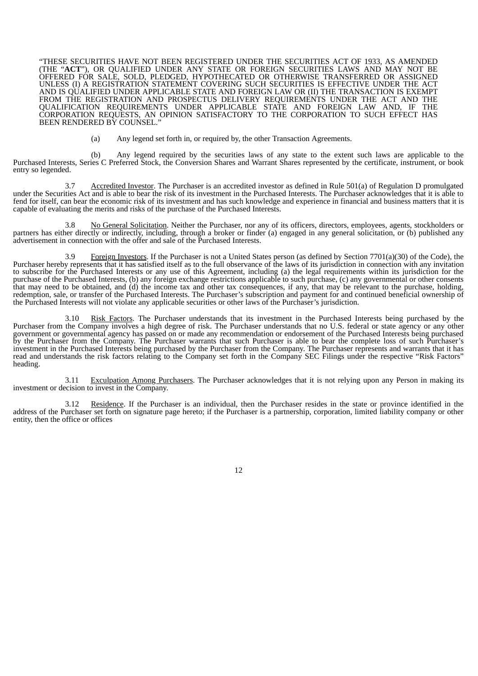"THESE SECURITIES HAVE NOT BEEN REGISTERED UNDER THE SECURITIES ACT OF 1933, AS AMENDED (THE "**ACT**"), OR QUALIFIED UNDER ANY STATE OR FOREIGN SECURITIES LAWS AND MAY NOT BE OFFERED FOR SALE, SOLD, PLEDGED, HYPOTHECATED OR OTHERWISE TRANSFERRED OR ASSIGNED UNLESS (I) A REGISTRATION STATEMENT COVERING SUCH SECURITIES IS EFFECTIVE UNDER THE ACT AND IS QUALIFIED UNDER APPLICABLE STATE AND FOREIGN LAW OR (II) THE TRANSACTION IS EXEMPT FROM THE REGISTRATION AND PROSPECTUS DELIVERY REQUIREMENTS UNDER THE ACT AND THE QUALIFICATION REQUIREMENTS UNDER APPLICABLE STATE AND FOREIGN LAW AND, IF THE CORPORATION REQUESTS, AN OPINION SATISFACTORY TO THE CORPORATION TO SUCH EFFECT HAS BEEN RENDERED BY COUNSEL."

(a) Any legend set forth in, or required by, the other Transaction Agreements.

(b) Any legend required by the securities laws of any state to the extent such laws are applicable to the Purchased Interests, Series C Preferred Stock, the Conversion Shares and Warrant Shares represented by the certificate, instrument, or book entry so legended.

3.7 Accredited Investor. The Purchaser is an accredited investor as defined in Rule 501(a) of Regulation D promulgated under the Securities Act and is able to bear the risk of its investment in the Purchased Interests. The Purchaser acknowledges that it is able to fend for itself, can bear the economic risk of its investment and has such knowledge and experience in financial and business matters that it is capable of evaluating the merits and risks of the purchase of the Purchased Interests.

3.8 No General Solicitation. Neither the Purchaser, nor any of its officers, directors, employees, agents, stockholders or partners has either directly or indirectly, including, through a broker or finder (a) engaged in any general solicitation, or (b) published any advertisement in connection with the offer and sale of the Purchased Interests.

3.9 Foreign Investors. If the Purchaser is not a United States person (as defined by Section 7701(a)(30) of the Code), the Purchaser hereby represents that it has satisfied itself as to the full observance of the laws of its jurisdiction in connection with any invitation to subscribe for the Purchased Interests or any use of this Agreement, including (a) the legal requirements within its jurisdiction for the purchase of the Purchased Interests, (b) any foreign exchange restrictions applicable to such purchase, (c) any governmental or other consents that may need to be obtained, and (d) the income tax and other tax consequences, if any, that may be relevant to the purchase, holding, redemption, sale, or transfer of the Purchased Interests. The Purchaser's subscription and payment for and continued beneficial ownership of the Purchased Interests will not violate any applicable securities or other laws of the Purchaser's jurisdiction.

3.10 Risk Factors. The Purchaser understands that its investment in the Purchased Interests being purchased by the Purchaser from the Company involves a high degree of risk. The Purchaser understands that no U.S. federal or state agency or any other government or governmental agency has passed on or made any recommendation or endorsement of the Purchased Interests being purchased by the Purchaser from the Company. The Purchaser warrants that such Purchaser is able to bear the complete loss of such Purchaser's investment in the Purchased Interests being purchased by the Purchaser from the Company. The Purchaser represents and warrants that it has read and understands the risk factors relating to the Company set forth in the Company SEC Filings under the respective "Risk Factors" heading.

3.11 Exculpation Among Purchasers. The Purchaser acknowledges that it is not relying upon any Person in making its investment or decision to invest in the Company.

3.12 Residence. If the Purchaser is an individual, then the Purchaser resides in the state or province identified in the address of the Purchaser set forth on signature page hereto; if the Purchaser is a partnership, corporation, limited liability company or other entity, then the office or offices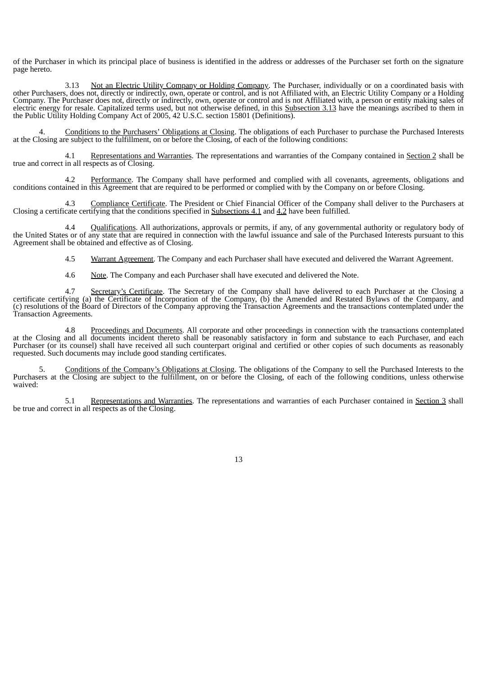of the Purchaser in which its principal place of business is identified in the address or addresses of the Purchaser set forth on the signature page hereto.

3.13 Not an Electric Utility Company or Holding Company. The Purchaser, individually or on a coordinated basis with other Purchasers, does not, directly or indirectly, own, operate or control, and is not Affiliated with, an Electric Utility Company or a Holding Company. The Purchaser does not, directly or indirectly, own, operate or control and is not Affiliated with, a person or entity making sales of electric energy for resale. Capitalized terms used, but not otherwise defined, in this Subsection 3.13 have the meanings ascribed to them in the Public Utility Holding Company Act of 2005, 42 U.S.C. section 15801 (Definitions).

4. Conditions to the Purchasers' Obligations at Closing. The obligations of each Purchaser to purchase the Purchased Interests at the Closing are subject to the fulfillment, on or before the Closing, of each of the following conditions:

4.1 Representations and Warranties. The representations and warranties of the Company contained in Section 2 shall be true and correct in all respects as of Closing.

4.2 Performance. The Company shall have performed and complied with all covenants, agreements, obligations and conditions contained in this Agreement that are required to be performed or complied with by the Company on or before Closing.

4.3 Compliance Certificate. The President or Chief Financial Officer of the Company shall deliver to the Purchasers at Closing a certificate certifying that the conditions specified in Subsections 4.1 and 4.2 have been fulfilled.

4.4 Qualifications. All authorizations, approvals or permits, if any, of any governmental authority or regulatory body of the United States or of any state that are required in connection with the lawful issuance and sale of the Purchased Interests pursuant to this Agreement shall be obtained and effective as of Closing.

4.5 Warrant Agreement. The Company and each Purchaser shall have executed and delivered the Warrant Agreement.

4.6 Note. The Company and each Purchaser shall have executed and delivered the Note.

4.7 Secretary's Certificate. The Secretary of the Company shall have delivered to each Purchaser at the Closing a certificate certifying (a) the Certificate of Incorporation of the Company, (b) the Amended and Restated Bylaws of the Company, and (c) resolutions of the Board of Directors of the Company approving the Transaction Agreements and the transactions contemplated under the Transaction Agreements.

4.8 Proceedings and Documents. All corporate and other proceedings in connection with the transactions contemplated at the Closing and all documents incident thereto shall be reasonably satisfactory in form and substance to each Purchaser, and each Purchaser (or its counsel) shall have received all such counterpart original and certified or other copies of such documents as reasonably requested. Such documents may include good standing certificates.

5. Conditions of the Company's Obligations at Closing. The obligations of the Company to sell the Purchased Interests to the Purchasers at the Closing are subject to the fulfillment, on or before the Closing, of each of the following conditions, unless otherwise waived:

5.1 Representations and Warranties. The representations and warranties of each Purchaser contained in Section 3 shall be true and correct in all respects as of the Closing.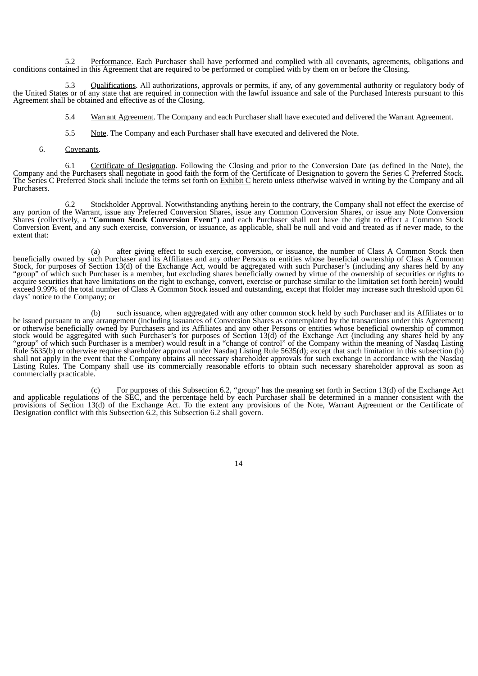5.2 Performance. Each Purchaser shall have performed and complied with all covenants, agreements, obligations and conditions contained in this Agreement that are required to be performed or complied with by them on or before the Closing.

5.3 Qualifications. All authorizations, approvals or permits, if any, of any governmental authority or regulatory body of the United States or of any state that are required in connection with the lawful issuance and sale of the Purchased Interests pursuant to this Agreement shall be obtained and effective as of the Closing.

5.4 Warrant Agreement. The Company and each Purchaser shall have executed and delivered the Warrant Agreement.

5.5 Note. The Company and each Purchaser shall have executed and delivered the Note.

#### 6. Covenants.

6.1 Certificate of Designation. Following the Closing and prior to the Conversion Date (as defined in the Note), the Company and the Purchasers shall negotiate in good faith the form of the Certificate of Designation to govern the Series C Preferred Stock. The Series C Preferred Stock shall include the terms set forth on  $Exhibit C$  hereto unless otherwise waived in writing by the Company and all Purchasers.

6.2 Stockholder Approval. Notwithstanding anything herein to the contrary, the Company shall not effect the exercise of any portion of the Warrant, issue any Preferred Conversion Shares, issue any Common Conversion Shares, or issue any Note Conversion Shares (collectively, a "**Common Stock Conversion Event**") and each Purchaser shall not have the right to effect a Common Stock Conversion Event, and any such exercise, conversion, or issuance, as applicable, shall be null and void and treated as if never made, to the extent that:

(a) after giving effect to such exercise, conversion, or issuance, the number of Class A Common Stock then beneficially owned by such Purchaser and its Affiliates and any other Persons or entities whose beneficial ownership of Class A Common Stock, for purposes of Section 13(d) of the Exchange Act, would be aggregated with such Purchaser's (including any shares held by any "group" of which such Purchaser is a member, but excluding shares beneficially owned by virtue of the ownership of securities or rights to acquire securities that have limitations on the right to exchange, convert, exercise or purchase similar to the limitation set forth herein) would exceed 9.99% of the total number of Class A Common Stock issued and outstanding, except that Holder may increase such threshold upon 61 days' notice to the Company; or

(b) such issuance, when aggregated with any other common stock held by such Purchaser and its Affiliates or to be issued pursuant to any arrangement (including issuances of Conversion Shares as contemplated by the transactions under this Agreement) or otherwise beneficially owned by Purchasers and its Affiliates and any other Persons or entities whose beneficial ownership of common stock would be aggregated with such Purchaser's for purposes of Section 13(d) of the Exchange Act (including any shares held by any "group" of which such Purchaser is a member) would result in a "change of control" of the Company within the meaning of Nasdaq Listing Rule 5635(b) or otherwise require shareholder approval under Nasdaq Listing Rule 5635(d); except that such limitation in this subsection (b) shall not apply in the event that the Company obtains all necessary shareholder approvals for such exchange in accordance with the Nasdaq Listing Rules. The Company shall use its commercially reasonable efforts to obtain such necessary shareholder approval as soon as commercially practicable.

(c) For purposes of this Subsection 6.2, "group" has the meaning set forth in Section 13(d) of the Exchange Act and applicable regulations of the SEC, and the percentage held by each Purchaser shall be determined in a manner consistent with the provisions of Section 13(d) of the Exchange Act. To the extent any provisions of the Note, Warrant Agreement or the Certificate of Designation conflict with this Subsection 6.2, this Subsection 6.2 shall govern.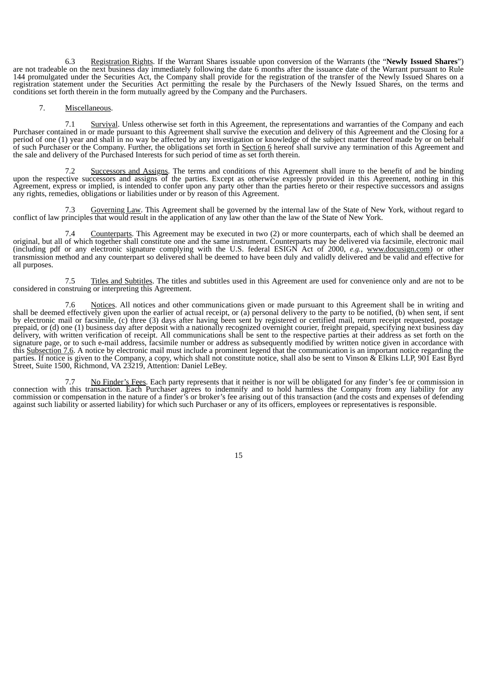6.3 Registration Rights. If the Warrant Shares issuable upon conversion of the Warrants (the "**Newly Issued Shares**") are not tradeable on the next business day immediately following the date 6 months after the issuance date of the Warrant pursuant to Rule 144 promulgated under the Securities Act, the Company shall provide for the registration of the transfer of the Newly Issued Shares on a registration statement under the Securities Act permitting the resale by the Purchasers of the Newly Issued Shares, on the terms and conditions set forth therein in the form mutually agreed by the Company and the Purchasers.

#### 7. Miscellaneous.

7.1 Survival. Unless otherwise set forth in this Agreement, the representations and warranties of the Company and each Purchaser contained in or made pursuant to this Agreement shall survive the execution and delivery of this Agreement and the Closing for a period of one (1) year and shall in no way be affected by any investigation or knowledge of the subject matter thereof made by or on behalf of such Purchaser or the Company. Further, the obligations set forth in <u>Section 6</u> hereof shall survive any termination of this Agreement and of such Purchaser or the Company. Further, the obligations set forth in <u>Sectio</u> the sale and delivery of the Purchased Interests for such period of time as set forth therein.

7.2 Successors and Assigns. The terms and conditions of this Agreement shall inure to the benefit of and be binding upon the respective successors and assigns of the parties. Except as otherwise expressly provided in this Agreement, nothing in this Agreement, express or implied, is intended to confer upon any party other than the parties hereto or their respective successors and assigns any rights, remedies, obligations or liabilities under or by reason of this Agreement.

7.3 Governing Law. This Agreement shall be governed by the internal law of the State of New York, without regard to conflict of law principles that would result in the application of any law other than the law of the State of New York.

7.4 Counterparts. This Agreement may be executed in two (2) or more counterparts, each of which shall be deemed an original, but all of which together shall constitute one and the same instrument. Counterparts may be delivered via facsimile, electronic mail (including pdf or any electronic signature complying with the U.S. federal ESIGN Act of 2000, *e.g.*, www.docusign.com) or other transmission method and any counterpart so delivered shall be deemed to have been duly and validly delivered and be valid and effective for all purposes.

7.5 Titles and Subtitles. The titles and subtitles used in this Agreement are used for convenience only and are not to be considered in construing or interpreting this Agreement.

7.6 Notices. All notices and other communications given or made pursuant to this Agreement shall be in writing and shall be deemed effectively given upon the earlier of actual receipt, or (a) personal delivery to the party to be notified, (b) when sent, if sent by electronic mail or facsimile, (c) three (3) days after having been sent by registered or certified mail, return receipt requested, postage prepaid, or (d) one (1) business day after deposit with a nationally recognized overnight courier, freight prepaid, specifying next business day delivery, with written verification of receipt. All communications shall be sent to the respective parties at their address as set forth on the signature page, or to such e-mail address, facsimile number or address as subsequently modified by written notice given in accordance with this Subsection 7.6. A notice by electronic mail must include a prominent legend that the communication is an important notice regarding the parties. If notice is given to the Company, a copy, which shall not constitute notice, shall also be sent to Vinson & Elkins LLP, 901 East Byrd Street, Suite 1500, Richmond, VA 23219, Attention: Daniel LeBey.

7.7 No Finder's Fees. Each party represents that it neither is nor will be obligated for any finder's fee or commission in connection with this transaction. Each Purchaser agrees to indemnify and to hold harmless the Company from any liability for any commission or compensation in the nature of a finder's or broker's fee arising out of this transaction (and the costs and expenses of defending against such liability or asserted liability) for which such Purchaser or any of its officers, employees or representatives is responsible.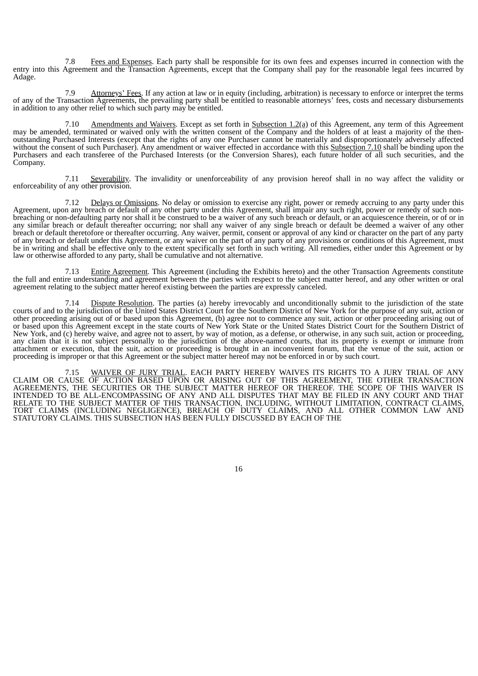7.8 Fees and Expenses. Each party shall be responsible for its own fees and expenses incurred in connection with the entry into this Agreement and the Transaction Agreements, except that the Company shall pay for the reasonable legal fees incurred by Adage.

7.9 Attorneys' Fees. If any action at law or in equity (including, arbitration) is necessary to enforce or interpret the terms of any of the Transaction Agreements, the prevailing party shall be entitled to reasonable attorneys' fees, costs and necessary disbursements in addition to any other relief to which such party may be entitled.

7.10 Amendments and Waivers. Except as set forth in Subsection 1.2(a) of this Agreement, any term of this Agreement may be amended, terminated or waived only with the written consent of the Company and the holders of at least a majority of the thenoutstanding Purchased Interests (except that the rights of any one Purchaser cannot be materially and disproportionately adversely affected without the consent of such Purchaser). Any amendment or waiver effected in accordance with this Subsection 7.10 shall be binding upon the Purchasers and each transferee of the Purchased Interests (or the Conversion Shares), each future holder of all such securities, and the Company.

7.11 Severability. The invalidity or unenforceability of any provision hereof shall in no way affect the validity or enforceability of any other provision.

7.12 Delays or Omissions. No delay or omission to exercise any right, power or remedy accruing to any party under this Agreement, upon any breach or default of any other party under this Agreement, shall impair any such right, power or remedy of such nonbreaching or non-defaulting party nor shall it be construed to be a waiver of any such breach or default, or an acquiescence therein, or of or in any similar breach or default thereafter occurring; nor shall any waiver of any single breach or default be deemed a waiver of any other breach or default theretofore or thereafter occurring. Any waiver, permit, consent or approval of any kind or character on the part of any party of any breach or default under this Agreement, or any waiver on the part of any party of any provisions or conditions of this Agreement, must be in writing and shall be effective only to the extent specifically set forth in such writing. All remedies, either under this Agreement or by law or otherwise afforded to any party, shall be cumulative and not alternative.

7.13 Entire Agreement. This Agreement (including the Exhibits hereto) and the other Transaction Agreements constitute the full and entire understanding and agreement between the parties with respect to the subject matter hereof, and any other written or oral agreement relating to the subject matter hereof existing between the parties are expressly canceled.

7.14 Dispute Resolution. The parties (a) hereby irrevocably and unconditionally submit to the jurisdiction of the state courts of and to the jurisdiction of the United States District Court for the Southern District of New York for the purpose of any suit, action or other proceeding arising out of or based upon this Agreement, (b) agree not to commence any suit, action or other proceeding arising out of or based upon this Agreement except in the state courts of New York State or the United States District Court for the Southern District of New York, and (c) hereby waive, and agree not to assert, by way of motion, as a defense, or otherwise, in any such suit, action or proceeding, any claim that it is not subject personally to the jurisdiction of the above-named courts, that its property is exempt or immune from attachment or execution, that the suit, action or proceeding is brought in an inconvenient forum, that the venue of the suit, action or proceeding is improper or that this Agreement or the subject matter hereof may not be enforced in or by such court.

7.15 WAIVER OF JURY TRIAL. EACH PARTY HEREBY WAIVES ITS RIGHTS TO A JURY TRIAL OF ANY CLAIM OR CAUSE OF ACTION BASED UPON OR ARISING OUT OF THIS AGREEMENT, THE OTHER TRANSACTION AGREEMENTS, THE SECURITIES OR THE SUBJECT MATTER HEREOF OR THEREOF. THE SCOPE OF THIS WAIVER IS INTENDED TO BE ALL-ENCOMPASSING OF ANY AND ALL DISPUTES THAT MAY BE FILED IN ANY COURT AND THAT RELATE TO THE SUBJECT MATTER OF THIS TRANSACTION, INCLUDING, WITHOUT LIMITATION, CONTRACT CLAIMS, TORT CLAIMS (INCLUDING NEGLIGENCE), BREACH OF DUTY CLAIMS, AND ALL OTHER COMMON LAW AND STATUTORY CLAIMS. THIS SUBSECTION HAS BEEN FULLY DISCUSSED BY EACH OF THE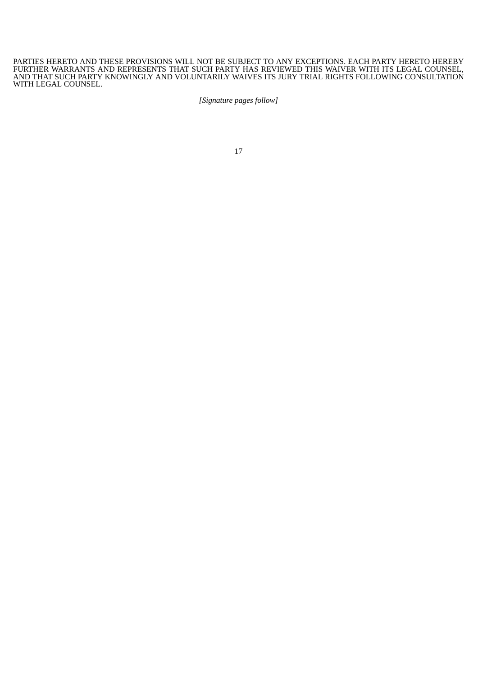PARTIES HERETO AND THESE PROVISIONS WILL NOT BE SUBJECT TO ANY EXCEPTIONS. EACH PARTY HERETO HEREBY FURTHER WARRANTS AND REPRESENTS THAT SUCH PARTY HAS REVIEWED THIS WAIVER WITH ITS LEGAL COUNSEL, AND THAT SUCH PARTY KNOWINGLY AND VOLUNTARILY WAIVES ITS JURY TRIAL RIGHTS FOLLOWING CONSULTATION WITH LEGAL COUNSEL.

*[Signature pages follow]*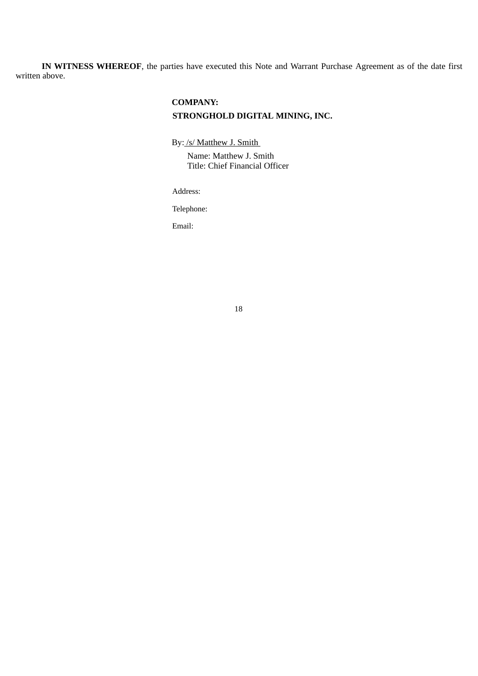**IN WITNESS WHEREOF**, the parties have executed this Note and Warrant Purchase Agreement as of the date first written above.

# **COMPANY: STRONGHOLD DIGITAL MINING, INC.**

By: /s/ Matthew J. Smith

Name: Matthew J. Smith Title: Chief Financial Officer

Address:

Telephone:

Email: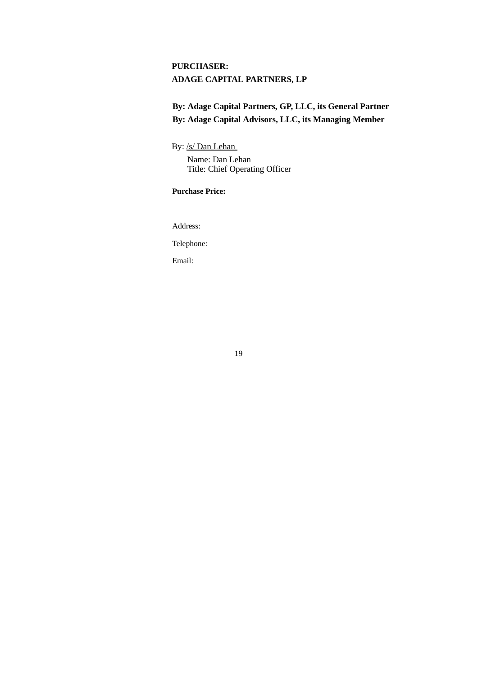# **PURCHASER: ADAGE CAPITAL PARTNERS, LP**

# **By: Adage Capital Partners, GP, LLC, its General Partner By: Adage Capital Advisors, LLC, its Managing Member**

# By: /s/ Dan Lehan

Name: Dan Lehan Title: Chief Operating Officer

# **Purchase Price:**

Address:

Telephone:

Email: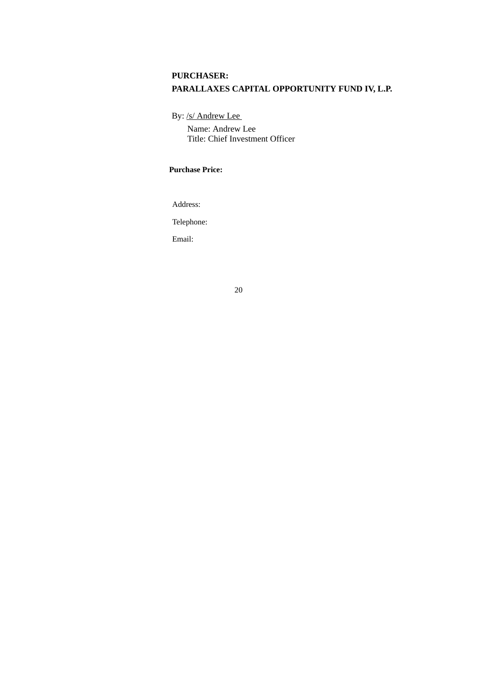# **PURCHASER: PARALLAXES CAPITAL OPPORTUNITY FUND IV, L.P.**

By: /s/ Andrew Lee

Name: Andrew Lee Title: Chief Investment Officer

# **Purchase Price:**

Address:

Telephone:

Email: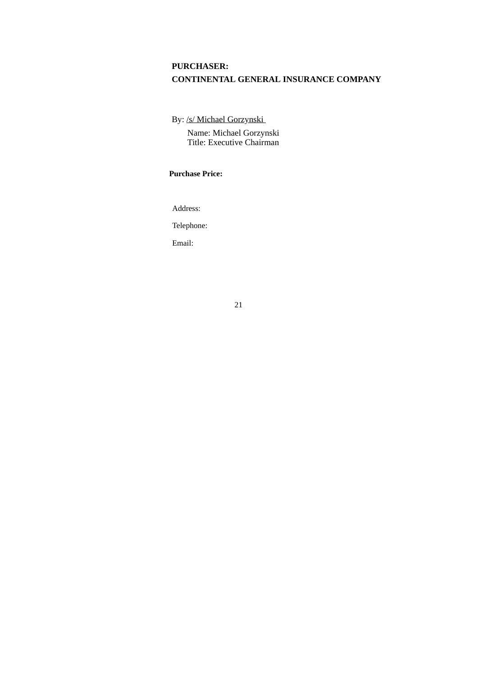# **PURCHASER: CONTINENTAL GENERAL INSURANCE COMPANY**

By: /s/ Michael Gorzynski

Name: Michael Gorzynski Title: Executive Chairman

# **Purchase Price:**

Address:

Telephone:

Email: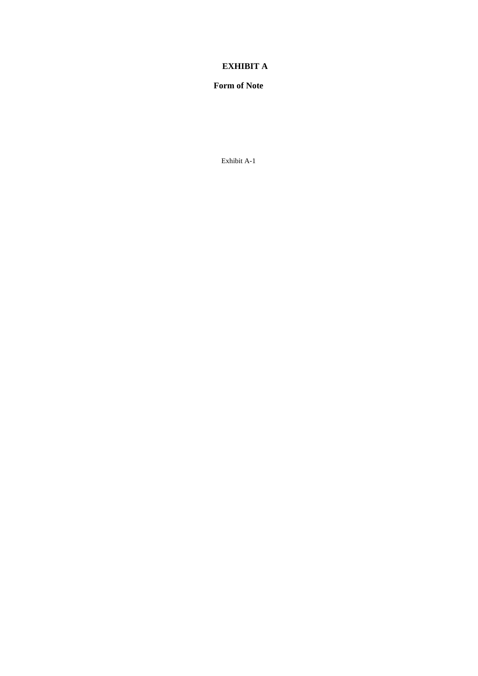# **EXHIBIT A**

# **Form of Note**

Exhibit A-1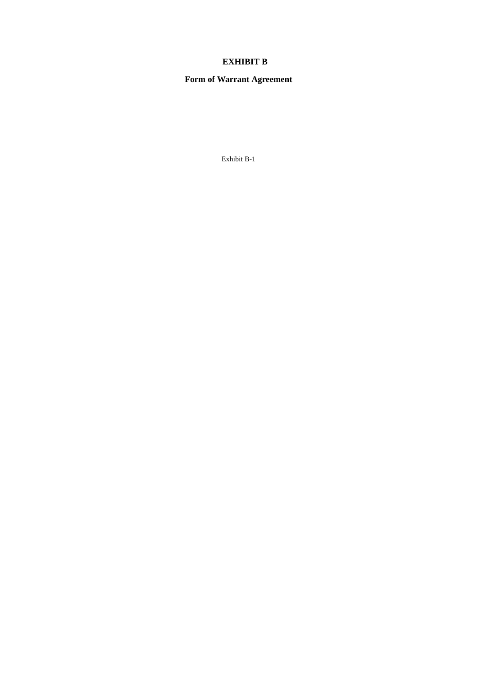# **EXHIBIT B**

# **Form of Warrant Agreement**

Exhibit B-1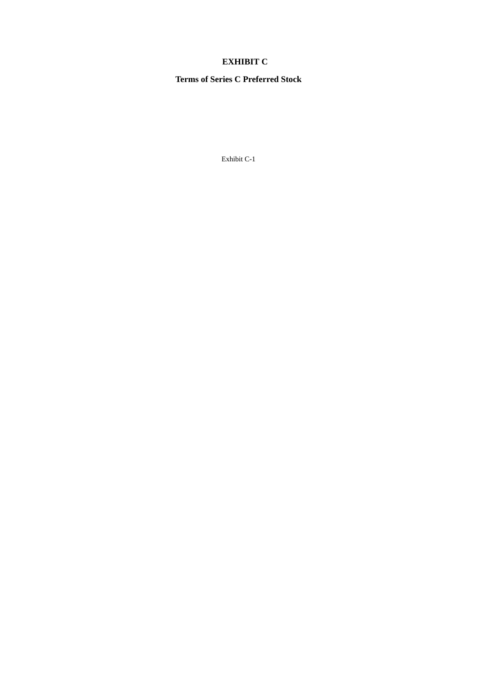# **EXHIBIT C**

**Terms of Series C Preferred Stock**

Exhibit C-1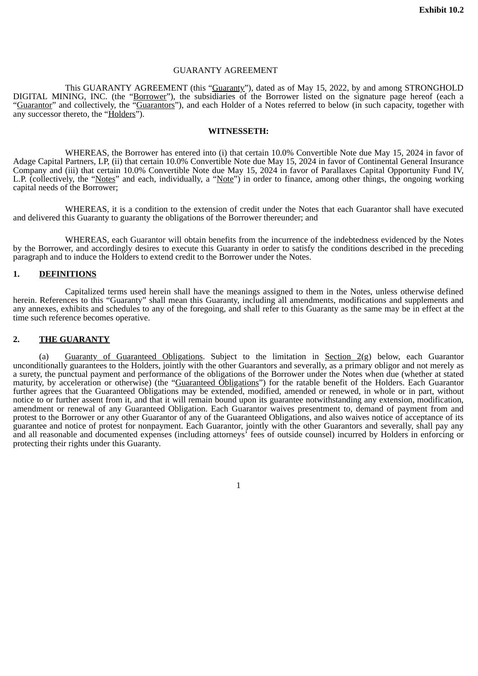### GUARANTY AGREEMENT

This GUARANTY AGREEMENT (this "Guaranty"), dated as of May 15, 2022, by and among STRONGHOLD DIGITAL MINING, INC. (the "Borrower"), the subsidiaries of the Borrower listed on the signature page hereof (each a "Guarantor" and collectively, the "Guarantors"), and each Holder of a Notes referred to below (in such capacity, together with any successor thereto, the "Holders").

### **WITNESSETH:**

WHEREAS, the Borrower has entered into (i) that certain 10.0% Convertible Note due May 15, 2024 in favor of Adage Capital Partners, LP, (ii) that certain 10.0% Convertible Note due May 15, 2024 in favor of Continental General Insurance Company and (iii) that certain 10.0% Convertible Note due May 15, 2024 in favor of Parallaxes Capital Opportunity Fund IV, L.P. (collectively, the "Notes" and each, individually, a "Note") in order to finance, among other things, the ongoing working capital needs of the Borrower;

WHEREAS, it is a condition to the extension of credit under the Notes that each Guarantor shall have executed and delivered this Guaranty to guaranty the obligations of the Borrower thereunder; and

WHEREAS, each Guarantor will obtain benefits from the incurrence of the indebtedness evidenced by the Notes by the Borrower, and accordingly desires to execute this Guaranty in order to satisfy the conditions described in the preceding paragraph and to induce the Holders to extend credit to the Borrower under the Notes.

## **1. DEFINITIONS**

Capitalized terms used herein shall have the meanings assigned to them in the Notes, unless otherwise defined herein. References to this "Guaranty" shall mean this Guaranty, including all amendments, modifications and supplements and any annexes, exhibits and schedules to any of the foregoing, and shall refer to this Guaranty as the same may be in effect at the time such reference becomes operative.

## **2. THE GUARANTY**

(a)  $Guaranty$  of Guaranteed Obligations. Subject to the limitation in Section  $2(g)$  below, each Guarantor unconditionally guarantees to the Holders, jointly with the other Guarantors and severally, as a primary obligor and not merely as a surety, the punctual payment and performance of the obligations of the Borrower under the Notes when due (whether at stated maturity, by acceleration or otherwise) (the "Guaranteed Obligations") for the ratable benefit of the Holders. Each Guarantor further agrees that the Guaranteed Obligations may be extended, modified, amended or renewed, in whole or in part, without notice to or further assent from it, and that it will remain bound upon its guarantee notwithstanding any extension, modification, amendment or renewal of any Guaranteed Obligation. Each Guarantor waives presentment to, demand of payment from and protest to the Borrower or any other Guarantor of any of the Guaranteed Obligations, and also waives notice of acceptance of its guarantee and notice of protest for nonpayment. Each Guarantor, jointly with the other Guarantors and severally, shall pay any and all reasonable and documented expenses (including attorneys' fees of outside counsel) incurred by Holders in enforcing or protecting their rights under this Guaranty.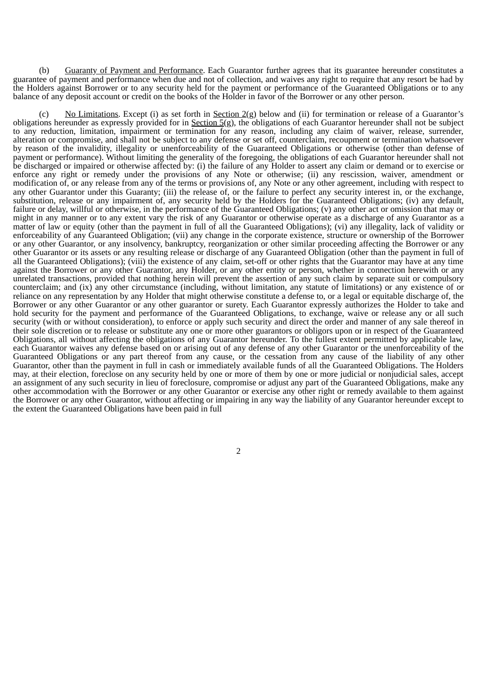(b) Guaranty of Payment and Performance. Each Guarantor further agrees that its guarantee hereunder constitutes a guarantee of payment and performance when due and not of collection, and waives any right to require that any resort be had by the Holders against Borrower or to any security held for the payment or performance of the Guaranteed Obligations or to any balance of any deposit account or credit on the books of the Holder in favor of the Borrower or any other person.

(c) No Limitations. Except (i) as set forth in Section  $2(g)$  below and (ii) for termination or release of a Guarantor's obligations hereunder as expressly provided for in Section  $5(g)$ , the obligations of each Guarantor hereunder shall not be subject to any reduction, limitation, impairment or termination for any reason, including any claim of waiver, release, surrender, alteration or compromise, and shall not be subject to any defense or set off, counterclaim, recoupment or termination whatsoever by reason of the invalidity, illegality or unenforceability of the Guaranteed Obligations or otherwise (other than defense of payment or performance). Without limiting the generality of the foregoing, the obligations of each Guarantor hereunder shall not be discharged or impaired or otherwise affected by: (i) the failure of any Holder to assert any claim or demand or to exercise or enforce any right or remedy under the provisions of any Note or otherwise; (ii) any rescission, waiver, amendment or modification of, or any release from any of the terms or provisions of, any Note or any other agreement, including with respect to any other Guarantor under this Guaranty; (iii) the release of, or the failure to perfect any security interest in, or the exchange, substitution, release or any impairment of, any security held by the Holders for the Guaranteed Obligations; (iv) any default, failure or delay, willful or otherwise, in the performance of the Guaranteed Obligations; (v) any other act or omission that may or might in any manner or to any extent vary the risk of any Guarantor or otherwise operate as a discharge of any Guarantor as a matter of law or equity (other than the payment in full of all the Guaranteed Obligations); (vi) any illegality, lack of validity or enforceability of any Guaranteed Obligation; (vii) any change in the corporate existence, structure or ownership of the Borrower or any other Guarantor, or any insolvency, bankruptcy, reorganization or other similar proceeding affecting the Borrower or any other Guarantor or its assets or any resulting release or discharge of any Guaranteed Obligation (other than the payment in full of all the Guaranteed Obligations); (viii) the existence of any claim, set-off or other rights that the Guarantor may have at any time against the Borrower or any other Guarantor, any Holder, or any other entity or person, whether in connection herewith or any unrelated transactions, provided that nothing herein will prevent the assertion of any such claim by separate suit or compulsory counterclaim; and (ix) any other circumstance (including, without limitation, any statute of limitations) or any existence of or reliance on any representation by any Holder that might otherwise constitute a defense to, or a legal or equitable discharge of, the Borrower or any other Guarantor or any other guarantor or surety. Each Guarantor expressly authorizes the Holder to take and hold security for the payment and performance of the Guaranteed Obligations, to exchange, waive or release any or all such security (with or without consideration), to enforce or apply such security and direct the order and manner of any sale thereof in their sole discretion or to release or substitute any one or more other guarantors or obligors upon or in respect of the Guaranteed Obligations, all without affecting the obligations of any Guarantor hereunder. To the fullest extent permitted by applicable law, each Guarantor waives any defense based on or arising out of any defense of any other Guarantor or the unenforceability of the Guaranteed Obligations or any part thereof from any cause, or the cessation from any cause of the liability of any other Guarantor, other than the payment in full in cash or immediately available funds of all the Guaranteed Obligations. The Holders may, at their election, foreclose on any security held by one or more of them by one or more judicial or nonjudicial sales, accept an assignment of any such security in lieu of foreclosure, compromise or adjust any part of the Guaranteed Obligations, make any other accommodation with the Borrower or any other Guarantor or exercise any other right or remedy available to them against the Borrower or any other Guarantor, without affecting or impairing in any way the liability of any Guarantor hereunder except to the extent the Guaranteed Obligations have been paid in full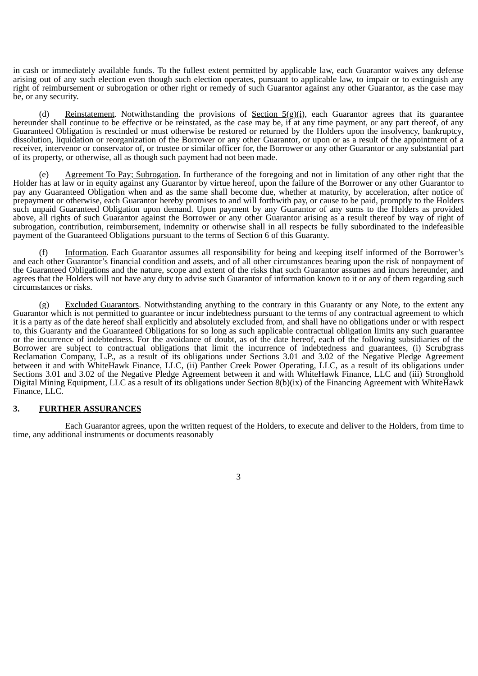in cash or immediately available funds. To the fullest extent permitted by applicable law, each Guarantor waives any defense arising out of any such election even though such election operates, pursuant to applicable law, to impair or to extinguish any right of reimbursement or subrogation or other right or remedy of such Guarantor against any other Guarantor, as the case may be, or any security.

(d) Reinstatement. Notwithstanding the provisions of Section  $5(g)(i)$ , each Guarantor agrees that its guarantee hereunder shall continue to be effective or be reinstated, as the case may be, if at any time payment, or any part thereof, of any Guaranteed Obligation is rescinded or must otherwise be restored or returned by the Holders upon the insolvency, bankruptcy, dissolution, liquidation or reorganization of the Borrower or any other Guarantor, or upon or as a result of the appointment of a receiver, intervenor or conservator of, or trustee or similar officer for, the Borrower or any other Guarantor or any substantial part of its property, or otherwise, all as though such payment had not been made.

Agreement To Pay; Subrogation. In furtherance of the foregoing and not in limitation of any other right that the Holder has at law or in equity against any Guarantor by virtue hereof, upon the failure of the Borrower or any other Guarantor to pay any Guaranteed Obligation when and as the same shall become due, whether at maturity, by acceleration, after notice of prepayment or otherwise, each Guarantor hereby promises to and will forthwith pay, or cause to be paid, promptly to the Holders such unpaid Guaranteed Obligation upon demand. Upon payment by any Guarantor of any sums to the Holders as provided above, all rights of such Guarantor against the Borrower or any other Guarantor arising as a result thereof by way of right of subrogation, contribution, reimbursement, indemnity or otherwise shall in all respects be fully subordinated to the indefeasible payment of the Guaranteed Obligations pursuant to the terms of Section 6 of this Guaranty.

(f) Information. Each Guarantor assumes all responsibility for being and keeping itself informed of the Borrower's and each other Guarantor's financial condition and assets, and of all other circumstances bearing upon the risk of nonpayment of the Guaranteed Obligations and the nature, scope and extent of the risks that such Guarantor assumes and incurs hereunder, and agrees that the Holders will not have any duty to advise such Guarantor of information known to it or any of them regarding such circumstances or risks.

(g) Excluded Guarantors. Notwithstanding anything to the contrary in this Guaranty or any Note, to the extent any Guarantor which is not permitted to guarantee or incur indebtedness pursuant to the terms of any contractual agreement to which it is a party as of the date hereof shall explicitly and absolutely excluded from, and shall have no obligations under or with respect to, this Guaranty and the Guaranteed Obligations for so long as such applicable contractual obligation limits any such guarantee or the incurrence of indebtedness. For the avoidance of doubt, as of the date hereof, each of the following subsidiaries of the Borrower are subject to contractual obligations that limit the incurrence of indebtedness and guarantees, (i) Scrubgrass Reclamation Company, L.P., as a result of its obligations under Sections 3.01 and 3.02 of the Negative Pledge Agreement between it and with WhiteHawk Finance, LLC, (ii) Panther Creek Power Operating, LLC, as a result of its obligations under Sections 3.01 and 3.02 of the Negative Pledge Agreement between it and with WhiteHawk Finance, LLC and (iii) Stronghold Digital Mining Equipment, LLC as a result of its obligations under Section 8(b)(ix) of the Financing Agreement with WhiteHawk Finance, LLC.

## **3. FURTHER ASSURANCES**

Each Guarantor agrees, upon the written request of the Holders, to execute and deliver to the Holders, from time to time, any additional instruments or documents reasonably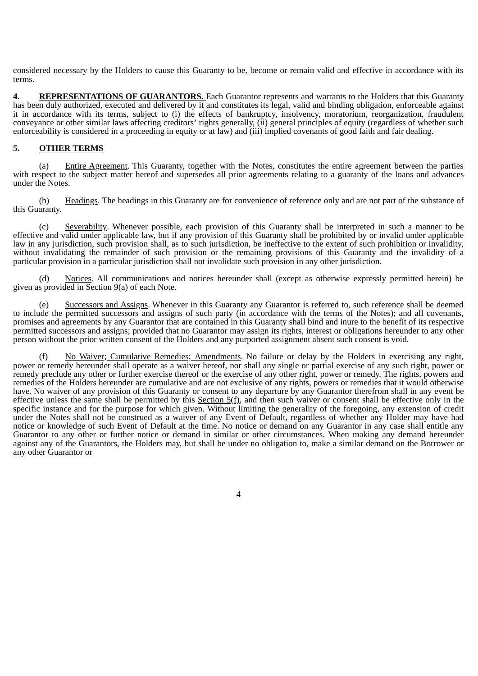considered necessary by the Holders to cause this Guaranty to be, become or remain valid and effective in accordance with its terms.

**4. REPRESENTATIONS OF GUARANTORS.** Each Guarantor represents and warrants to the Holders that this Guaranty has been duly authorized, executed and delivered by it and constitutes its legal, valid and binding obligation, enforceable against it in accordance with its terms, subject to (i) the effects of bankruptcy, insolvency, moratorium, reorganization, fraudulent conveyance or other similar laws affecting creditors' rights generally, (ii) general principles of equity (regardless of whether such enforceability is considered in a proceeding in equity or at law) and (iii) implied covenants of good faith and fair dealing.

## **5. OTHER TERMS**

(a) Entire Agreement. This Guaranty, together with the Notes, constitutes the entire agreement between the parties with respect to the subject matter hereof and supersedes all prior agreements relating to a guaranty of the loans and advances under the Notes.

(b) Headings. The headings in this Guaranty are for convenience of reference only and are not part of the substance of this Guaranty.

(c) Severability. Whenever possible, each provision of this Guaranty shall be interpreted in such a manner to be effective and valid under applicable law, but if any provision of this Guaranty shall be prohibited by or invalid under applicable law in any jurisdiction, such provision shall, as to such jurisdiction, be ineffective to the extent of such prohibition or invalidity, without invalidating the remainder of such provision or the remaining provisions of this Guaranty and the invalidity of a particular provision in a particular jurisdiction shall not invalidate such provision in any other jurisdiction.

(d) Notices. All communications and notices hereunder shall (except as otherwise expressly permitted herein) be given as provided in Section 9(a) of each Note.

Successors and Assigns. Whenever in this Guaranty any Guarantor is referred to, such reference shall be deemed to include the permitted successors and assigns of such party (in accordance with the terms of the Notes); and all covenants, promises and agreements by any Guarantor that are contained in this Guaranty shall bind and inure to the benefit of its respective permitted successors and assigns; provided that no Guarantor may assign its rights, interest or obligations hereunder to any other person without the prior written consent of the Holders and any purported assignment absent such consent is void.

(f) No Waiver; Cumulative Remedies; Amendments. No failure or delay by the Holders in exercising any right, power or remedy hereunder shall operate as a waiver hereof, nor shall any single or partial exercise of any such right, power or remedy preclude any other or further exercise thereof or the exercise of any other right, power or remedy. The rights, powers and remedies of the Holders hereunder are cumulative and are not exclusive of any rights, powers or remedies that it would otherwise have. No waiver of any provision of this Guaranty or consent to any departure by any Guarantor therefrom shall in any event be effective unless the same shall be permitted by this Section  $5(f)$ , and then such waiver or consent shall be effective only in the specific instance and for the purpose for which given. Without limiting the generality of the foregoing, any extension of credit under the Notes shall not be construed as a waiver of any Event of Default, regardless of whether any Holder may have had notice or knowledge of such Event of Default at the time. No notice or demand on any Guarantor in any case shall entitle any Guarantor to any other or further notice or demand in similar or other circumstances. When making any demand hereunder against any of the Guarantors, the Holders may, but shall be under no obligation to, make a similar demand on the Borrower or any other Guarantor or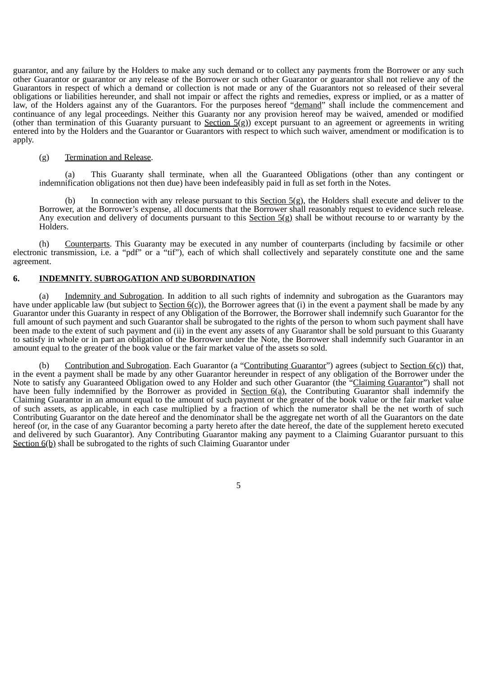guarantor, and any failure by the Holders to make any such demand or to collect any payments from the Borrower or any such other Guarantor or guarantor or any release of the Borrower or such other Guarantor or guarantor shall not relieve any of the Guarantors in respect of which a demand or collection is not made or any of the Guarantors not so released of their several obligations or liabilities hereunder, and shall not impair or affect the rights and remedies, express or implied, or as a matter of law, of the Holders against any of the Guarantors. For the purposes hereof "demand" shall include the commencement and continuance of any legal proceedings. Neither this Guaranty nor any provision hereof may be waived, amended or modified (other than termination of this Guaranty pursuant to Section  $5(g)$ ) except pursuant to an agreement or agreements in writing entered into by the Holders and the Guarantor or Guarantors with respect to which such waiver, amendment or modification is to apply.

## (g) Termination and Release.

(a) This Guaranty shall terminate, when all the Guaranteed Obligations (other than any contingent or indemnification obligations not then due) have been indefeasibly paid in full as set forth in the Notes.

(b) In connection with any release pursuant to this  $Section 5(g)$ , the Holders shall execute and deliver to the Borrower, at the Borrower's expense, all documents that the Borrower shall reasonably request to evidence such release. Any execution and delivery of documents pursuant to this Section 5(g) shall be without recourse to or warranty by the Holders.

(h) Counterparts. This Guaranty may be executed in any number of counterparts (including by facsimile or other electronic transmission, i.e. a "pdf" or a "tif"), each of which shall collectively and separately constitute one and the same agreement.

### **6. INDEMNITY. SUBROGATION AND SUBORDINATION**

(a) Indemnity and Subrogation. In addition to all such rights of indemnity and subrogation as the Guarantors may have under applicable law (but subject to Section  $6(c)$ ), the Borrower agrees that (i) in the event a payment shall be made by any Guarantor under this Guaranty in respect of any Obligation of the Borrower, the Borrower shall indemnify such Guarantor for the full amount of such payment and such Guarantor shall be subrogated to the rights of the person to whom such payment shall have been made to the extent of such payment and (ii) in the event any assets of any Guarantor shall be sold pursuant to this Guaranty to satisfy in whole or in part an obligation of the Borrower under the Note, the Borrower shall indemnify such Guarantor in an amount equal to the greater of the book value or the fair market value of the assets so sold.

(b) Contribution and Subrogation. Each Guarantor (a "Contributing Guarantor") agrees (subject to Section  $6(c)$ ) that, in the event a payment shall be made by any other Guarantor hereunder in respect of any obligation of the Borrower under the Note to satisfy any Guaranteed Obligation owed to any Holder and such other Guarantor (the "Claiming Guarantor") shall not have been fully indemnified by the Borrower as provided in Section 6(a), the Contributing Guarantor shall indemnify the Claiming Guarantor in an amount equal to the amount of such payment or the greater of the book value or the fair market value of such assets, as applicable, in each case multiplied by a fraction of which the numerator shall be the net worth of such Contributing Guarantor on the date hereof and the denominator shall be the aggregate net worth of all the Guarantors on the date hereof (or, in the case of any Guarantor becoming a party hereto after the date hereof, the date of the supplement hereto executed and delivered by such Guarantor). Any Contributing Guarantor making any payment to a Claiming Guarantor pursuant to this Section  $6(b)$  shall be subrogated to the rights of such Claiming Guarantor under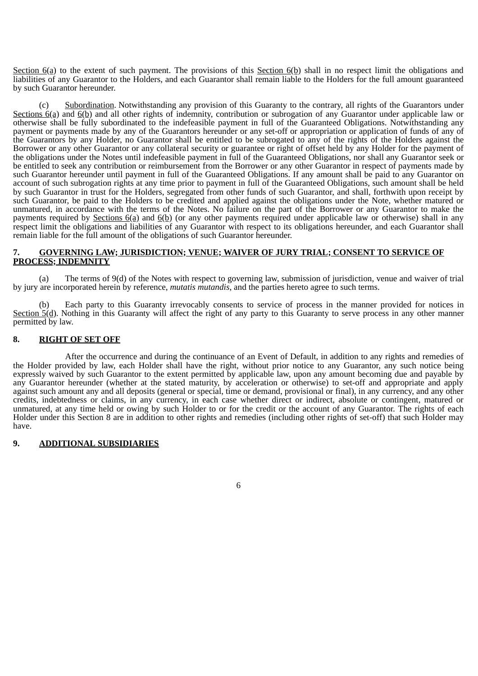Section  $6(a)$  to the extent of such payment. The provisions of this Section  $6(b)$  shall in no respect limit the obligations and liabilities of any Guarantor to the Holders, and each Guarantor shall remain liable to the Holders for the full amount guaranteed by such Guarantor hereunder.

Subordination. Notwithstanding any provision of this Guaranty to the contrary, all rights of the Guarantors under Sections  $6(a)$  and  $6(b)$  and all other rights of indemnity, contribution or subrogation of any Guarantor under applicable law or otherwise shall be fully subordinated to the indefeasible payment in full of the Guaranteed Obligations. Notwithstanding any payment or payments made by any of the Guarantors hereunder or any set-off or appropriation or application of funds of any of the Guarantors by any Holder, no Guarantor shall be entitled to be subrogated to any of the rights of the Holders against the Borrower or any other Guarantor or any collateral security or guarantee or right of offset held by any Holder for the payment of the obligations under the Notes until indefeasible payment in full of the Guaranteed Obligations, nor shall any Guarantor seek or be entitled to seek any contribution or reimbursement from the Borrower or any other Guarantor in respect of payments made by such Guarantor hereunder until payment in full of the Guaranteed Obligations. If any amount shall be paid to any Guarantor on account of such subrogation rights at any time prior to payment in full of the Guaranteed Obligations, such amount shall be held by such Guarantor in trust for the Holders, segregated from other funds of such Guarantor, and shall, forthwith upon receipt by such Guarantor, be paid to the Holders to be credited and applied against the obligations under the Note, whether matured or unmatured, in accordance with the terms of the Notes. No failure on the part of the Borrower or any Guarantor to make the payments required by Sections  $6(a)$  and  $6(b)$  (or any other payments required under applicable law or otherwise) shall in any respect limit the obligations and liabilities of any Guarantor with respect to its obligations hereunder, and each Guarantor shall remain liable for the full amount of the obligations of such Guarantor hereunder.

## **7. GOVERNING LAW; JURISDICTION; VENUE; WAIVER OF JURY TRIAL; CONSENT TO SERVICE OF PROCESS; INDEMNITY**

(a) The terms of 9(d) of the Notes with respect to governing law, submission of jurisdiction, venue and waiver of trial by jury are incorporated herein by reference, *mutatis mutandis*, and the parties hereto agree to such terms.

(b) Each party to this Guaranty irrevocably consents to service of process in the manner provided for notices in Section  $5(d)$ . Nothing in this Guaranty will affect the right of any party to this Guaranty to serve process in any other manner permitted by law.

## **8. RIGHT OF SET OFF**

After the occurrence and during the continuance of an Event of Default, in addition to any rights and remedies of the Holder provided by law, each Holder shall have the right, without prior notice to any Guarantor, any such notice being expressly waived by such Guarantor to the extent permitted by applicable law, upon any amount becoming due and payable by any Guarantor hereunder (whether at the stated maturity, by acceleration or otherwise) to set-off and appropriate and apply against such amount any and all deposits (general or special, time or demand, provisional or final), in any currency, and any other credits, indebtedness or claims, in any currency, in each case whether direct or indirect, absolute or contingent, matured or unmatured, at any time held or owing by such Holder to or for the credit or the account of any Guarantor. The rights of each Holder under this Section 8 are in addition to other rights and remedies (including other rights of set-off) that such Holder may have.

### **9. ADDITIONAL SUBSIDIARIES**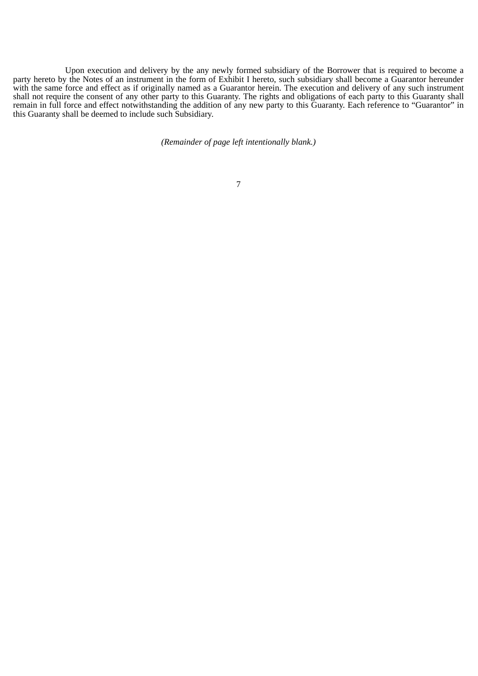Upon execution and delivery by the any newly formed subsidiary of the Borrower that is required to become a party hereto by the Notes of an instrument in the form of Exhibit I hereto, such subsidiary shall become a Guarantor hereunder with the same force and effect as if originally named as a Guarantor herein. The execution and delivery of any such instrument shall not require the consent of any other party to this Guaranty. The rights and obligations of each party to this Guaranty shall remain in full force and effect notwithstanding the addition of any new party to this Guaranty. Each reference to "Guarantor" in this Guaranty shall be deemed to include such Subsidiary.

*(Remainder of page left intentionally blank.)*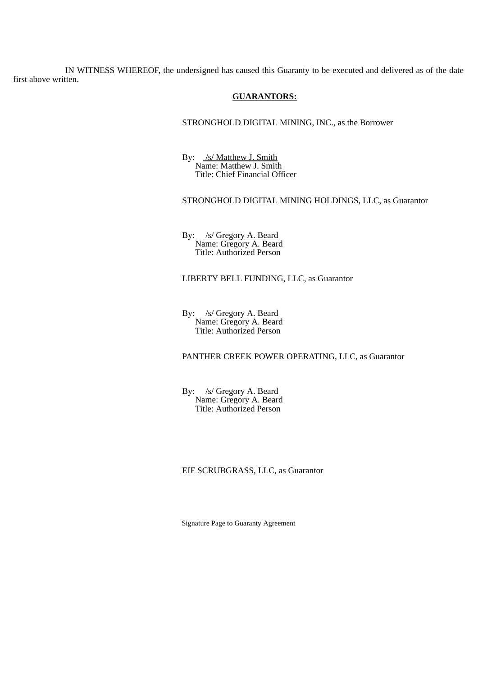IN WITNESS WHEREOF, the undersigned has caused this Guaranty to be executed and delivered as of the date first above written.

# **GUARANTORS:**

STRONGHOLD DIGITAL MINING, INC., as the Borrower

By: /s/ Matthew J. Smith Name: Matthew J. Smith Title: Chief Financial Officer

STRONGHOLD DIGITAL MINING HOLDINGS, LLC, as Guarantor

By: /s/ Gregory A. Beard Name: Gregory A. Beard Title: Authorized Person

LIBERTY BELL FUNDING, LLC, as Guarantor

By: /s/ Gregory A. Beard Name: Gregory A. Beard Title: Authorized Person

PANTHER CREEK POWER OPERATING, LLC, as Guarantor

By: /s/ Gregory A. Beard Name: Gregory A. Beard Title: Authorized Person

EIF SCRUBGRASS, LLC, as Guarantor

Signature Page to Guaranty Agreement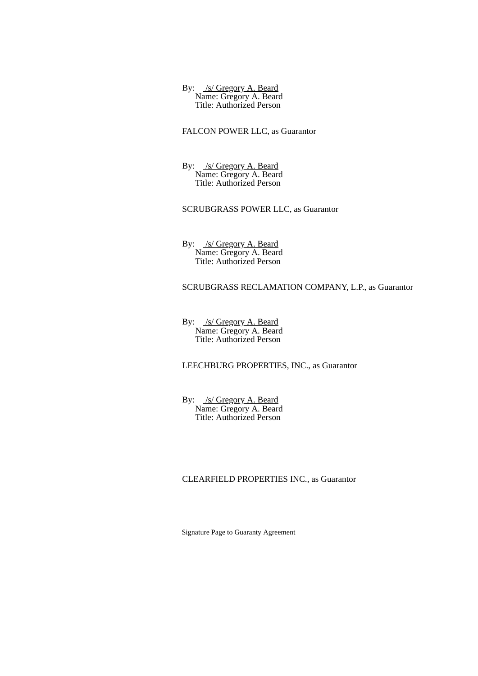By: /s/ Gregory A. Beard Name: Gregory A. Beard Title: Authorized Person

FALCON POWER LLC, as Guarantor

By: /s/ Gregory A. Beard Name: Gregory A. Beard Title: Authorized Person

SCRUBGRASS POWER LLC, as Guarantor

By: /s/ Gregory A. Beard Name: Gregory A. Beard Title: Authorized Person

# SCRUBGRASS RECLAMATION COMPANY, L.P., as Guarantor

By: /s/ Gregory A. Beard Name: Gregory A. Beard Title: Authorized Person

LEECHBURG PROPERTIES, INC., as Guarantor

By: /s/ Gregory A. Beard Name: Gregory A. Beard Title: Authorized Person

CLEARFIELD PROPERTIES INC., as Guarantor

Signature Page to Guaranty Agreement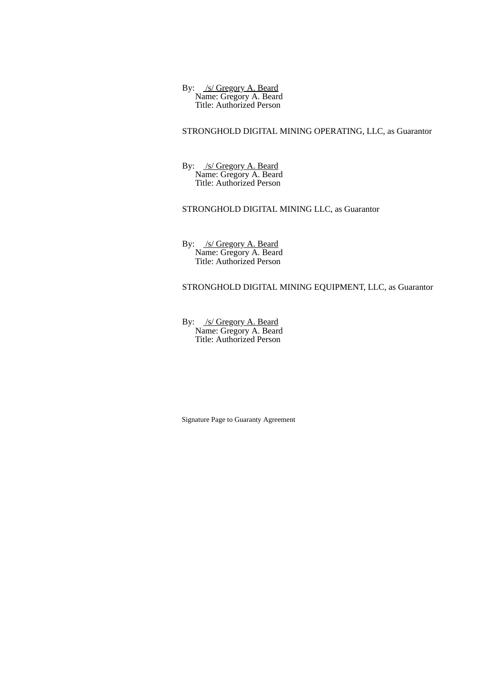By: /s/ Gregory A. Beard Name: Gregory A. Beard Title: Authorized Person

STRONGHOLD DIGITAL MINING OPERATING, LLC, as Guarantor

By: /s/ Gregory A. Beard Name: Gregory A. Beard Title: Authorized Person

STRONGHOLD DIGITAL MINING LLC, as Guarantor

By: /s/ Gregory A. Beard Name: Gregory A. Beard Title: Authorized Person

## STRONGHOLD DIGITAL MINING EQUIPMENT, LLC, as Guarantor

By: /s/ Gregory A. Beard Name: Gregory A. Beard Title: Authorized Person

Signature Page to Guaranty Agreement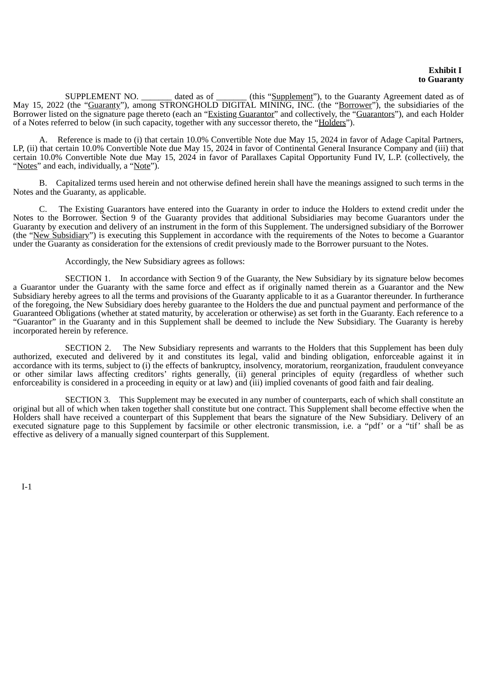## **Exhibit I to Guaranty**

SUPPLEMENT NO. \_\_\_\_\_\_\_\_ dated as of \_\_\_\_\_\_\_ (this "Supplement"), to the Guaranty Agreement dated as of May 15, 2022 (the "Guaranty"), among STRONGHOLD DIGITAL MINING, INC. (the "Borrower"), the subsidiaries of the Borrower listed on the signature page thereto (each an "Existing Guarantor" and collectively, the "Guarantors"), and each Holder of a Notes referred to below (in such capacity, together with any successor thereto, the "Holders").

A. Reference is made to (i) that certain 10.0% Convertible Note due May 15, 2024 in favor of Adage Capital Partners, LP, (ii) that certain 10.0% Convertible Note due May 15, 2024 in favor of Continental General Insurance Company and (iii) that certain 10.0% Convertible Note due May 15, 2024 in favor of Parallaxes Capital Opportunity Fund IV, L.P. (collectively, the "Notes" and each, individually, a "Note").

B. Capitalized terms used herein and not otherwise defined herein shall have the meanings assigned to such terms in the Notes and the Guaranty, as applicable.

C. The Existing Guarantors have entered into the Guaranty in order to induce the Holders to extend credit under the Notes to the Borrower. Section 9 of the Guaranty provides that additional Subsidiaries may become Guarantors under the Guaranty by execution and delivery of an instrument in the form of this Supplement. The undersigned subsidiary of the Borrower (the "New Subsidiary") is executing this Supplement in accordance with the requirements of the Notes to become a Guarantor under the Guaranty as consideration for the extensions of credit previously made to the Borrower pursuant to the Notes.

## Accordingly, the New Subsidiary agrees as follows:

SECTION 1. In accordance with Section 9 of the Guaranty, the New Subsidiary by its signature below becomes a Guarantor under the Guaranty with the same force and effect as if originally named therein as a Guarantor and the New Subsidiary hereby agrees to all the terms and provisions of the Guaranty applicable to it as a Guarantor thereunder. In furtherance of the foregoing, the New Subsidiary does hereby guarantee to the Holders the due and punctual payment and performance of the Guaranteed Obligations (whether at stated maturity, by acceleration or otherwise) as set forth in the Guaranty. Each reference to a "Guarantor" in the Guaranty and in this Supplement shall be deemed to include the New Subsidiary. The Guaranty is hereby incorporated herein by reference.

SECTION 2. The New Subsidiary represents and warrants to the Holders that this Supplement has been duly authorized, executed and delivered by it and constitutes its legal, valid and binding obligation, enforceable against it in accordance with its terms, subject to (i) the effects of bankruptcy, insolvency, moratorium, reorganization, fraudulent conveyance or other similar laws affecting creditors' rights generally, (ii) general principles of equity (regardless of whether such enforceability is considered in a proceeding in equity or at law) and (iii) implied covenants of good faith and fair dealing.

SECTION 3. This Supplement may be executed in any number of counterparts, each of which shall constitute an original but all of which when taken together shall constitute but one contract. This Supplement shall become effective when the Holders shall have received a counterpart of this Supplement that bears the signature of the New Subsidiary. Delivery of an executed signature page to this Supplement by facsimile or other electronic transmission, i.e. a "pdf' or a "tif' shall be as effective as delivery of a manually signed counterpart of this Supplement.

I-1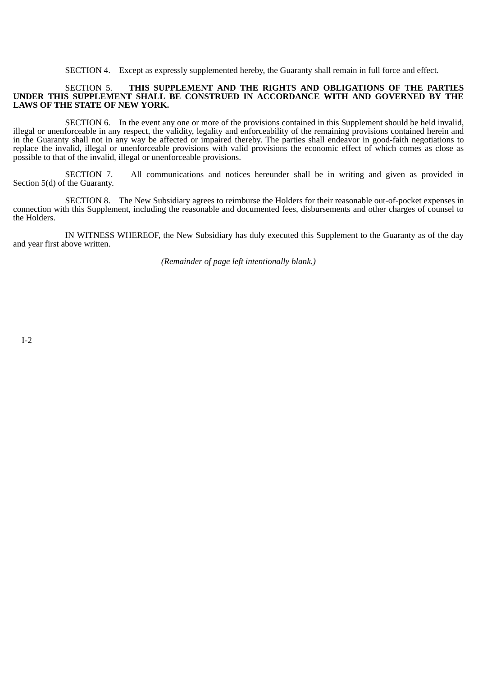SECTION 4. Except as expressly supplemented hereby, the Guaranty shall remain in full force and effect.

## SECTION 5. **THIS SUPPLEMENT AND THE RIGHTS AND OBLIGATIONS OF THE PARTIES UNDER THIS SUPPLEMENT SHALL BE CONSTRUED IN ACCORDANCE WITH AND GOVERNED BY THE LAWS OF THE STATE OF NEW YORK.**

SECTION 6. In the event any one or more of the provisions contained in this Supplement should be held invalid, illegal or unenforceable in any respect, the validity, legality and enforceability of the remaining provisions contained herein and in the Guaranty shall not in any way be affected or impaired thereby. The parties shall endeavor in good-faith negotiations to replace the invalid, illegal or unenforceable provisions with valid provisions the economic effect of which comes as close as possible to that of the invalid, illegal or unenforceable provisions.

SECTION 7. All communications and notices hereunder shall be in writing and given as provided in Section 5(d) of the Guaranty.

SECTION 8. The New Subsidiary agrees to reimburse the Holders for their reasonable out-of-pocket expenses in connection with this Supplement, including the reasonable and documented fees, disbursements and other charges of counsel to the Holders.

IN WITNESS WHEREOF, the New Subsidiary has duly executed this Supplement to the Guaranty as of the day and year first above written.

*(Remainder of page left intentionally blank.)*